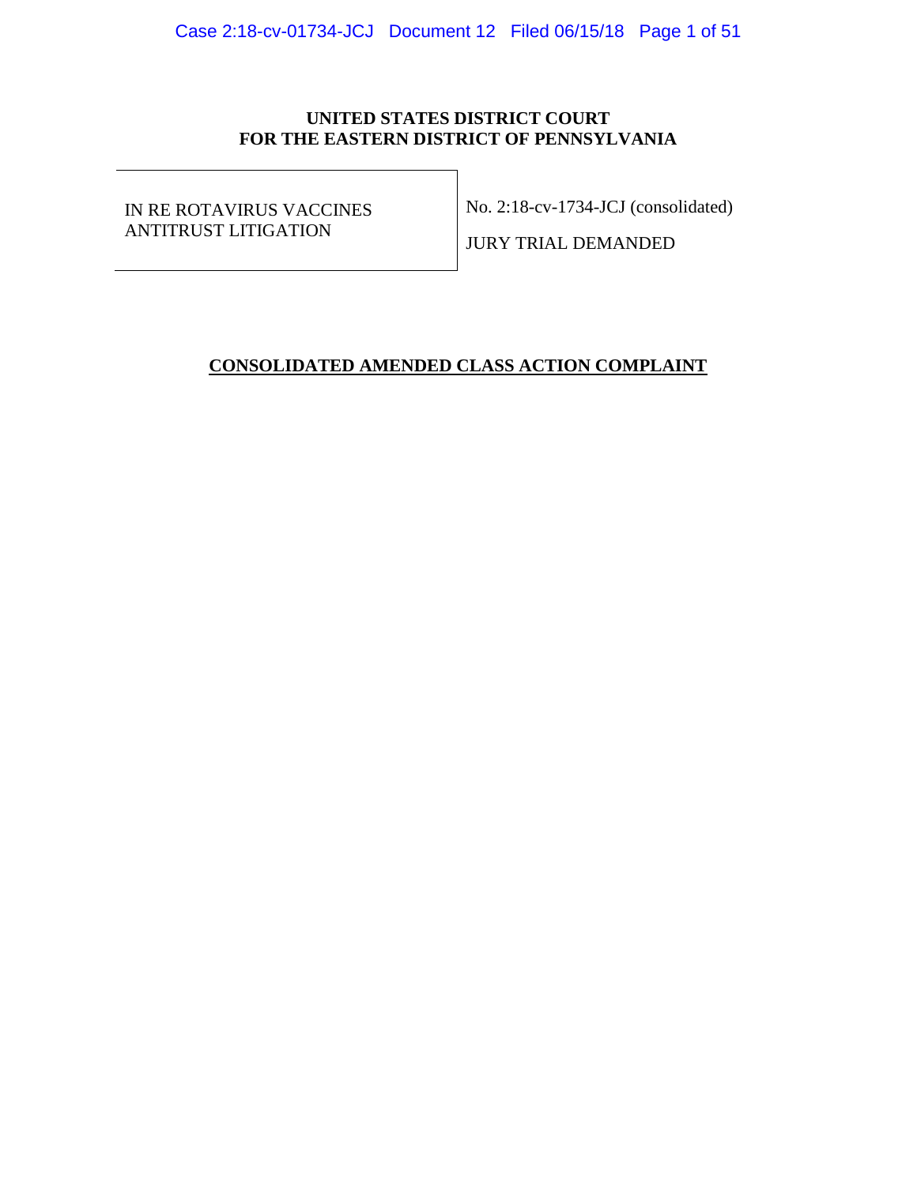## **UNITED STATES DISTRICT COURT FOR THE EASTERN DISTRICT OF PENNSYLVANIA**

IN RE ROTAVIRUS VACCINES ANTITRUST LITIGATION

No. 2:18-cv-1734-JCJ (consolidated)

JURY TRIAL DEMANDED

## **CONSOLIDATED AMENDED CLASS ACTION COMPLAINT**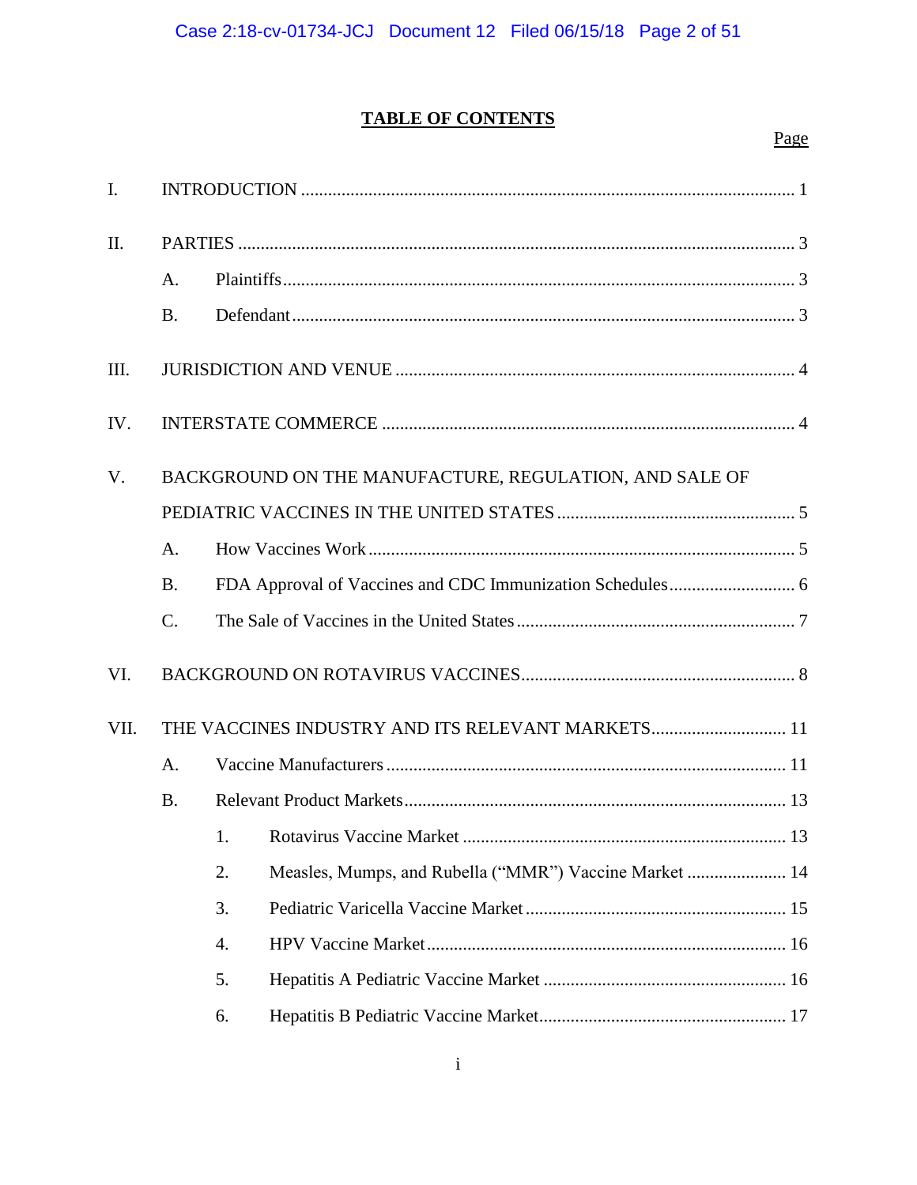# **TABLE OF CONTENTS**

## Page

| I.   |                                                        |                  |                                                        |  |  |  |
|------|--------------------------------------------------------|------------------|--------------------------------------------------------|--|--|--|
| II.  |                                                        |                  |                                                        |  |  |  |
|      | A.                                                     |                  |                                                        |  |  |  |
|      | <b>B.</b>                                              |                  |                                                        |  |  |  |
| III. |                                                        |                  |                                                        |  |  |  |
| IV.  |                                                        |                  |                                                        |  |  |  |
| V.   | BACKGROUND ON THE MANUFACTURE, REGULATION, AND SALE OF |                  |                                                        |  |  |  |
|      |                                                        |                  |                                                        |  |  |  |
|      | A.                                                     |                  |                                                        |  |  |  |
|      | <b>B.</b>                                              |                  |                                                        |  |  |  |
|      | C.                                                     |                  |                                                        |  |  |  |
| VI.  |                                                        |                  |                                                        |  |  |  |
| VII. |                                                        |                  | THE VACCINES INDUSTRY AND ITS RELEVANT MARKETS 11      |  |  |  |
|      | A.                                                     |                  |                                                        |  |  |  |
|      | <b>B.</b>                                              |                  |                                                        |  |  |  |
|      |                                                        |                  |                                                        |  |  |  |
|      |                                                        | 2.               | Measles, Mumps, and Rubella ("MMR") Vaccine Market  14 |  |  |  |
|      |                                                        | 3.               |                                                        |  |  |  |
|      |                                                        | $\overline{4}$ . |                                                        |  |  |  |
|      |                                                        | 5.               |                                                        |  |  |  |
|      |                                                        | 6.               |                                                        |  |  |  |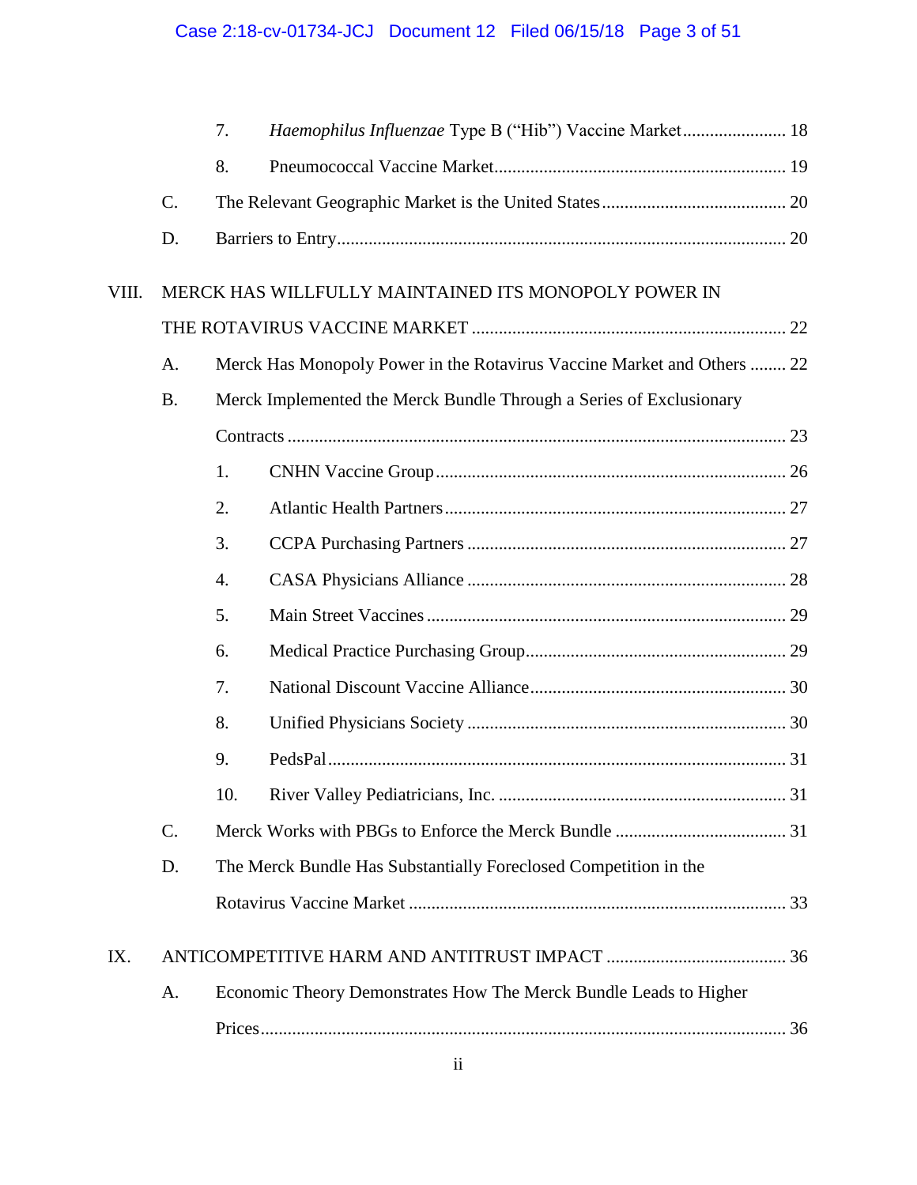|       |                 | 7.                                                                      | Haemophilus Influenzae Type B ("Hib") Vaccine Market 18           |  |  |  |
|-------|-----------------|-------------------------------------------------------------------------|-------------------------------------------------------------------|--|--|--|
|       |                 | 8.                                                                      |                                                                   |  |  |  |
|       | C.              |                                                                         |                                                                   |  |  |  |
|       | D.              |                                                                         |                                                                   |  |  |  |
| VIII. |                 |                                                                         | MERCK HAS WILLFULLY MAINTAINED ITS MONOPOLY POWER IN              |  |  |  |
|       |                 |                                                                         |                                                                   |  |  |  |
|       | A.              | Merck Has Monopoly Power in the Rotavirus Vaccine Market and Others  22 |                                                                   |  |  |  |
|       | <b>B.</b>       | Merck Implemented the Merck Bundle Through a Series of Exclusionary     |                                                                   |  |  |  |
|       |                 |                                                                         |                                                                   |  |  |  |
|       |                 | 1.                                                                      |                                                                   |  |  |  |
|       |                 | 2.                                                                      |                                                                   |  |  |  |
|       |                 | 3.                                                                      |                                                                   |  |  |  |
|       |                 | 4.                                                                      |                                                                   |  |  |  |
|       |                 | 5.                                                                      |                                                                   |  |  |  |
|       |                 | 6.                                                                      |                                                                   |  |  |  |
|       |                 | 7.                                                                      |                                                                   |  |  |  |
|       |                 | 8.                                                                      |                                                                   |  |  |  |
|       |                 | 9.                                                                      |                                                                   |  |  |  |
|       |                 | 10.                                                                     |                                                                   |  |  |  |
|       | $\mathcal{C}$ . |                                                                         |                                                                   |  |  |  |
|       | D.              | The Merck Bundle Has Substantially Foreclosed Competition in the        |                                                                   |  |  |  |
|       |                 |                                                                         |                                                                   |  |  |  |
| IX.   |                 |                                                                         |                                                                   |  |  |  |
|       | A.              |                                                                         | Economic Theory Demonstrates How The Merck Bundle Leads to Higher |  |  |  |
|       |                 |                                                                         |                                                                   |  |  |  |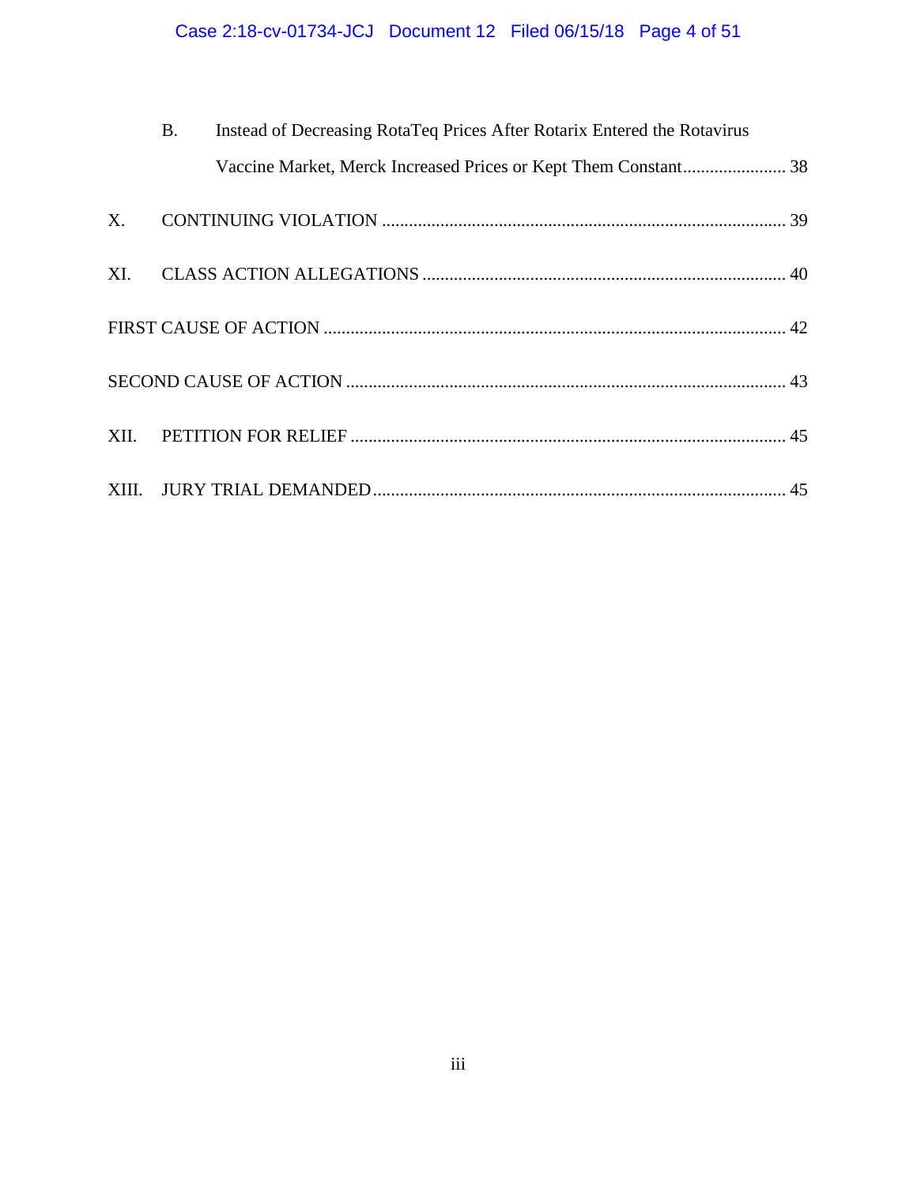|         | <b>B.</b> | Instead of Decreasing RotaTeq Prices After Rotarix Entered the Rotavirus |  |
|---------|-----------|--------------------------------------------------------------------------|--|
|         |           | Vaccine Market, Merck Increased Prices or Kept Them Constant 38          |  |
| $X_{-}$ |           |                                                                          |  |
|         |           |                                                                          |  |
|         |           |                                                                          |  |
|         |           |                                                                          |  |
|         |           |                                                                          |  |
|         |           |                                                                          |  |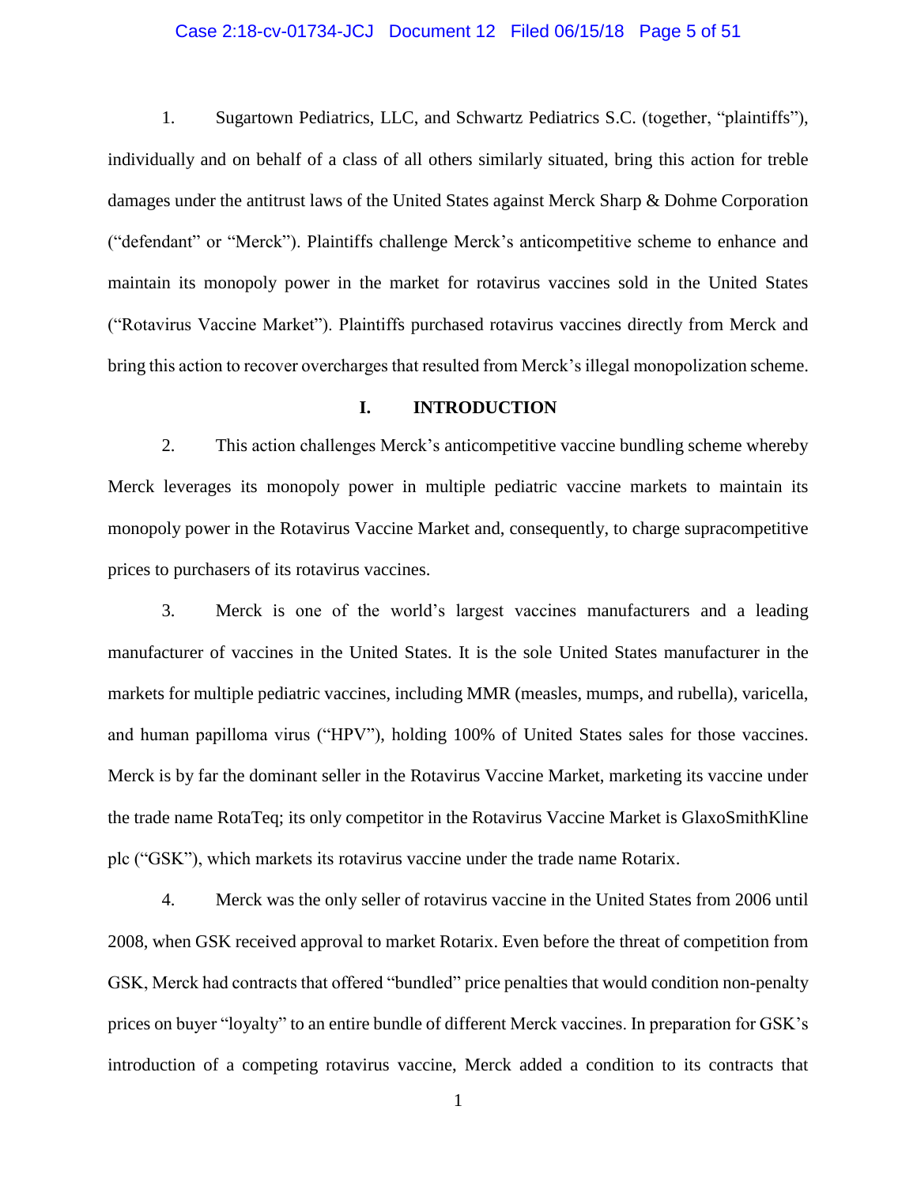#### Case 2:18-cv-01734-JCJ Document 12 Filed 06/15/18 Page 5 of 51

1. Sugartown Pediatrics, LLC, and Schwartz Pediatrics S.C. (together, "plaintiffs"), individually and on behalf of a class of all others similarly situated, bring this action for treble damages under the antitrust laws of the United States against Merck Sharp & Dohme Corporation ("defendant" or "Merck"). Plaintiffs challenge Merck's anticompetitive scheme to enhance and maintain its monopoly power in the market for rotavirus vaccines sold in the United States ("Rotavirus Vaccine Market"). Plaintiffs purchased rotavirus vaccines directly from Merck and bring this action to recover overcharges that resulted from Merck's illegal monopolization scheme.

#### **I. INTRODUCTION**

2. This action challenges Merck's anticompetitive vaccine bundling scheme whereby Merck leverages its monopoly power in multiple pediatric vaccine markets to maintain its monopoly power in the Rotavirus Vaccine Market and, consequently, to charge supracompetitive prices to purchasers of its rotavirus vaccines.

3. Merck is one of the world's largest vaccines manufacturers and a leading manufacturer of vaccines in the United States. It is the sole United States manufacturer in the markets for multiple pediatric vaccines, including MMR (measles, mumps, and rubella), varicella, and human papilloma virus ("HPV"), holding 100% of United States sales for those vaccines. Merck is by far the dominant seller in the Rotavirus Vaccine Market, marketing its vaccine under the trade name RotaTeq; its only competitor in the Rotavirus Vaccine Market is GlaxoSmithKline plc ("GSK"), which markets its rotavirus vaccine under the trade name Rotarix.

4. Merck was the only seller of rotavirus vaccine in the United States from 2006 until 2008, when GSK received approval to market Rotarix. Even before the threat of competition from GSK, Merck had contracts that offered "bundled" price penalties that would condition non-penalty prices on buyer "loyalty" to an entire bundle of different Merck vaccines. In preparation for GSK's introduction of a competing rotavirus vaccine, Merck added a condition to its contracts that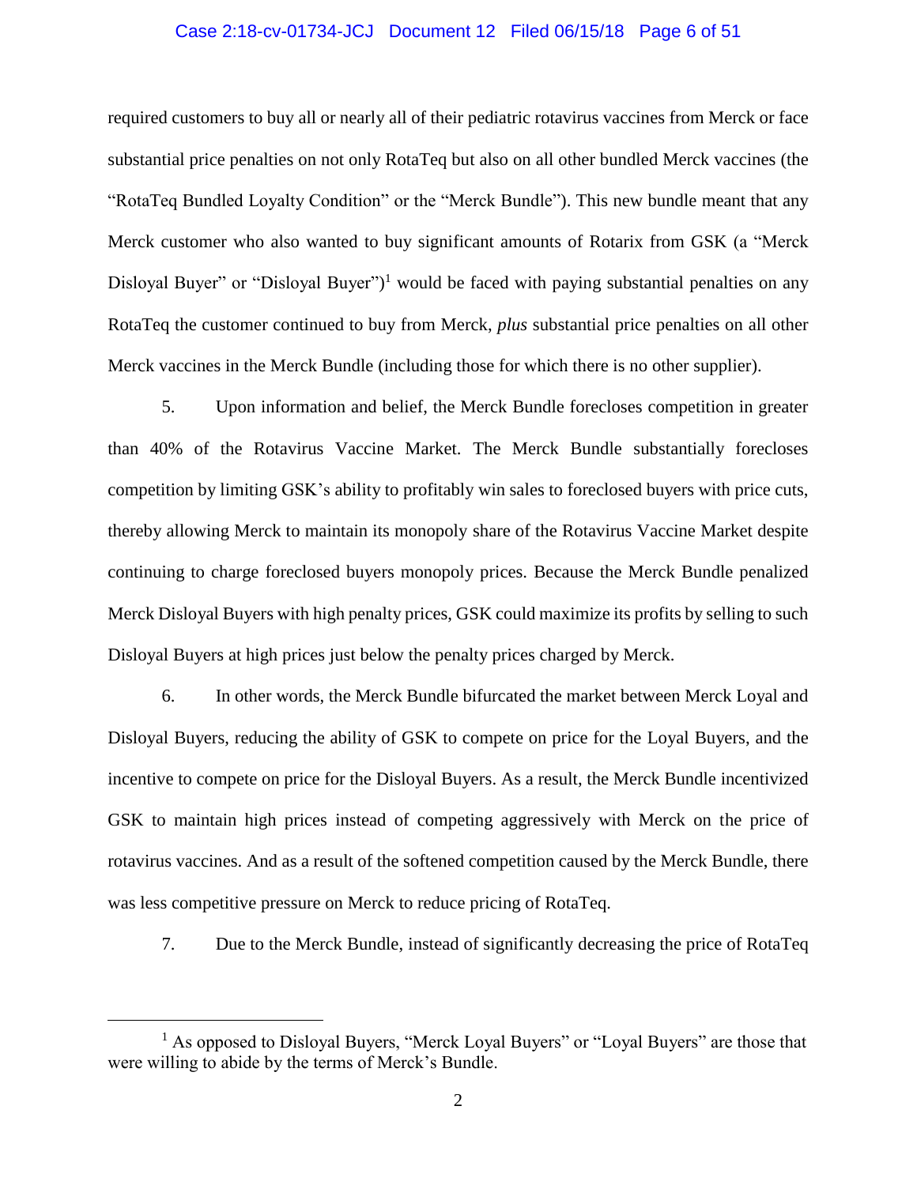#### Case 2:18-cv-01734-JCJ Document 12 Filed 06/15/18 Page 6 of 51

required customers to buy all or nearly all of their pediatric rotavirus vaccines from Merck or face substantial price penalties on not only RotaTeq but also on all other bundled Merck vaccines (the "RotaTeq Bundled Loyalty Condition" or the "Merck Bundle"). This new bundle meant that any Merck customer who also wanted to buy significant amounts of Rotarix from GSK (a "Merck Disloyal Buyer" or "Disloyal Buyer")<sup>1</sup> would be faced with paying substantial penalties on any RotaTeq the customer continued to buy from Merck, *plus* substantial price penalties on all other Merck vaccines in the Merck Bundle (including those for which there is no other supplier).

5. Upon information and belief, the Merck Bundle forecloses competition in greater than 40% of the Rotavirus Vaccine Market. The Merck Bundle substantially forecloses competition by limiting GSK's ability to profitably win sales to foreclosed buyers with price cuts, thereby allowing Merck to maintain its monopoly share of the Rotavirus Vaccine Market despite continuing to charge foreclosed buyers monopoly prices. Because the Merck Bundle penalized Merck Disloyal Buyers with high penalty prices, GSK could maximize its profits by selling to such Disloyal Buyers at high prices just below the penalty prices charged by Merck.

6. In other words, the Merck Bundle bifurcated the market between Merck Loyal and Disloyal Buyers, reducing the ability of GSK to compete on price for the Loyal Buyers, and the incentive to compete on price for the Disloyal Buyers. As a result, the Merck Bundle incentivized GSK to maintain high prices instead of competing aggressively with Merck on the price of rotavirus vaccines. And as a result of the softened competition caused by the Merck Bundle, there was less competitive pressure on Merck to reduce pricing of RotaTeq.

7. Due to the Merck Bundle, instead of significantly decreasing the price of RotaTeq

 $\overline{a}$ 

<sup>&</sup>lt;sup>1</sup> As opposed to Disloyal Buyers, "Merck Loyal Buyers" or "Loyal Buyers" are those that were willing to abide by the terms of Merck's Bundle.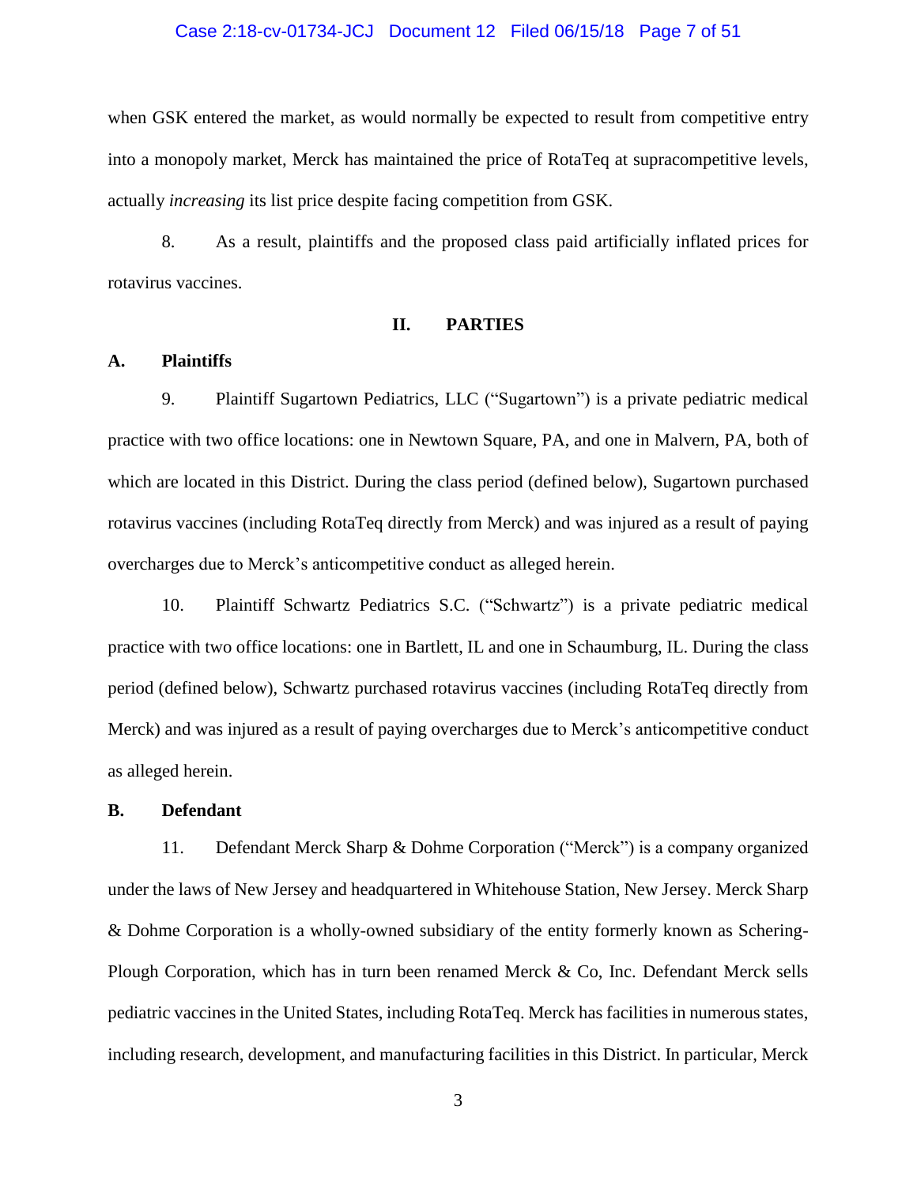#### Case 2:18-cv-01734-JCJ Document 12 Filed 06/15/18 Page 7 of 51

when GSK entered the market, as would normally be expected to result from competitive entry into a monopoly market, Merck has maintained the price of RotaTeq at supracompetitive levels, actually *increasing* its list price despite facing competition from GSK.

8. As a result, plaintiffs and the proposed class paid artificially inflated prices for rotavirus vaccines.

#### **II. PARTIES**

#### **A. Plaintiffs**

9. Plaintiff Sugartown Pediatrics, LLC ("Sugartown") is a private pediatric medical practice with two office locations: one in Newtown Square, PA, and one in Malvern, PA, both of which are located in this District. During the class period (defined below), Sugartown purchased rotavirus vaccines (including RotaTeq directly from Merck) and was injured as a result of paying overcharges due to Merck's anticompetitive conduct as alleged herein.

10. Plaintiff Schwartz Pediatrics S.C. ("Schwartz") is a private pediatric medical practice with two office locations: one in Bartlett, IL and one in Schaumburg, IL. During the class period (defined below), Schwartz purchased rotavirus vaccines (including RotaTeq directly from Merck) and was injured as a result of paying overcharges due to Merck's anticompetitive conduct as alleged herein.

#### **B. Defendant**

11. Defendant Merck Sharp & Dohme Corporation ("Merck") is a company organized under the laws of New Jersey and headquartered in Whitehouse Station, New Jersey. Merck Sharp & Dohme Corporation is a wholly-owned subsidiary of the entity formerly known as Schering-Plough Corporation, which has in turn been renamed Merck & Co, Inc. Defendant Merck sells pediatric vaccines in the United States, including RotaTeq. Merck has facilities in numerous states, including research, development, and manufacturing facilities in this District. In particular, Merck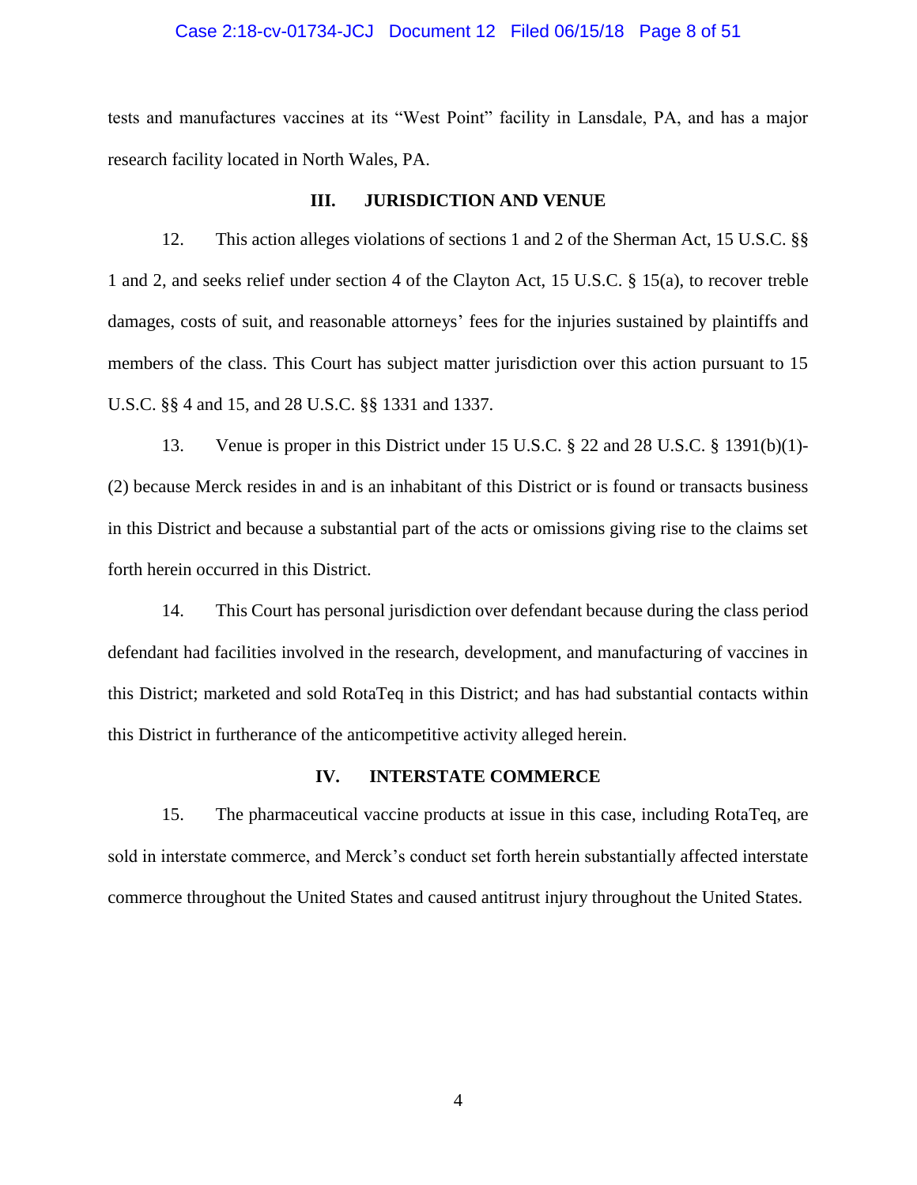#### Case 2:18-cv-01734-JCJ Document 12 Filed 06/15/18 Page 8 of 51

tests and manufactures vaccines at its "West Point" facility in Lansdale, PA, and has a major research facility located in North Wales, PA.

#### **III. JURISDICTION AND VENUE**

12. This action alleges violations of sections 1 and 2 of the Sherman Act, 15 U.S.C. §§ 1 and 2, and seeks relief under section 4 of the Clayton Act, 15 U.S.C. § 15(a), to recover treble damages, costs of suit, and reasonable attorneys' fees for the injuries sustained by plaintiffs and members of the class. This Court has subject matter jurisdiction over this action pursuant to 15 U.S.C. §§ 4 and 15, and 28 U.S.C. §§ 1331 and 1337.

13. Venue is proper in this District under 15 U.S.C. § 22 and 28 U.S.C. § 1391(b)(1)- (2) because Merck resides in and is an inhabitant of this District or is found or transacts business in this District and because a substantial part of the acts or omissions giving rise to the claims set forth herein occurred in this District.

14. This Court has personal jurisdiction over defendant because during the class period defendant had facilities involved in the research, development, and manufacturing of vaccines in this District; marketed and sold RotaTeq in this District; and has had substantial contacts within this District in furtherance of the anticompetitive activity alleged herein.

### **IV. INTERSTATE COMMERCE**

15. The pharmaceutical vaccine products at issue in this case, including RotaTeq, are sold in interstate commerce, and Merck's conduct set forth herein substantially affected interstate commerce throughout the United States and caused antitrust injury throughout the United States.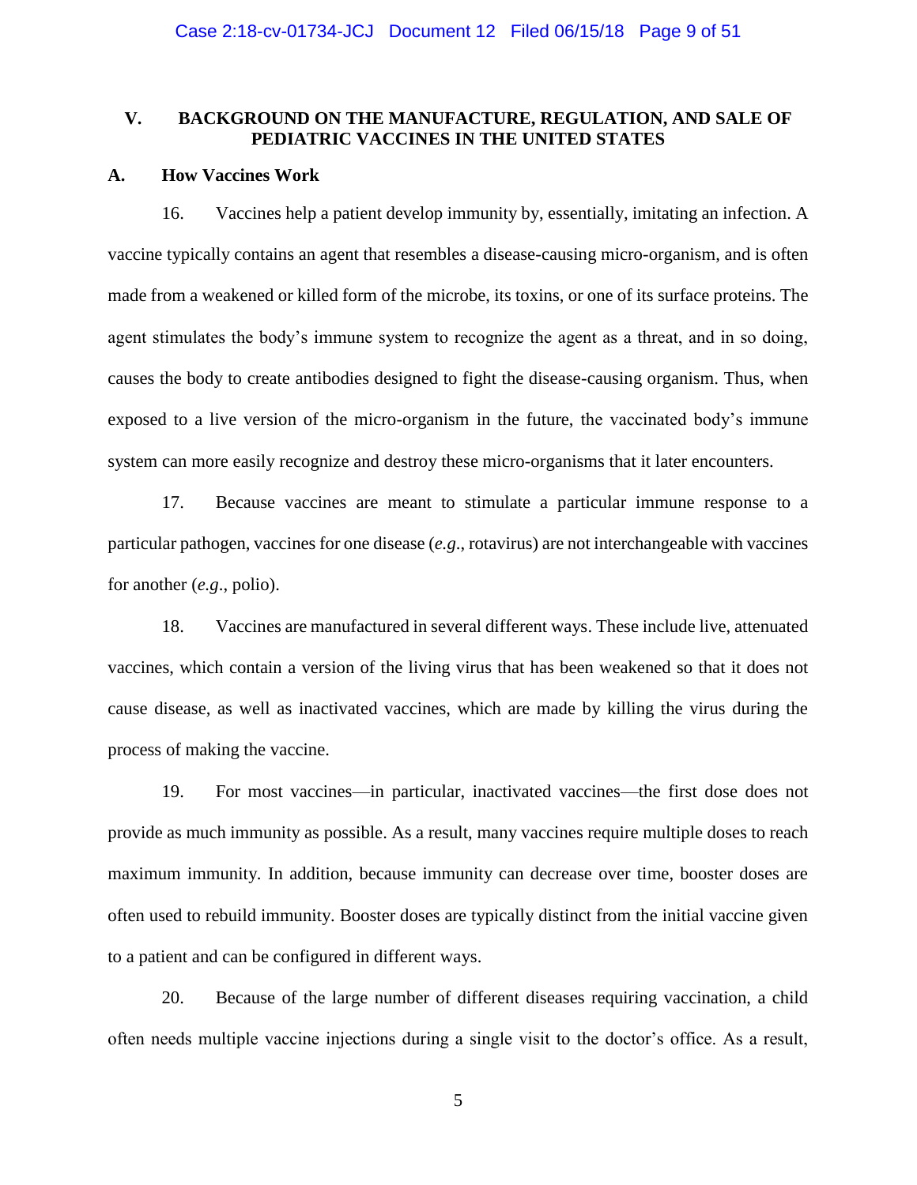## **V. BACKGROUND ON THE MANUFACTURE, REGULATION, AND SALE OF PEDIATRIC VACCINES IN THE UNITED STATES**

### **A. How Vaccines Work**

16. Vaccines help a patient develop immunity by, essentially, imitating an infection. A vaccine typically contains an agent that resembles a disease-causing micro-organism, and is often made from a weakened or killed form of the microbe, its toxins, or one of its surface proteins. The agent stimulates the body's immune system to recognize the agent as a threat, and in so doing, causes the body to create antibodies designed to fight the disease-causing organism. Thus, when exposed to a live version of the micro-organism in the future, the vaccinated body's immune system can more easily recognize and destroy these micro-organisms that it later encounters.

17. Because vaccines are meant to stimulate a particular immune response to a particular pathogen, vaccines for one disease (*e.g*., rotavirus) are not interchangeable with vaccines for another (*e.g*., polio).

18. Vaccines are manufactured in several different ways. These include live, attenuated vaccines, which contain a version of the living virus that has been weakened so that it does not cause disease, as well as inactivated vaccines, which are made by killing the virus during the process of making the vaccine.

19. For most vaccines—in particular, inactivated vaccines—the first dose does not provide as much immunity as possible. As a result, many vaccines require multiple doses to reach maximum immunity. In addition, because immunity can decrease over time, booster doses are often used to rebuild immunity. Booster doses are typically distinct from the initial vaccine given to a patient and can be configured in different ways.

20. Because of the large number of different diseases requiring vaccination, a child often needs multiple vaccine injections during a single visit to the doctor's office. As a result,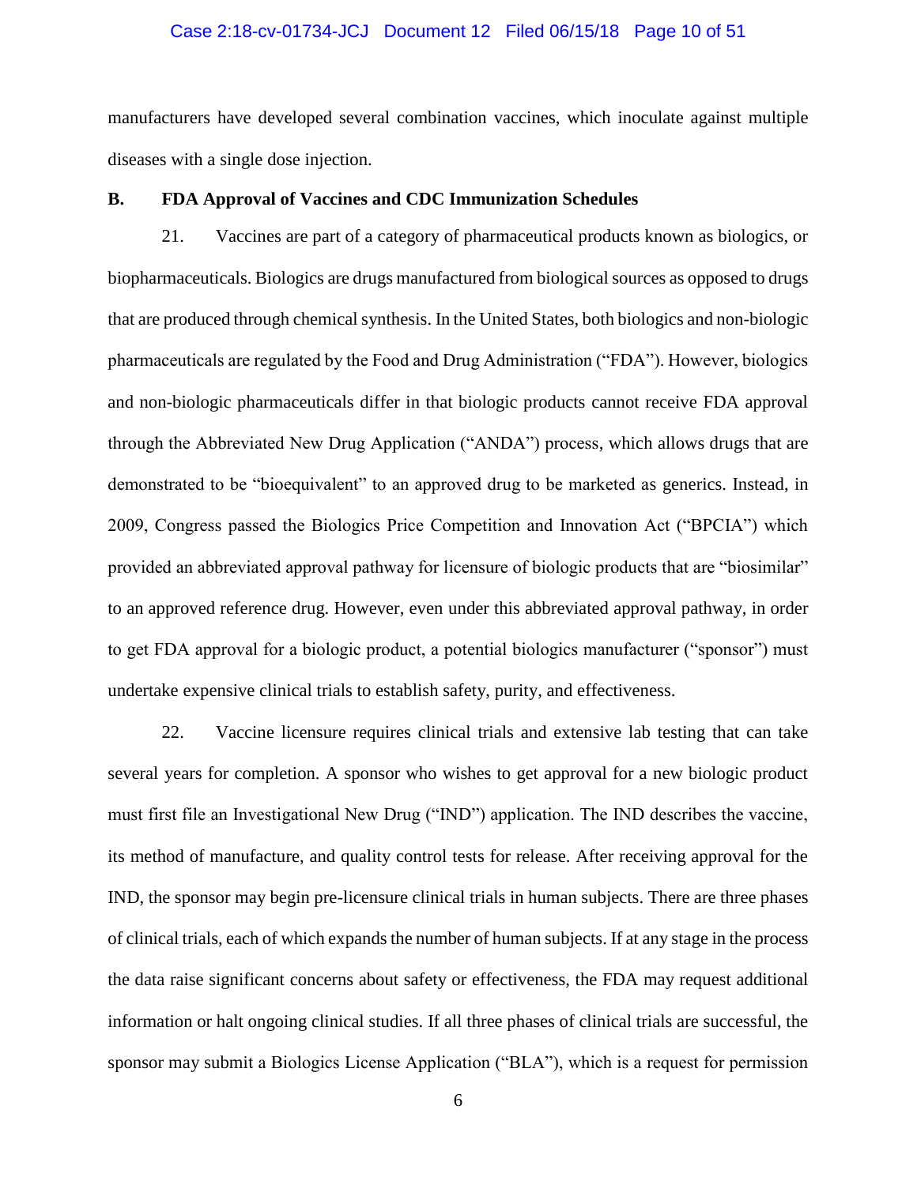#### Case 2:18-cv-01734-JCJ Document 12 Filed 06/15/18 Page 10 of 51

manufacturers have developed several combination vaccines, which inoculate against multiple diseases with a single dose injection.

#### **B. FDA Approval of Vaccines and CDC Immunization Schedules**

21. Vaccines are part of a category of pharmaceutical products known as biologics, or biopharmaceuticals. Biologics are drugs manufactured from biological sources as opposed to drugs that are produced through chemical synthesis. In the United States, both biologics and non-biologic pharmaceuticals are regulated by the Food and Drug Administration ("FDA"). However, biologics and non-biologic pharmaceuticals differ in that biologic products cannot receive FDA approval through the Abbreviated New Drug Application ("ANDA") process, which allows drugs that are demonstrated to be "bioequivalent" to an approved drug to be marketed as generics. Instead, in 2009, Congress passed the Biologics Price Competition and Innovation Act ("BPCIA") which provided an abbreviated approval pathway for licensure of biologic products that are "biosimilar" to an approved reference drug. However, even under this abbreviated approval pathway, in order to get FDA approval for a biologic product, a potential biologics manufacturer ("sponsor") must undertake expensive clinical trials to establish safety, purity, and effectiveness.

22. Vaccine licensure requires clinical trials and extensive lab testing that can take several years for completion. A sponsor who wishes to get approval for a new biologic product must first file an Investigational New Drug ("IND") application. The IND describes the vaccine, its method of manufacture, and quality control tests for release. After receiving approval for the IND, the sponsor may begin pre-licensure clinical trials in human subjects. There are three phases of clinical trials, each of which expands the number of human subjects. If at any stage in the process the data raise significant concerns about safety or effectiveness, the FDA may request additional information or halt ongoing clinical studies. If all three phases of clinical trials are successful, the sponsor may submit a Biologics License Application ("BLA"), which is a request for permission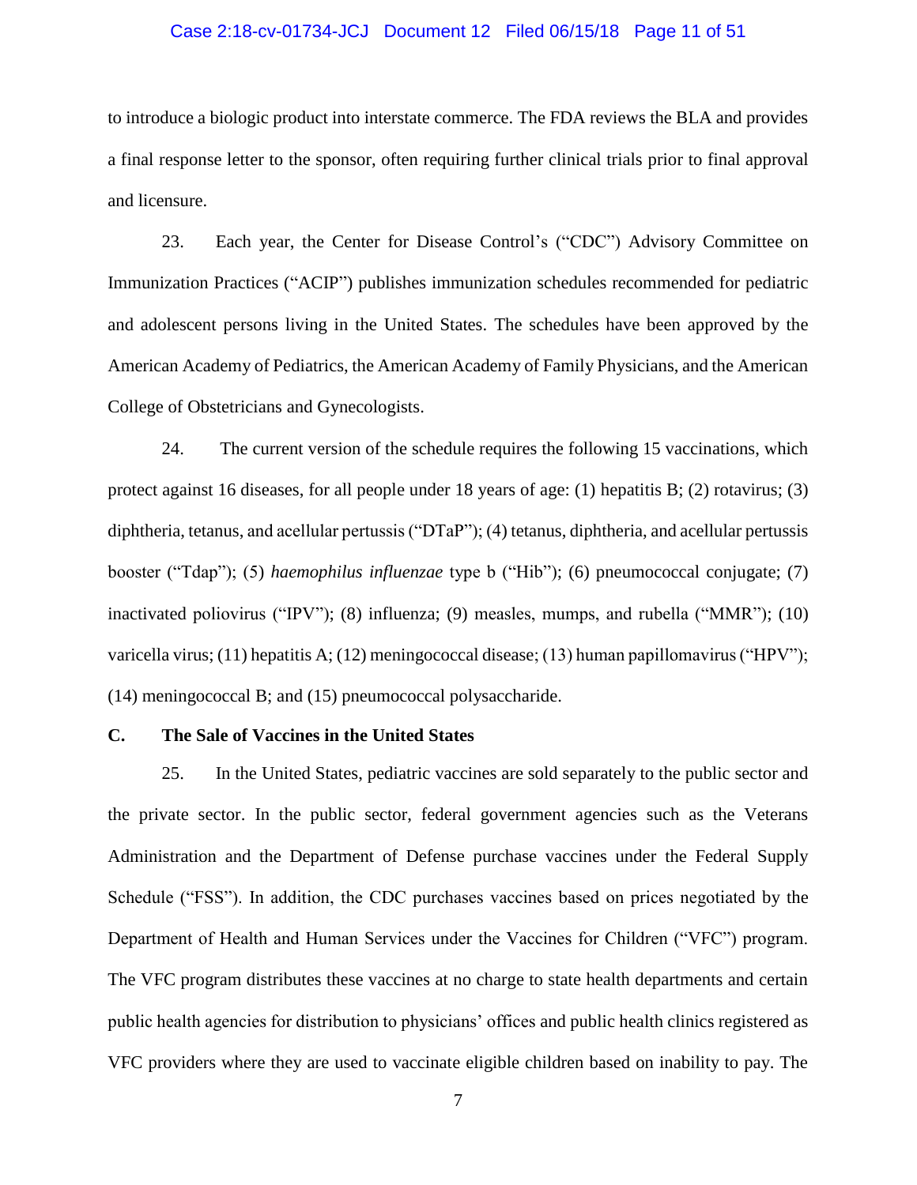## Case 2:18-cv-01734-JCJ Document 12 Filed 06/15/18 Page 11 of 51

to introduce a biologic product into interstate commerce. The FDA reviews the BLA and provides a final response letter to the sponsor, often requiring further clinical trials prior to final approval and licensure.

23. Each year, the Center for Disease Control's ("CDC") Advisory Committee on Immunization Practices ("ACIP") publishes immunization schedules recommended for pediatric and adolescent persons living in the United States. The schedules have been approved by the American Academy of Pediatrics, the American Academy of Family Physicians, and the American College of Obstetricians and Gynecologists.

24. The current version of the schedule requires the following 15 vaccinations, which protect against 16 diseases, for all people under 18 years of age: (1) hepatitis B; (2) rotavirus; (3) diphtheria, tetanus, and acellular pertussis ("DTaP"); (4) tetanus, diphtheria, and acellular pertussis booster ("Tdap"); (5) *haemophilus influenzae* type b ("Hib"); (6) pneumococcal conjugate; (7) inactivated poliovirus ("IPV"); (8) influenza; (9) measles, mumps, and rubella ("MMR"); (10) varicella virus; (11) hepatitis A; (12) meningococcal disease; (13) human papillomavirus ("HPV"); (14) meningococcal B; and (15) pneumococcal polysaccharide.

### **C. The Sale of Vaccines in the United States**

25. In the United States, pediatric vaccines are sold separately to the public sector and the private sector. In the public sector, federal government agencies such as the Veterans Administration and the Department of Defense purchase vaccines under the Federal Supply Schedule ("FSS"). In addition, the CDC purchases vaccines based on prices negotiated by the Department of Health and Human Services under the Vaccines for Children ("VFC") program. The VFC program distributes these vaccines at no charge to state health departments and certain public health agencies for distribution to physicians' offices and public health clinics registered as VFC providers where they are used to vaccinate eligible children based on inability to pay. The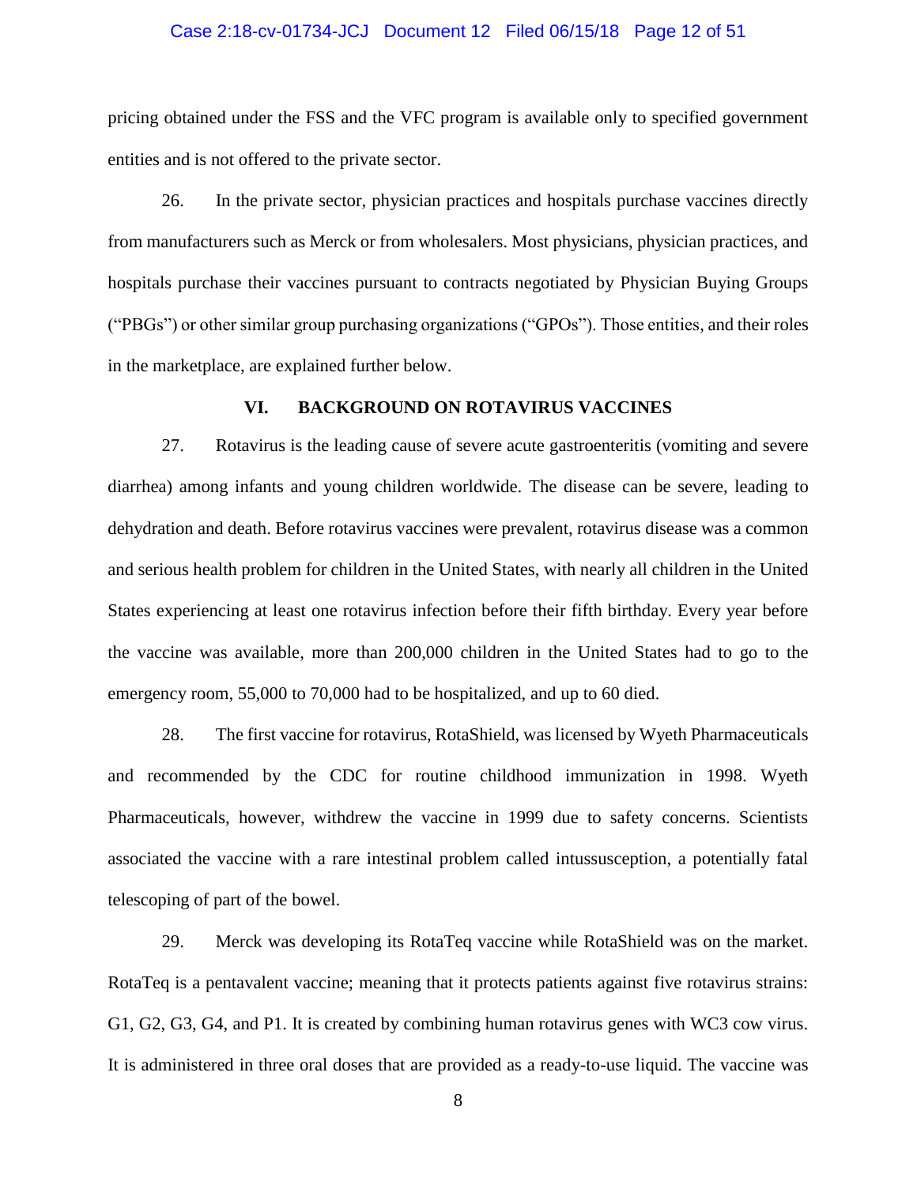#### Case 2:18-cv-01734-JCJ Document 12 Filed 06/15/18 Page 12 of 51

pricing obtained under the FSS and the VFC program is available only to specified government entities and is not offered to the private sector.

26. In the private sector, physician practices and hospitals purchase vaccines directly from manufacturers such as Merck or from wholesalers. Most physicians, physician practices, and hospitals purchase their vaccines pursuant to contracts negotiated by Physician Buying Groups ("PBGs") or other similar group purchasing organizations ("GPOs"). Those entities, and their roles in the marketplace, are explained further below.

### **VI. BACKGROUND ON ROTAVIRUS VACCINES**

27. Rotavirus is the leading cause of severe acute gastroenteritis (vomiting and severe diarrhea) among infants and young children worldwide. The disease can be severe, leading to dehydration and death. Before rotavirus vaccines were prevalent, rotavirus disease was a common and serious health problem for children in the United States, with nearly all children in the United States experiencing at least one rotavirus infection before their fifth birthday. Every year before the vaccine was available, more than 200,000 children in the United States had to go to the emergency room, 55,000 to 70,000 had to be hospitalized, and up to 60 died.

28. The first vaccine for rotavirus, RotaShield, was licensed by Wyeth Pharmaceuticals and recommended by the CDC for routine childhood immunization in 1998. Wyeth Pharmaceuticals, however, withdrew the vaccine in 1999 due to safety concerns. Scientists associated the vaccine with a rare intestinal problem called intussusception, a potentially fatal telescoping of part of the bowel.

29. Merck was developing its RotaTeq vaccine while RotaShield was on the market. RotaTeq is a pentavalent vaccine; meaning that it protects patients against five rotavirus strains: G1, G2, G3, G4, and P1. It is created by combining human rotavirus genes with WC3 cow virus. It is administered in three oral doses that are provided as a ready-to-use liquid. The vaccine was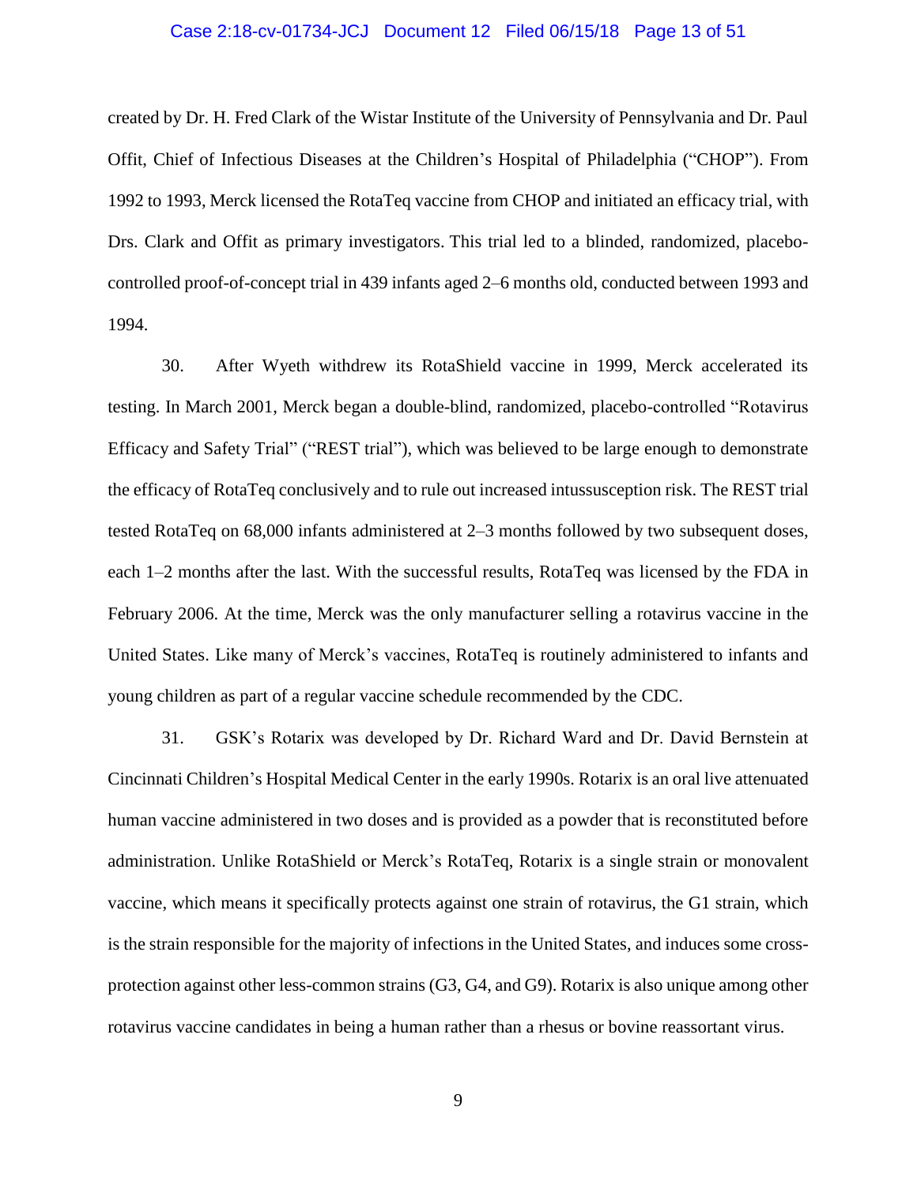## Case 2:18-cv-01734-JCJ Document 12 Filed 06/15/18 Page 13 of 51

created by Dr. H. Fred Clark of the Wistar Institute of the University of Pennsylvania and Dr. Paul Offit, Chief of Infectious Diseases at the Children's Hospital of Philadelphia ("CHOP"). From 1992 to 1993, Merck licensed the RotaTeq vaccine from CHOP and initiated an efficacy trial, with Drs. Clark and Offit as primary investigators. This trial led to a blinded, randomized, placebocontrolled proof-of-concept trial in 439 infants aged 2–6 months old, conducted between 1993 and 1994.

30. After Wyeth withdrew its RotaShield vaccine in 1999, Merck accelerated its testing. In March 2001, Merck began a double-blind, randomized, placebo-controlled "Rotavirus Efficacy and Safety Trial" ("REST trial"), which was believed to be large enough to demonstrate the efficacy of RotaTeq conclusively and to rule out increased intussusception risk. The REST trial tested RotaTeq on 68,000 infants administered at 2–3 months followed by two subsequent doses, each 1–2 months after the last. With the successful results, RotaTeq was licensed by the FDA in February 2006. At the time, Merck was the only manufacturer selling a rotavirus vaccine in the United States. Like many of Merck's vaccines, RotaTeq is routinely administered to infants and young children as part of a regular vaccine schedule recommended by the CDC.

31. GSK's Rotarix was developed by Dr. Richard Ward and Dr. David Bernstein at Cincinnati Children's Hospital Medical Center in the early 1990s. Rotarix is an oral live attenuated human vaccine administered in two doses and is provided as a powder that is reconstituted before administration. Unlike RotaShield or Merck's RotaTeq, Rotarix is a single strain or monovalent vaccine, which means it specifically protects against one strain of rotavirus, the G1 strain, which is the strain responsible for the majority of infections in the United States, and induces some crossprotection against other less-common strains (G3, G4, and G9). Rotarix is also unique among other rotavirus vaccine candidates in being a human rather than a rhesus or bovine reassortant virus.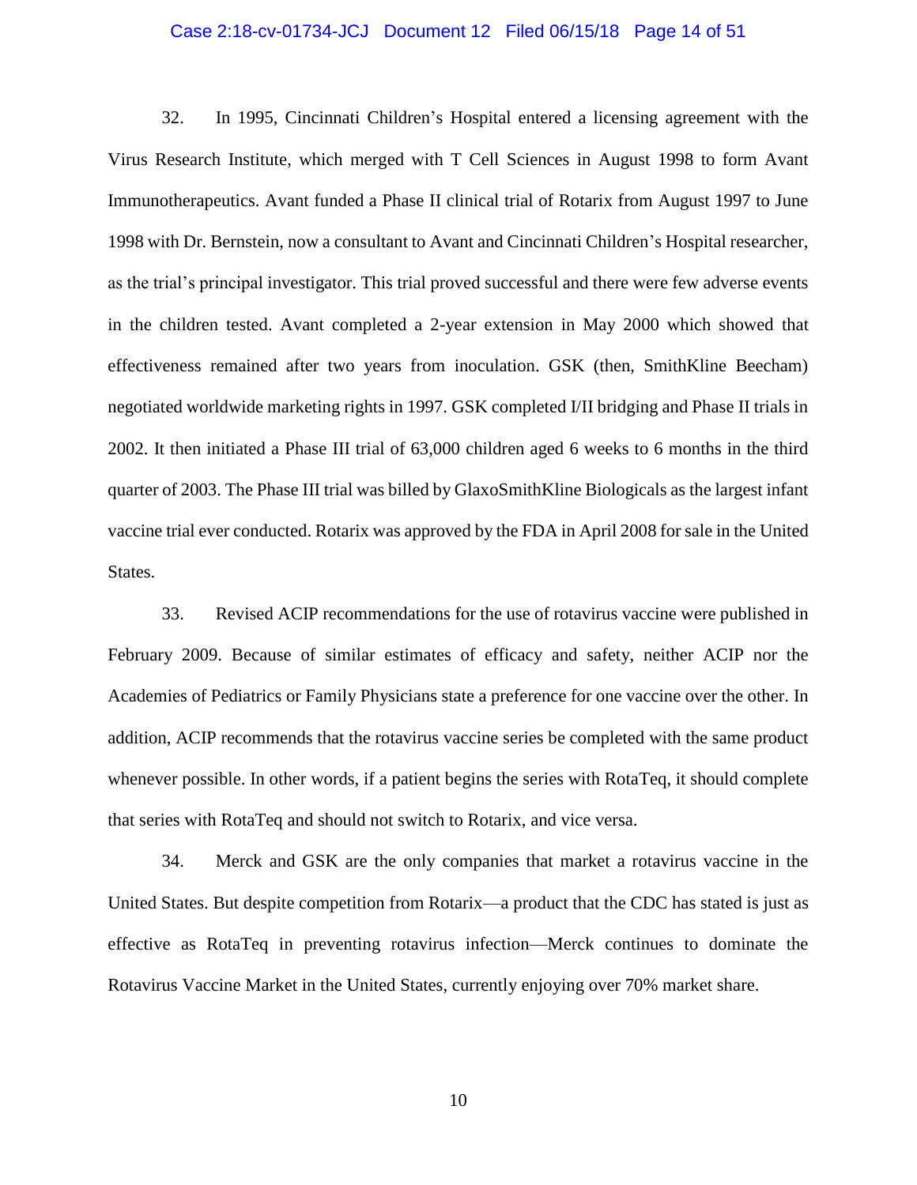#### Case 2:18-cv-01734-JCJ Document 12 Filed 06/15/18 Page 14 of 51

32. In 1995, Cincinnati Children's Hospital entered a licensing agreement with the Virus Research Institute, which merged with T Cell Sciences in August 1998 to form Avant Immunotherapeutics. Avant funded a Phase II clinical trial of Rotarix from August 1997 to June 1998 with Dr. Bernstein, now a consultant to Avant and Cincinnati Children's Hospital researcher, as the trial's principal investigator. This trial proved successful and there were few adverse events in the children tested. Avant completed a 2-year extension in May 2000 which showed that effectiveness remained after two years from inoculation. GSK (then, SmithKline Beecham) negotiated worldwide marketing rights in 1997. GSK completed I/II bridging and Phase II trials in 2002. It then initiated a Phase III trial of 63,000 children aged 6 weeks to 6 months in the third quarter of 2003. The Phase III trial was billed by GlaxoSmithKline Biologicals as the largest infant vaccine trial ever conducted. Rotarix was approved by the FDA in April 2008 for sale in the United States.

33. Revised ACIP recommendations for the use of rotavirus vaccine were published in February 2009. Because of similar estimates of efficacy and safety, neither ACIP nor the Academies of Pediatrics or Family Physicians state a preference for one vaccine over the other. In addition, ACIP recommends that the rotavirus vaccine series be completed with the same product whenever possible. In other words, if a patient begins the series with RotaTeq, it should complete that series with RotaTeq and should not switch to Rotarix, and vice versa.

34. Merck and GSK are the only companies that market a rotavirus vaccine in the United States. But despite competition from Rotarix—a product that the CDC has stated is just as effective as RotaTeq in preventing rotavirus infection—Merck continues to dominate the Rotavirus Vaccine Market in the United States, currently enjoying over 70% market share.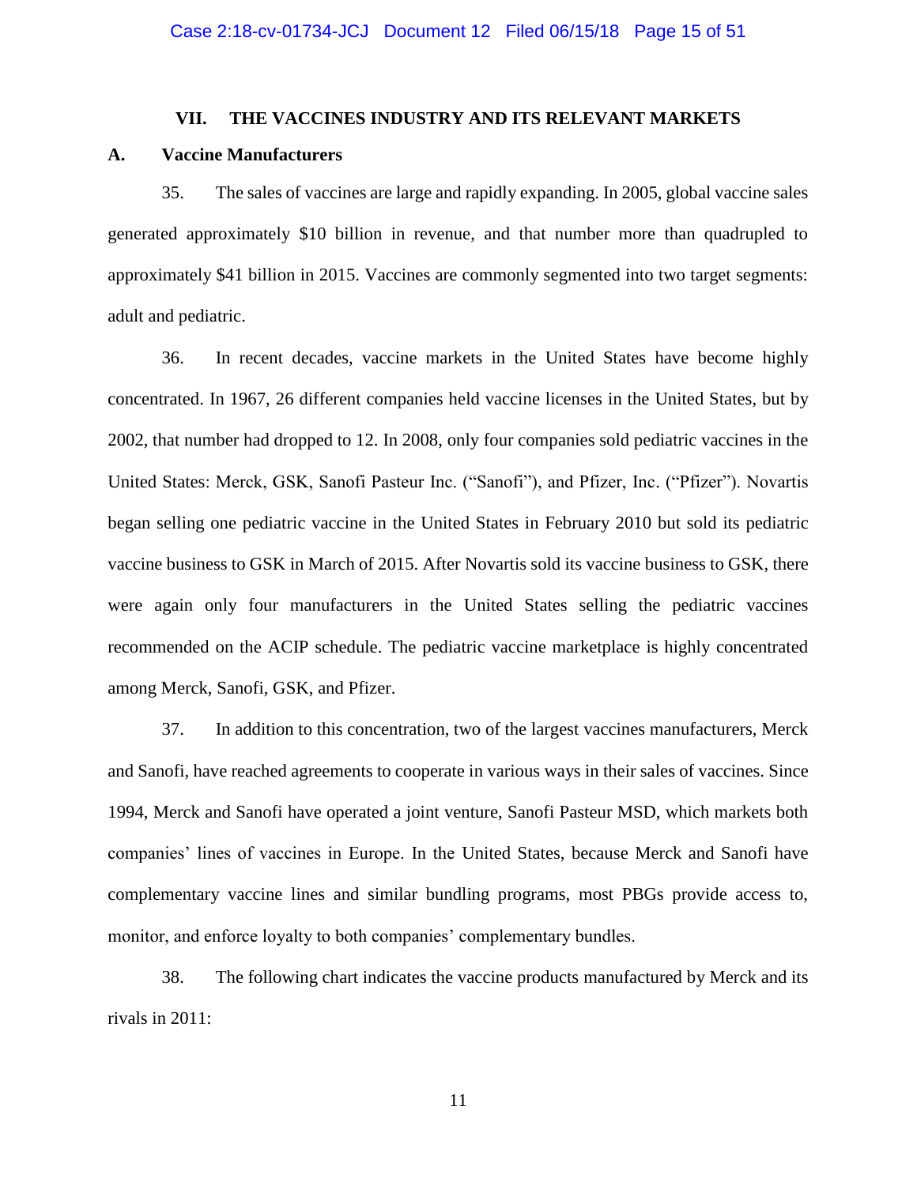### **VII. THE VACCINES INDUSTRY AND ITS RELEVANT MARKETS**

#### **A. Vaccine Manufacturers**

35. The sales of vaccines are large and rapidly expanding. In 2005, global vaccine sales generated approximately \$10 billion in revenue, and that number more than quadrupled to approximately \$41 billion in 2015. Vaccines are commonly segmented into two target segments: adult and pediatric.

36. In recent decades, vaccine markets in the United States have become highly concentrated. In 1967, 26 different companies held vaccine licenses in the United States, but by 2002, that number had dropped to 12. In 2008, only four companies sold pediatric vaccines in the United States: Merck, GSK, Sanofi Pasteur Inc. ("Sanofi"), and Pfizer, Inc. ("Pfizer"). Novartis began selling one pediatric vaccine in the United States in February 2010 but sold its pediatric vaccine business to GSK in March of 2015. After Novartis sold its vaccine business to GSK, there were again only four manufacturers in the United States selling the pediatric vaccines recommended on the ACIP schedule. The pediatric vaccine marketplace is highly concentrated among Merck, Sanofi, GSK, and Pfizer.

37. In addition to this concentration, two of the largest vaccines manufacturers, Merck and Sanofi, have reached agreements to cooperate in various ways in their sales of vaccines. Since 1994, Merck and Sanofi have operated a joint venture, Sanofi Pasteur MSD, which markets both companies' lines of vaccines in Europe. In the United States, because Merck and Sanofi have complementary vaccine lines and similar bundling programs, most PBGs provide access to, monitor, and enforce loyalty to both companies' complementary bundles.

38. The following chart indicates the vaccine products manufactured by Merck and its rivals in 2011: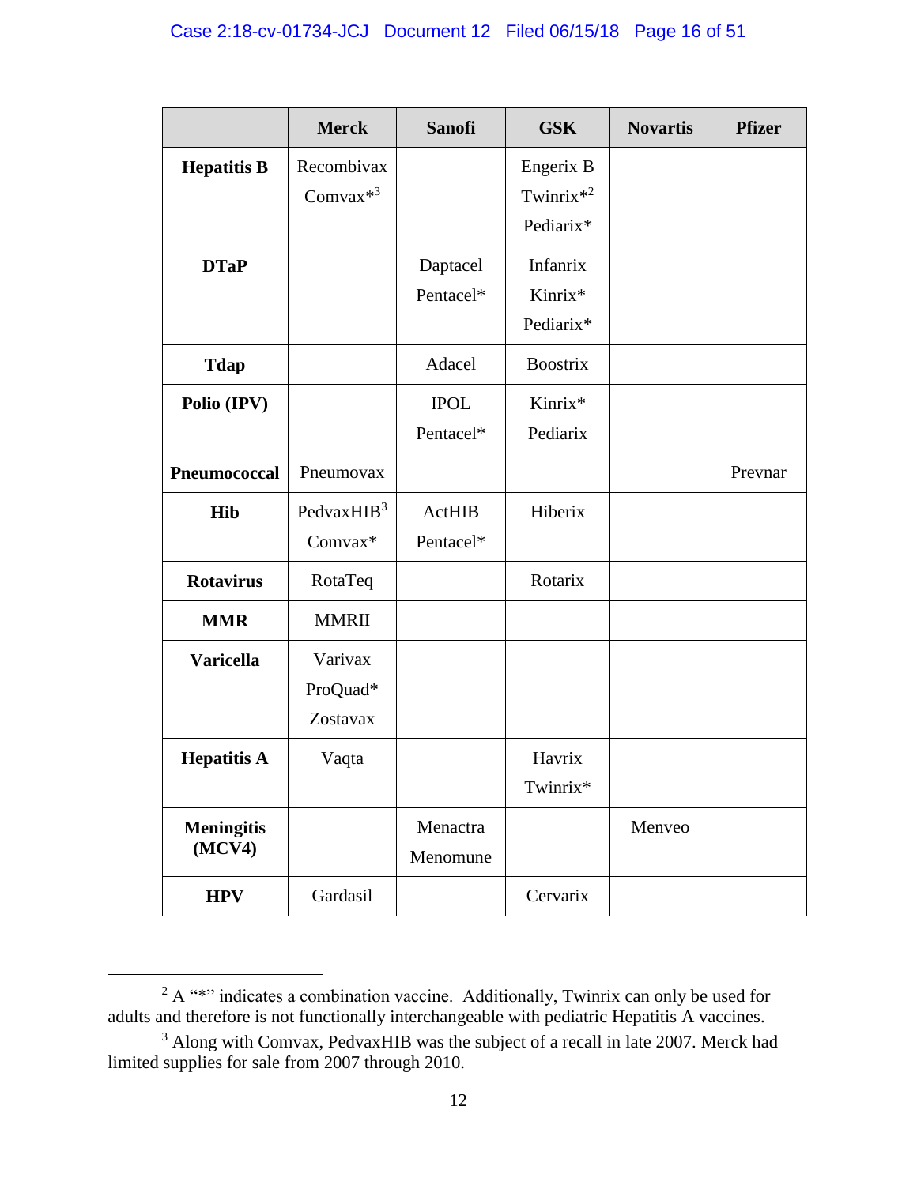|                     | <b>Merck</b>  | <b>Sanofi</b> | <b>GSK</b>      | <b>Novartis</b> | <b>Pfizer</b> |
|---------------------|---------------|---------------|-----------------|-----------------|---------------|
| <b>Hepatitis B</b>  | Recombivax    |               | Engerix B       |                 |               |
|                     | Comvax $*^3$  |               | Twinrix $*^2$   |                 |               |
|                     |               |               | Pediarix*       |                 |               |
| <b>DTaP</b>         |               | Daptacel      | <b>Infanrix</b> |                 |               |
|                     |               | Pentacel*     | Kinrix*         |                 |               |
|                     |               |               | Pediarix*       |                 |               |
| <b>Tdap</b>         |               | Adacel        | <b>Boostrix</b> |                 |               |
| Polio (IPV)         |               | <b>IPOL</b>   | Kinrix*         |                 |               |
|                     |               | Pentacel*     | Pediarix        |                 |               |
| <b>Pneumococcal</b> | Pneumovax     |               |                 |                 | Prevnar       |
| <b>Hib</b>          | Pedvax $HIB3$ | <b>ActHIB</b> | Hiberix         |                 |               |
|                     | Comvax*       | Pentacel*     |                 |                 |               |
| <b>Rotavirus</b>    | RotaTeq       |               | Rotarix         |                 |               |
| <b>MMR</b>          | <b>MMRII</b>  |               |                 |                 |               |
| <b>Varicella</b>    | Varivax       |               |                 |                 |               |
|                     | ProQuad*      |               |                 |                 |               |
|                     | Zostavax      |               |                 |                 |               |
| <b>Hepatitis A</b>  | Vaqta         |               | Havrix          |                 |               |
|                     |               |               | Twinrix*        |                 |               |
| <b>Meningitis</b>   |               | Menactra      |                 | Menveo          |               |
| (MCV4)              |               | Menomune      |                 |                 |               |
| <b>HPV</b>          | Gardasil      |               | Cervarix        |                 |               |

 $\overline{a}$ 

<sup>&</sup>lt;sup>2</sup> A "\*" indicates a combination vaccine. Additionally, Twinrix can only be used for adults and therefore is not functionally interchangeable with pediatric Hepatitis A vaccines.

<sup>3</sup> Along with Comvax, PedvaxHIB was the subject of a recall in late 2007. Merck had limited supplies for sale from 2007 through 2010.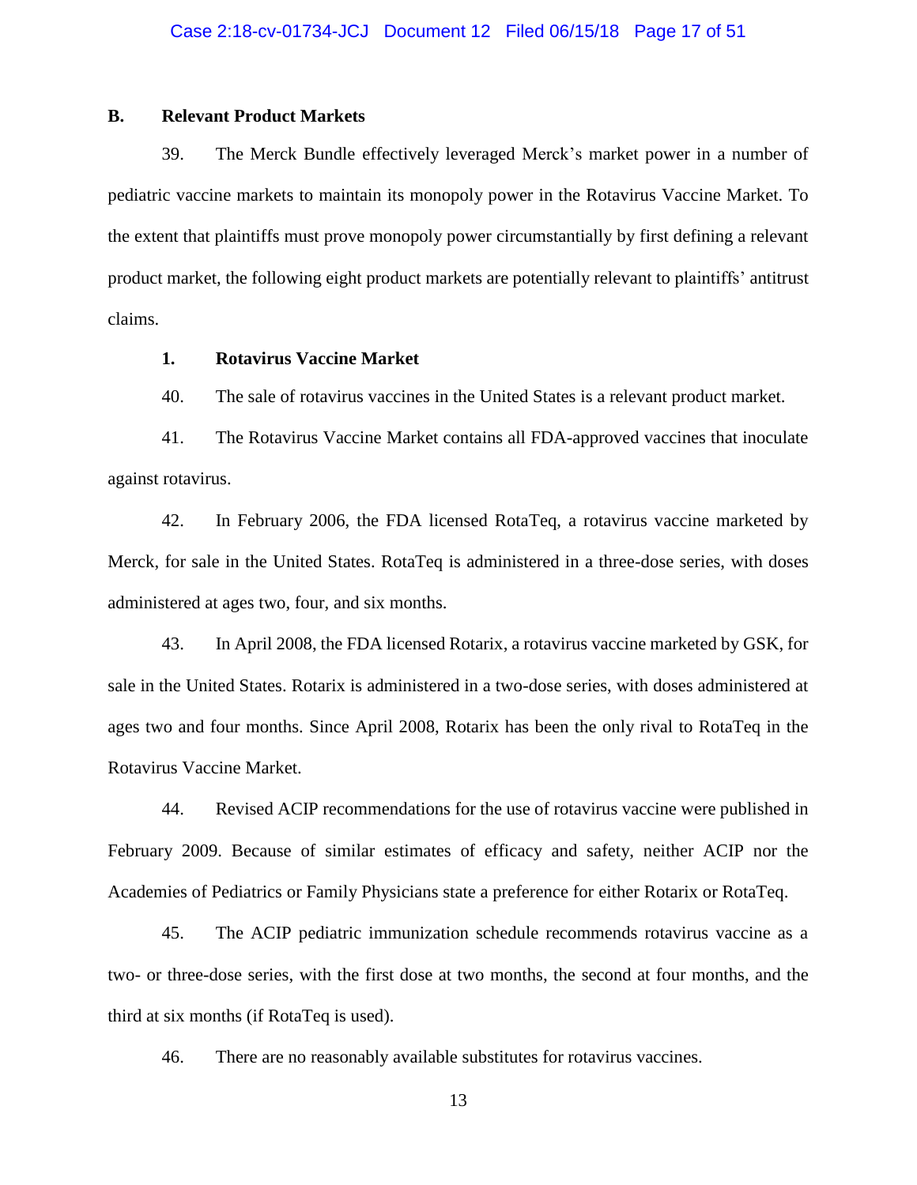#### **B. Relevant Product Markets**

39. The Merck Bundle effectively leveraged Merck's market power in a number of pediatric vaccine markets to maintain its monopoly power in the Rotavirus Vaccine Market. To the extent that plaintiffs must prove monopoly power circumstantially by first defining a relevant product market, the following eight product markets are potentially relevant to plaintiffs' antitrust claims.

### **1. Rotavirus Vaccine Market**

40. The sale of rotavirus vaccines in the United States is a relevant product market.

41. The Rotavirus Vaccine Market contains all FDA-approved vaccines that inoculate against rotavirus.

42. In February 2006, the FDA licensed RotaTeq, a rotavirus vaccine marketed by Merck, for sale in the United States. RotaTeq is administered in a three-dose series, with doses administered at ages two, four, and six months.

43. In April 2008, the FDA licensed Rotarix, a rotavirus vaccine marketed by GSK, for sale in the United States. Rotarix is administered in a two-dose series, with doses administered at ages two and four months. Since April 2008, Rotarix has been the only rival to RotaTeq in the Rotavirus Vaccine Market.

44. Revised ACIP recommendations for the use of rotavirus vaccine were published in February 2009. Because of similar estimates of efficacy and safety, neither ACIP nor the Academies of Pediatrics or Family Physicians state a preference for either Rotarix or RotaTeq.

45. The ACIP pediatric immunization schedule recommends rotavirus vaccine as a two- or three-dose series, with the first dose at two months, the second at four months, and the third at six months (if RotaTeq is used).

46. There are no reasonably available substitutes for rotavirus vaccines.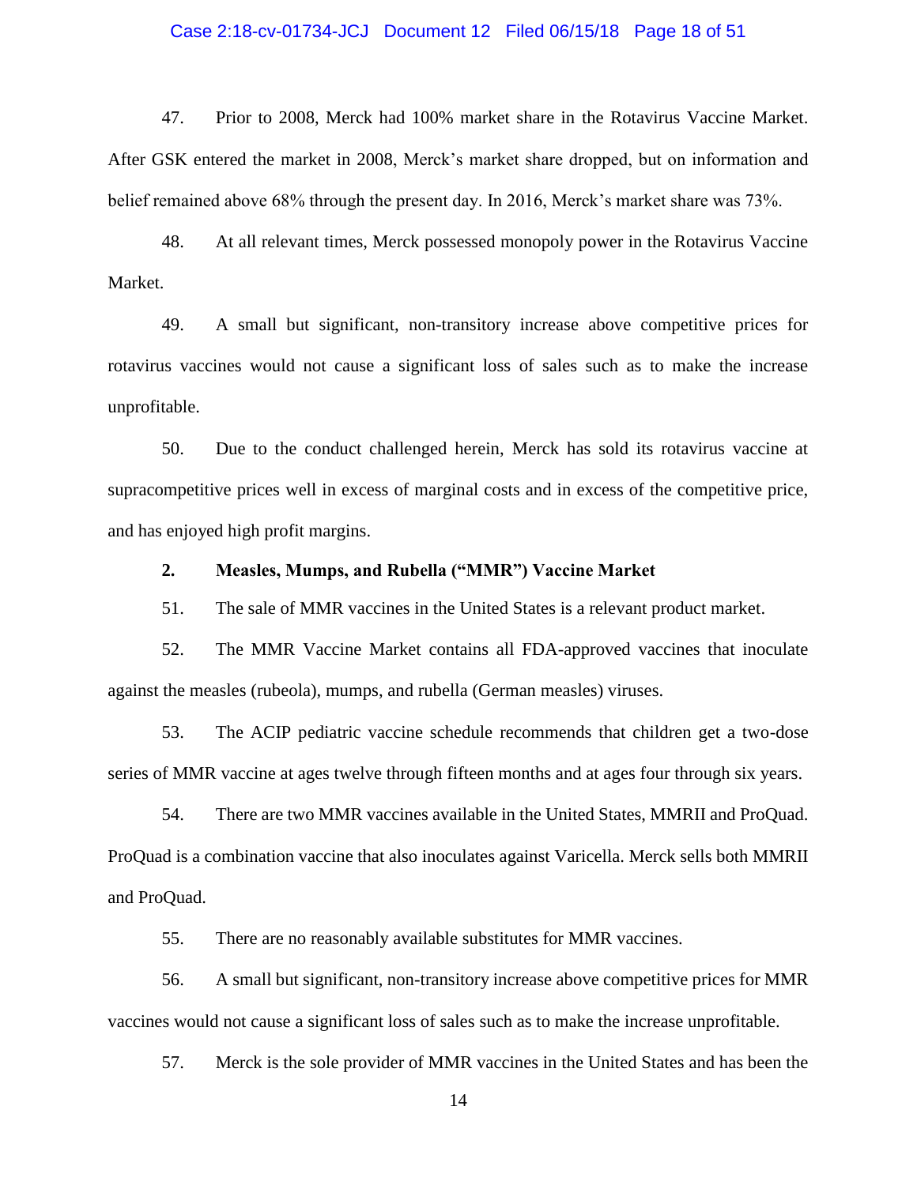#### Case 2:18-cv-01734-JCJ Document 12 Filed 06/15/18 Page 18 of 51

47. Prior to 2008, Merck had 100% market share in the Rotavirus Vaccine Market. After GSK entered the market in 2008, Merck's market share dropped, but on information and belief remained above 68% through the present day. In 2016, Merck's market share was 73%.

48. At all relevant times, Merck possessed monopoly power in the Rotavirus Vaccine Market.

49. A small but significant, non-transitory increase above competitive prices for rotavirus vaccines would not cause a significant loss of sales such as to make the increase unprofitable.

50. Due to the conduct challenged herein, Merck has sold its rotavirus vaccine at supracompetitive prices well in excess of marginal costs and in excess of the competitive price, and has enjoyed high profit margins.

## **2. Measles, Mumps, and Rubella ("MMR") Vaccine Market**

51. The sale of MMR vaccines in the United States is a relevant product market.

52. The MMR Vaccine Market contains all FDA-approved vaccines that inoculate against the measles (rubeola), mumps, and rubella (German measles) viruses.

53. The ACIP pediatric vaccine schedule recommends that children get a two-dose series of MMR vaccine at ages twelve through fifteen months and at ages four through six years.

54. There are two MMR vaccines available in the United States, MMRII and ProQuad. ProQuad is a combination vaccine that also inoculates against Varicella. Merck sells both MMRII and ProQuad.

55. There are no reasonably available substitutes for MMR vaccines.

56. A small but significant, non-transitory increase above competitive prices for MMR vaccines would not cause a significant loss of sales such as to make the increase unprofitable.

57. Merck is the sole provider of MMR vaccines in the United States and has been the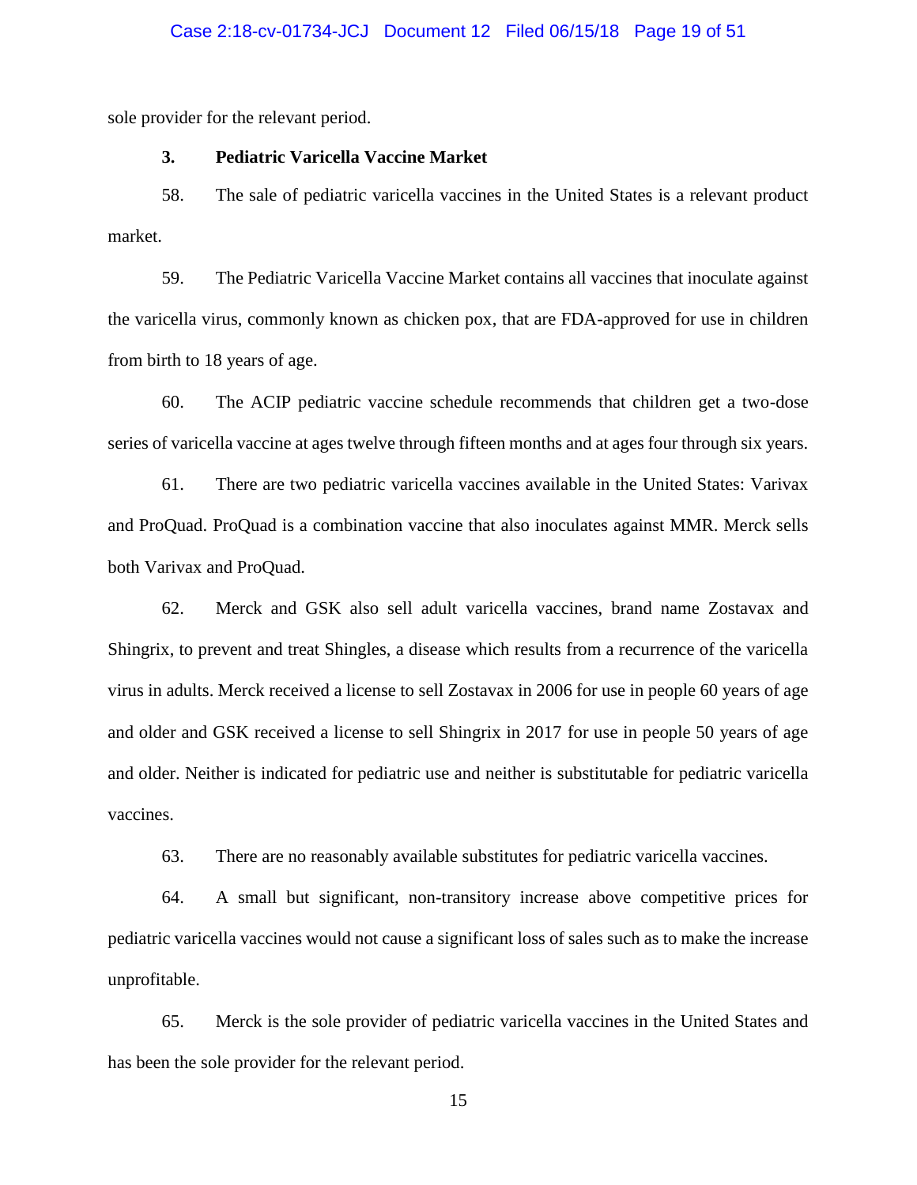#### Case 2:18-cv-01734-JCJ Document 12 Filed 06/15/18 Page 19 of 51

sole provider for the relevant period.

### **3. Pediatric Varicella Vaccine Market**

58. The sale of pediatric varicella vaccines in the United States is a relevant product market.

59. The Pediatric Varicella Vaccine Market contains all vaccines that inoculate against the varicella virus, commonly known as chicken pox, that are FDA-approved for use in children from birth to 18 years of age.

60. The ACIP pediatric vaccine schedule recommends that children get a two-dose series of varicella vaccine at ages twelve through fifteen months and at ages four through six years.

61. There are two pediatric varicella vaccines available in the United States: Varivax and ProQuad. ProQuad is a combination vaccine that also inoculates against MMR. Merck sells both Varivax and ProQuad.

62. Merck and GSK also sell adult varicella vaccines, brand name Zostavax and Shingrix, to prevent and treat Shingles, a disease which results from a recurrence of the varicella virus in adults. Merck received a license to sell Zostavax in 2006 for use in people 60 years of age and older and GSK received a license to sell Shingrix in 2017 for use in people 50 years of age and older. Neither is indicated for pediatric use and neither is substitutable for pediatric varicella vaccines.

63. There are no reasonably available substitutes for pediatric varicella vaccines.

64. A small but significant, non-transitory increase above competitive prices for pediatric varicella vaccines would not cause a significant loss of sales such as to make the increase unprofitable.

65. Merck is the sole provider of pediatric varicella vaccines in the United States and has been the sole provider for the relevant period.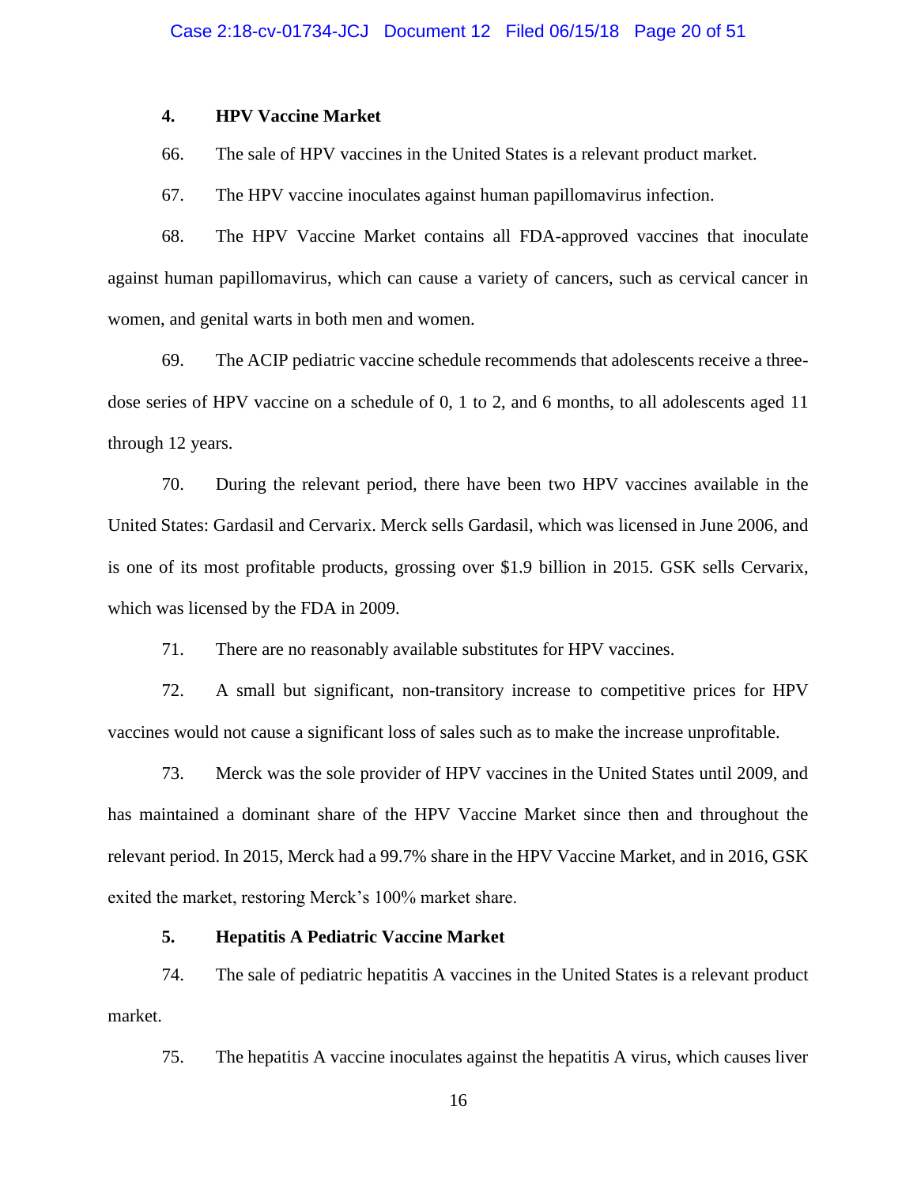## **4. HPV Vaccine Market**

66. The sale of HPV vaccines in the United States is a relevant product market.

67. The HPV vaccine inoculates against human papillomavirus infection.

68. The HPV Vaccine Market contains all FDA-approved vaccines that inoculate against human papillomavirus, which can cause a variety of cancers, such as cervical cancer in women, and genital warts in both men and women.

69. The ACIP pediatric vaccine schedule recommends that adolescents receive a threedose series of HPV vaccine on a schedule of 0, 1 to 2, and 6 months, to all adolescents aged 11 through 12 years.

70. During the relevant period, there have been two HPV vaccines available in the United States: Gardasil and Cervarix. Merck sells Gardasil, which was licensed in June 2006, and is one of its most profitable products, grossing over \$1.9 billion in 2015. GSK sells Cervarix, which was licensed by the FDA in 2009.

71. There are no reasonably available substitutes for HPV vaccines.

72. A small but significant, non-transitory increase to competitive prices for HPV vaccines would not cause a significant loss of sales such as to make the increase unprofitable.

73. Merck was the sole provider of HPV vaccines in the United States until 2009, and has maintained a dominant share of the HPV Vaccine Market since then and throughout the relevant period. In 2015, Merck had a 99.7% share in the HPV Vaccine Market, and in 2016, GSK exited the market, restoring Merck's 100% market share.

#### **5. Hepatitis A Pediatric Vaccine Market**

74. The sale of pediatric hepatitis A vaccines in the United States is a relevant product market.

75. The hepatitis A vaccine inoculates against the hepatitis A virus, which causes liver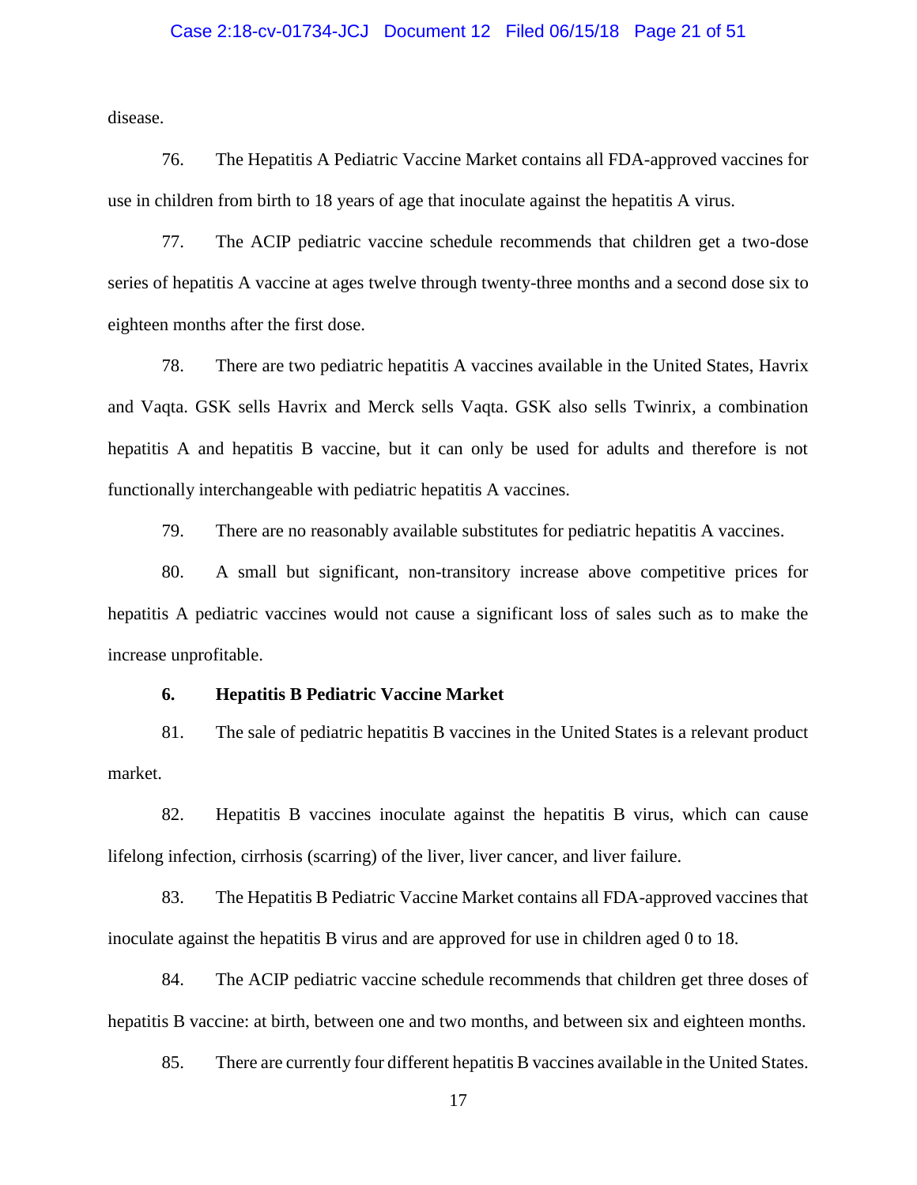#### Case 2:18-cv-01734-JCJ Document 12 Filed 06/15/18 Page 21 of 51

disease.

76. The Hepatitis A Pediatric Vaccine Market contains all FDA-approved vaccines for use in children from birth to 18 years of age that inoculate against the hepatitis A virus.

77. The ACIP pediatric vaccine schedule recommends that children get a two-dose series of hepatitis A vaccine at ages twelve through twenty-three months and a second dose six to eighteen months after the first dose.

78. There are two pediatric hepatitis A vaccines available in the United States, Havrix and Vaqta. GSK sells Havrix and Merck sells Vaqta. GSK also sells Twinrix, a combination hepatitis A and hepatitis B vaccine, but it can only be used for adults and therefore is not functionally interchangeable with pediatric hepatitis A vaccines.

79. There are no reasonably available substitutes for pediatric hepatitis A vaccines.

80. A small but significant, non-transitory increase above competitive prices for hepatitis A pediatric vaccines would not cause a significant loss of sales such as to make the increase unprofitable.

## **6. Hepatitis B Pediatric Vaccine Market**

81. The sale of pediatric hepatitis B vaccines in the United States is a relevant product market.

82. Hepatitis B vaccines inoculate against the hepatitis B virus, which can cause lifelong infection, cirrhosis (scarring) of the liver, liver cancer, and liver failure.

83. The Hepatitis B Pediatric Vaccine Market contains all FDA-approved vaccines that inoculate against the hepatitis B virus and are approved for use in children aged 0 to 18.

84. The ACIP pediatric vaccine schedule recommends that children get three doses of hepatitis B vaccine: at birth, between one and two months, and between six and eighteen months.

85. There are currently four different hepatitis B vaccines available in the United States.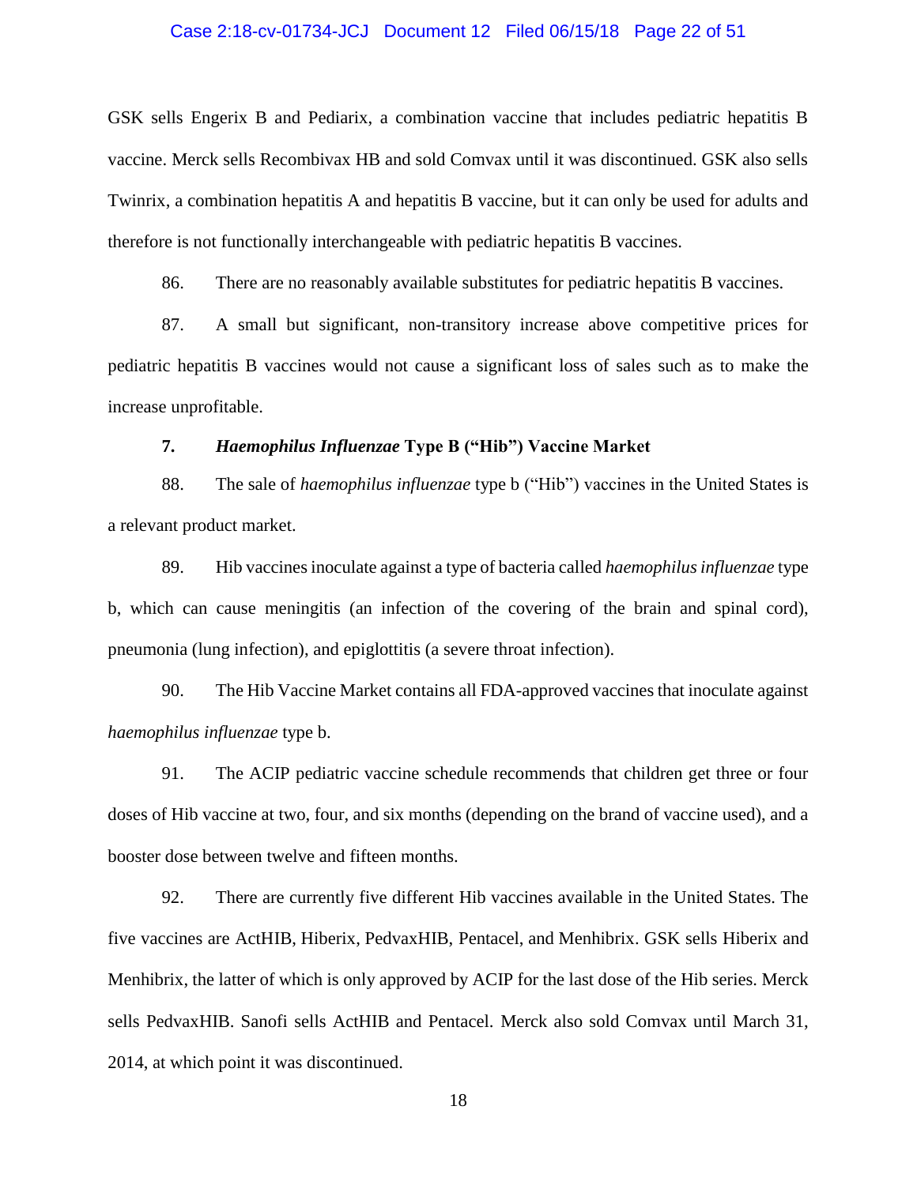#### Case 2:18-cv-01734-JCJ Document 12 Filed 06/15/18 Page 22 of 51

GSK sells Engerix B and Pediarix, a combination vaccine that includes pediatric hepatitis B vaccine. Merck sells Recombivax HB and sold Comvax until it was discontinued. GSK also sells Twinrix, a combination hepatitis A and hepatitis B vaccine, but it can only be used for adults and therefore is not functionally interchangeable with pediatric hepatitis B vaccines.

86. There are no reasonably available substitutes for pediatric hepatitis B vaccines.

87. A small but significant, non-transitory increase above competitive prices for pediatric hepatitis B vaccines would not cause a significant loss of sales such as to make the increase unprofitable.

### **7.** *Haemophilus Influenzae* **Type B ("Hib") Vaccine Market**

88. The sale of *haemophilus influenzae* type b ("Hib") vaccines in the United States is a relevant product market.

89. Hib vaccines inoculate against a type of bacteria called *haemophilus influenzae* type b, which can cause meningitis (an infection of the covering of the brain and spinal cord), pneumonia (lung infection), and epiglottitis (a severe throat infection).

90. The Hib Vaccine Market contains all FDA-approved vaccines that inoculate against *haemophilus influenzae* type b.

91. The ACIP pediatric vaccine schedule recommends that children get three or four doses of Hib vaccine at two, four, and six months (depending on the brand of vaccine used), and a booster dose between twelve and fifteen months.

92. There are currently five different Hib vaccines available in the United States. The five vaccines are ActHIB, Hiberix, PedvaxHIB, Pentacel, and Menhibrix. GSK sells Hiberix and Menhibrix, the latter of which is only approved by ACIP for the last dose of the Hib series. Merck sells PedvaxHIB. Sanofi sells ActHIB and Pentacel. Merck also sold Comvax until March 31, 2014, at which point it was discontinued.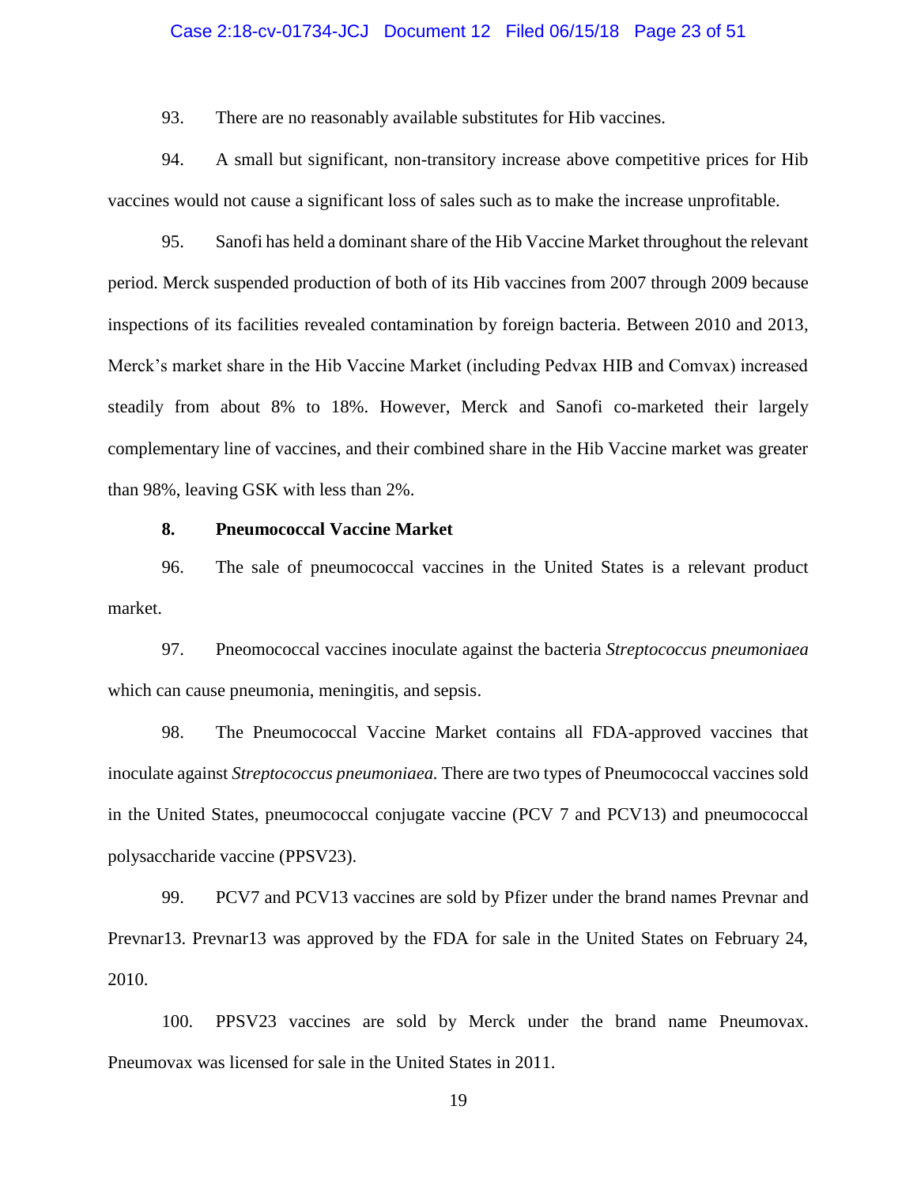#### Case 2:18-cv-01734-JCJ Document 12 Filed 06/15/18 Page 23 of 51

93. There are no reasonably available substitutes for Hib vaccines.

94. A small but significant, non-transitory increase above competitive prices for Hib vaccines would not cause a significant loss of sales such as to make the increase unprofitable.

95. Sanofi has held a dominant share of the Hib Vaccine Market throughout the relevant period. Merck suspended production of both of its Hib vaccines from 2007 through 2009 because inspections of its facilities revealed contamination by foreign bacteria. Between 2010 and 2013, Merck's market share in the Hib Vaccine Market (including Pedvax HIB and Comvax) increased steadily from about 8% to 18%. However, Merck and Sanofi co-marketed their largely complementary line of vaccines, and their combined share in the Hib Vaccine market was greater than 98%, leaving GSK with less than 2%.

#### **8. Pneumococcal Vaccine Market**

96. The sale of pneumococcal vaccines in the United States is a relevant product market.

97. Pneomococcal vaccines inoculate against the bacteria *Streptococcus pneumoniaea* which can cause pneumonia, meningitis, and sepsis.

98. The Pneumococcal Vaccine Market contains all FDA-approved vaccines that inoculate against *Streptococcus pneumoniaea.* There are two types of Pneumococcal vaccines sold in the United States, pneumococcal conjugate vaccine (PCV 7 and PCV13) and pneumococcal polysaccharide vaccine (PPSV23).

99. PCV7 and PCV13 vaccines are sold by Pfizer under the brand names Prevnar and Prevnar13. Prevnar13 was approved by the FDA for sale in the United States on February 24, 2010.

100. PPSV23 vaccines are sold by Merck under the brand name Pneumovax. Pneumovax was licensed for sale in the United States in 2011.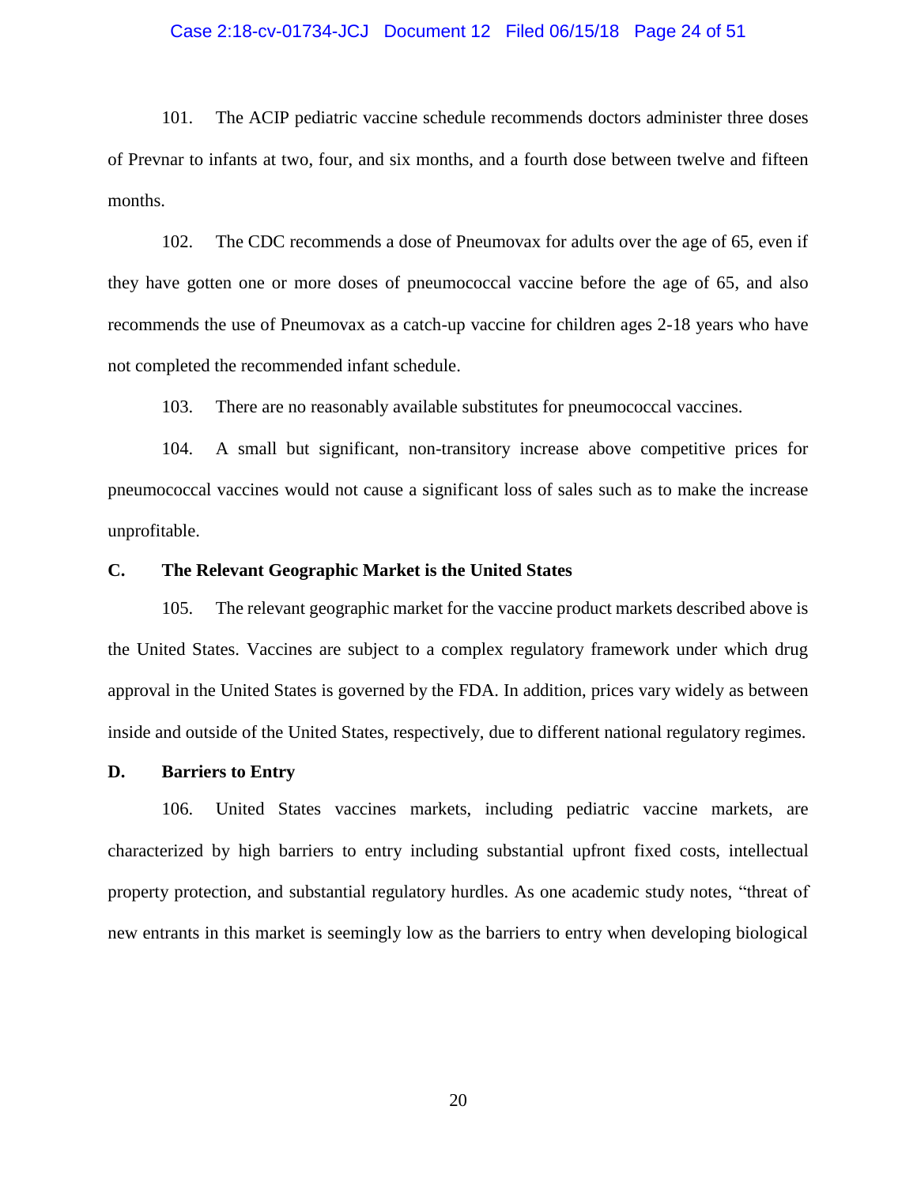#### Case 2:18-cv-01734-JCJ Document 12 Filed 06/15/18 Page 24 of 51

101. The ACIP pediatric vaccine schedule recommends doctors administer three doses of Prevnar to infants at two, four, and six months, and a fourth dose between twelve and fifteen months.

102. The CDC recommends a dose of Pneumovax for adults over the age of 65, even if they have gotten one or more doses of pneumococcal vaccine before the age of 65, and also recommends the use of Pneumovax as a catch-up vaccine for children ages 2-18 years who have not completed the recommended infant schedule.

103. There are no reasonably available substitutes for pneumococcal vaccines.

104. A small but significant, non-transitory increase above competitive prices for pneumococcal vaccines would not cause a significant loss of sales such as to make the increase unprofitable.

### **C. The Relevant Geographic Market is the United States**

105. The relevant geographic market for the vaccine product markets described above is the United States. Vaccines are subject to a complex regulatory framework under which drug approval in the United States is governed by the FDA. In addition, prices vary widely as between inside and outside of the United States, respectively, due to different national regulatory regimes.

#### **D. Barriers to Entry**

106. United States vaccines markets, including pediatric vaccine markets, are characterized by high barriers to entry including substantial upfront fixed costs, intellectual property protection, and substantial regulatory hurdles. As one academic study notes, "threat of new entrants in this market is seemingly low as the barriers to entry when developing biological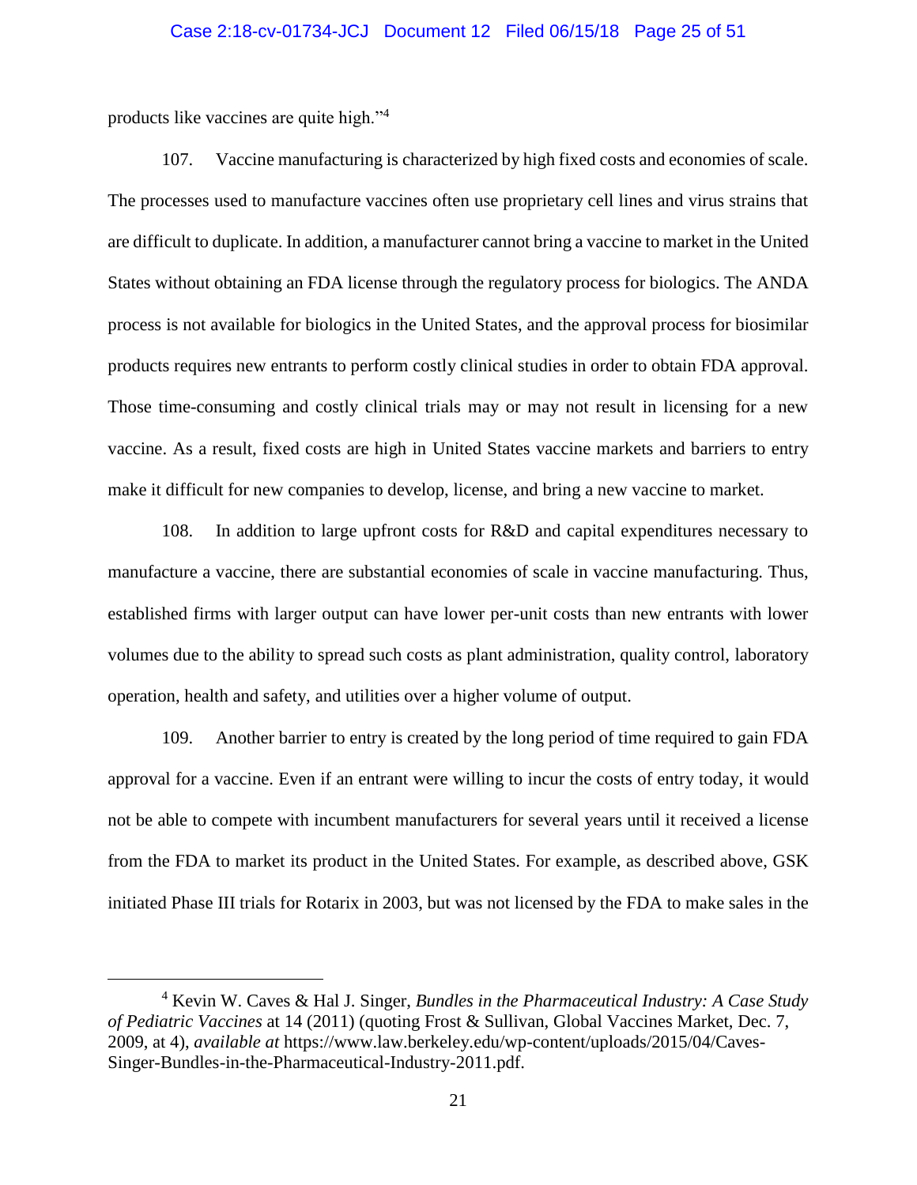#### Case 2:18-cv-01734-JCJ Document 12 Filed 06/15/18 Page 25 of 51

products like vaccines are quite high."<sup>4</sup>

 $\overline{a}$ 

107. Vaccine manufacturing is characterized by high fixed costs and economies of scale. The processes used to manufacture vaccines often use proprietary cell lines and virus strains that are difficult to duplicate. In addition, a manufacturer cannot bring a vaccine to market in the United States without obtaining an FDA license through the regulatory process for biologics. The ANDA process is not available for biologics in the United States, and the approval process for biosimilar products requires new entrants to perform costly clinical studies in order to obtain FDA approval. Those time-consuming and costly clinical trials may or may not result in licensing for a new vaccine. As a result, fixed costs are high in United States vaccine markets and barriers to entry make it difficult for new companies to develop, license, and bring a new vaccine to market.

108. In addition to large upfront costs for R&D and capital expenditures necessary to manufacture a vaccine, there are substantial economies of scale in vaccine manufacturing. Thus, established firms with larger output can have lower per-unit costs than new entrants with lower volumes due to the ability to spread such costs as plant administration, quality control, laboratory operation, health and safety, and utilities over a higher volume of output.

109. Another barrier to entry is created by the long period of time required to gain FDA approval for a vaccine. Even if an entrant were willing to incur the costs of entry today, it would not be able to compete with incumbent manufacturers for several years until it received a license from the FDA to market its product in the United States. For example, as described above, GSK initiated Phase III trials for Rotarix in 2003, but was not licensed by the FDA to make sales in the

<sup>4</sup> Kevin W. Caves & Hal J. Singer, *Bundles in the Pharmaceutical Industry: A Case Study of Pediatric Vaccines* at 14 (2011) (quoting Frost & Sullivan, Global Vaccines Market, Dec. 7, 2009, at 4), *available at* https://www.law.berkeley.edu/wp-content/uploads/2015/04/Caves-Singer-Bundles-in-the-Pharmaceutical-Industry-2011.pdf.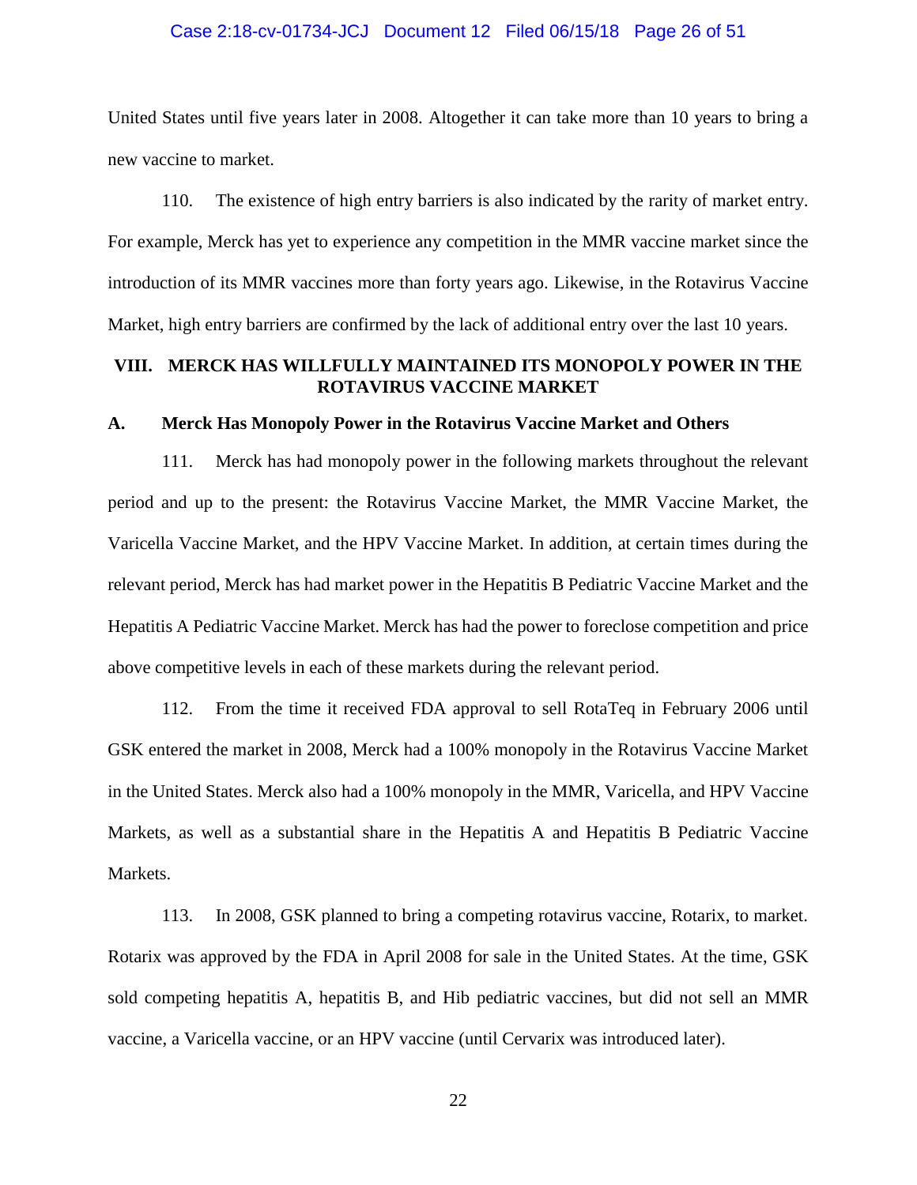#### Case 2:18-cv-01734-JCJ Document 12 Filed 06/15/18 Page 26 of 51

United States until five years later in 2008. Altogether it can take more than 10 years to bring a new vaccine to market.

110. The existence of high entry barriers is also indicated by the rarity of market entry. For example, Merck has yet to experience any competition in the MMR vaccine market since the introduction of its MMR vaccines more than forty years ago. Likewise, in the Rotavirus Vaccine Market, high entry barriers are confirmed by the lack of additional entry over the last 10 years.

## **VIII. MERCK HAS WILLFULLY MAINTAINED ITS MONOPOLY POWER IN THE ROTAVIRUS VACCINE MARKET**

#### **A. Merck Has Monopoly Power in the Rotavirus Vaccine Market and Others**

111. Merck has had monopoly power in the following markets throughout the relevant period and up to the present: the Rotavirus Vaccine Market, the MMR Vaccine Market, the Varicella Vaccine Market, and the HPV Vaccine Market. In addition, at certain times during the relevant period, Merck has had market power in the Hepatitis B Pediatric Vaccine Market and the Hepatitis A Pediatric Vaccine Market. Merck has had the power to foreclose competition and price above competitive levels in each of these markets during the relevant period.

112. From the time it received FDA approval to sell RotaTeq in February 2006 until GSK entered the market in 2008, Merck had a 100% monopoly in the Rotavirus Vaccine Market in the United States. Merck also had a 100% monopoly in the MMR, Varicella, and HPV Vaccine Markets, as well as a substantial share in the Hepatitis A and Hepatitis B Pediatric Vaccine Markets.

113. In 2008, GSK planned to bring a competing rotavirus vaccine, Rotarix, to market. Rotarix was approved by the FDA in April 2008 for sale in the United States. At the time, GSK sold competing hepatitis A, hepatitis B, and Hib pediatric vaccines, but did not sell an MMR vaccine, a Varicella vaccine, or an HPV vaccine (until Cervarix was introduced later).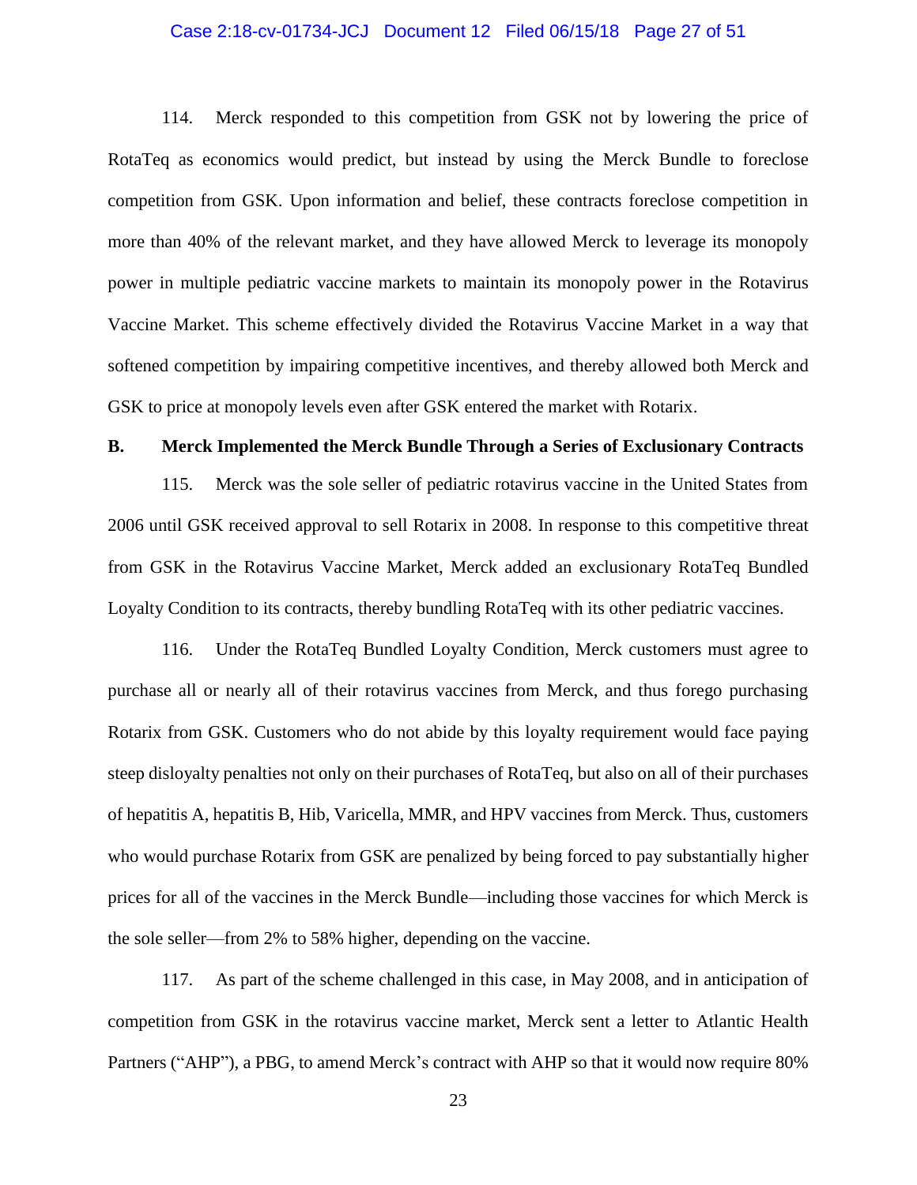#### Case 2:18-cv-01734-JCJ Document 12 Filed 06/15/18 Page 27 of 51

114. Merck responded to this competition from GSK not by lowering the price of RotaTeq as economics would predict, but instead by using the Merck Bundle to foreclose competition from GSK. Upon information and belief, these contracts foreclose competition in more than 40% of the relevant market, and they have allowed Merck to leverage its monopoly power in multiple pediatric vaccine markets to maintain its monopoly power in the Rotavirus Vaccine Market. This scheme effectively divided the Rotavirus Vaccine Market in a way that softened competition by impairing competitive incentives, and thereby allowed both Merck and GSK to price at monopoly levels even after GSK entered the market with Rotarix.

#### **B. Merck Implemented the Merck Bundle Through a Series of Exclusionary Contracts**

115. Merck was the sole seller of pediatric rotavirus vaccine in the United States from 2006 until GSK received approval to sell Rotarix in 2008. In response to this competitive threat from GSK in the Rotavirus Vaccine Market, Merck added an exclusionary RotaTeq Bundled Loyalty Condition to its contracts, thereby bundling RotaTeq with its other pediatric vaccines.

116. Under the RotaTeq Bundled Loyalty Condition, Merck customers must agree to purchase all or nearly all of their rotavirus vaccines from Merck, and thus forego purchasing Rotarix from GSK. Customers who do not abide by this loyalty requirement would face paying steep disloyalty penalties not only on their purchases of RotaTeq, but also on all of their purchases of hepatitis A, hepatitis B, Hib, Varicella, MMR, and HPV vaccines from Merck. Thus, customers who would purchase Rotarix from GSK are penalized by being forced to pay substantially higher prices for all of the vaccines in the Merck Bundle—including those vaccines for which Merck is the sole seller—from 2% to 58% higher, depending on the vaccine.

117. As part of the scheme challenged in this case, in May 2008, and in anticipation of competition from GSK in the rotavirus vaccine market, Merck sent a letter to Atlantic Health Partners ("AHP"), a PBG, to amend Merck's contract with AHP so that it would now require 80%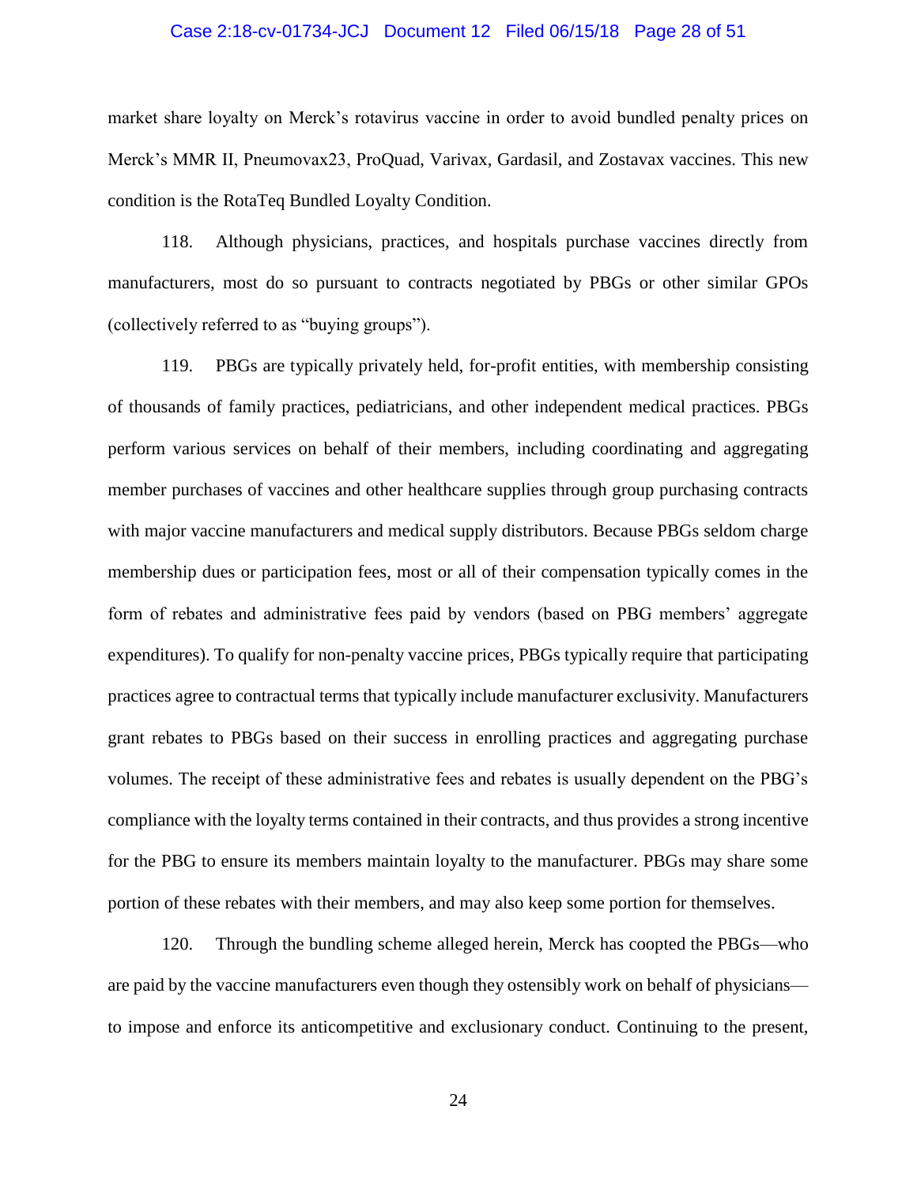## Case 2:18-cv-01734-JCJ Document 12 Filed 06/15/18 Page 28 of 51

market share loyalty on Merck's rotavirus vaccine in order to avoid bundled penalty prices on Merck's MMR II, Pneumovax23, ProQuad, Varivax, Gardasil, and Zostavax vaccines. This new condition is the RotaTeq Bundled Loyalty Condition.

118. Although physicians, practices, and hospitals purchase vaccines directly from manufacturers, most do so pursuant to contracts negotiated by PBGs or other similar GPOs (collectively referred to as "buying groups").

119. PBGs are typically privately held, for-profit entities, with membership consisting of thousands of family practices, pediatricians, and other independent medical practices. PBGs perform various services on behalf of their members, including coordinating and aggregating member purchases of vaccines and other healthcare supplies through group purchasing contracts with major vaccine manufacturers and medical supply distributors. Because PBGs seldom charge membership dues or participation fees, most or all of their compensation typically comes in the form of rebates and administrative fees paid by vendors (based on PBG members' aggregate expenditures). To qualify for non-penalty vaccine prices, PBGs typically require that participating practices agree to contractual terms that typically include manufacturer exclusivity. Manufacturers grant rebates to PBGs based on their success in enrolling practices and aggregating purchase volumes. The receipt of these administrative fees and rebates is usually dependent on the PBG's compliance with the loyalty terms contained in their contracts, and thus provides a strong incentive for the PBG to ensure its members maintain loyalty to the manufacturer. PBGs may share some portion of these rebates with their members, and may also keep some portion for themselves.

120. Through the bundling scheme alleged herein, Merck has coopted the PBGs—who are paid by the vaccine manufacturers even though they ostensibly work on behalf of physicians to impose and enforce its anticompetitive and exclusionary conduct. Continuing to the present,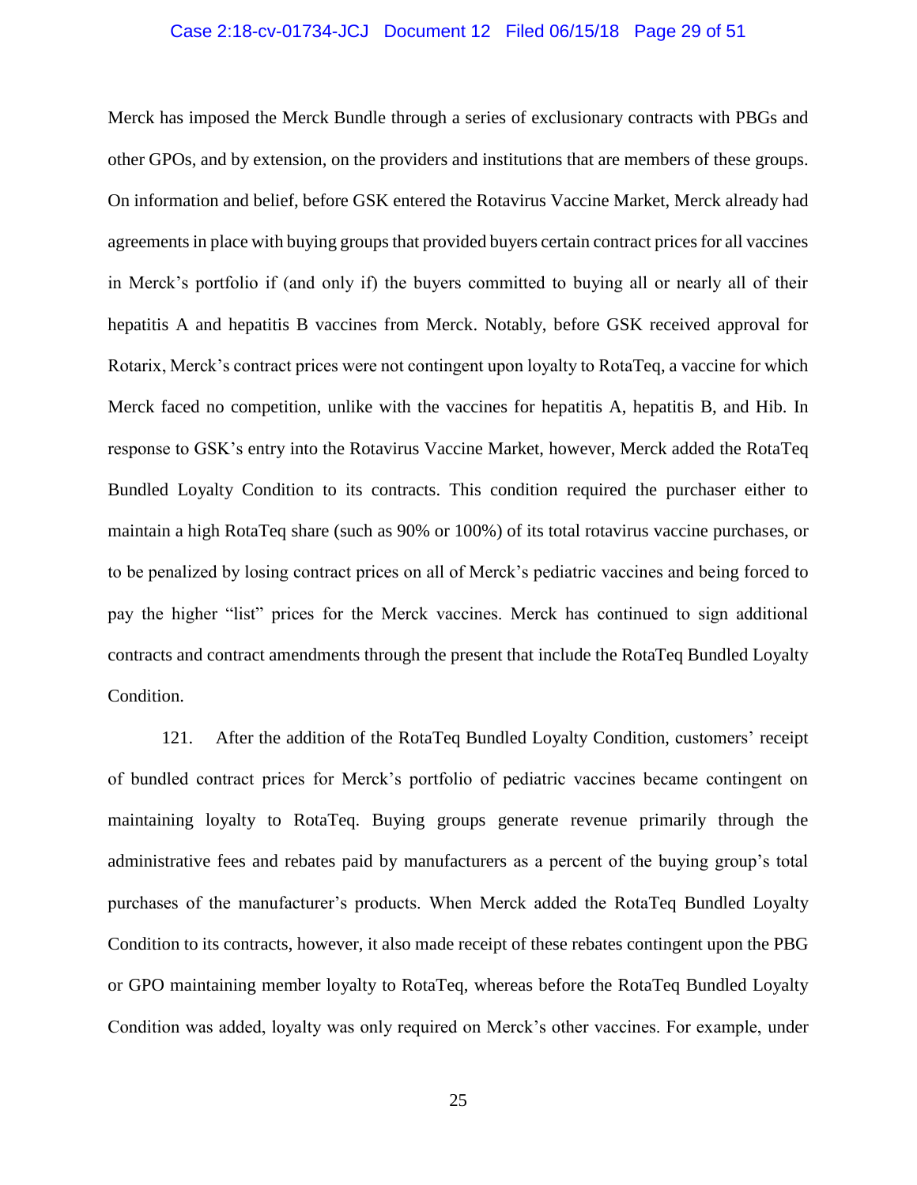## Case 2:18-cv-01734-JCJ Document 12 Filed 06/15/18 Page 29 of 51

Merck has imposed the Merck Bundle through a series of exclusionary contracts with PBGs and other GPOs, and by extension, on the providers and institutions that are members of these groups. On information and belief, before GSK entered the Rotavirus Vaccine Market, Merck already had agreements in place with buying groups that provided buyers certain contract prices for all vaccines in Merck's portfolio if (and only if) the buyers committed to buying all or nearly all of their hepatitis A and hepatitis B vaccines from Merck. Notably, before GSK received approval for Rotarix, Merck's contract prices were not contingent upon loyalty to RotaTeq, a vaccine for which Merck faced no competition, unlike with the vaccines for hepatitis A, hepatitis B, and Hib. In response to GSK's entry into the Rotavirus Vaccine Market, however, Merck added the RotaTeq Bundled Loyalty Condition to its contracts. This condition required the purchaser either to maintain a high RotaTeq share (such as 90% or 100%) of its total rotavirus vaccine purchases, or to be penalized by losing contract prices on all of Merck's pediatric vaccines and being forced to pay the higher "list" prices for the Merck vaccines. Merck has continued to sign additional contracts and contract amendments through the present that include the RotaTeq Bundled Loyalty Condition.

121. After the addition of the RotaTeq Bundled Loyalty Condition, customers' receipt of bundled contract prices for Merck's portfolio of pediatric vaccines became contingent on maintaining loyalty to RotaTeq. Buying groups generate revenue primarily through the administrative fees and rebates paid by manufacturers as a percent of the buying group's total purchases of the manufacturer's products. When Merck added the RotaTeq Bundled Loyalty Condition to its contracts, however, it also made receipt of these rebates contingent upon the PBG or GPO maintaining member loyalty to RotaTeq, whereas before the RotaTeq Bundled Loyalty Condition was added, loyalty was only required on Merck's other vaccines. For example, under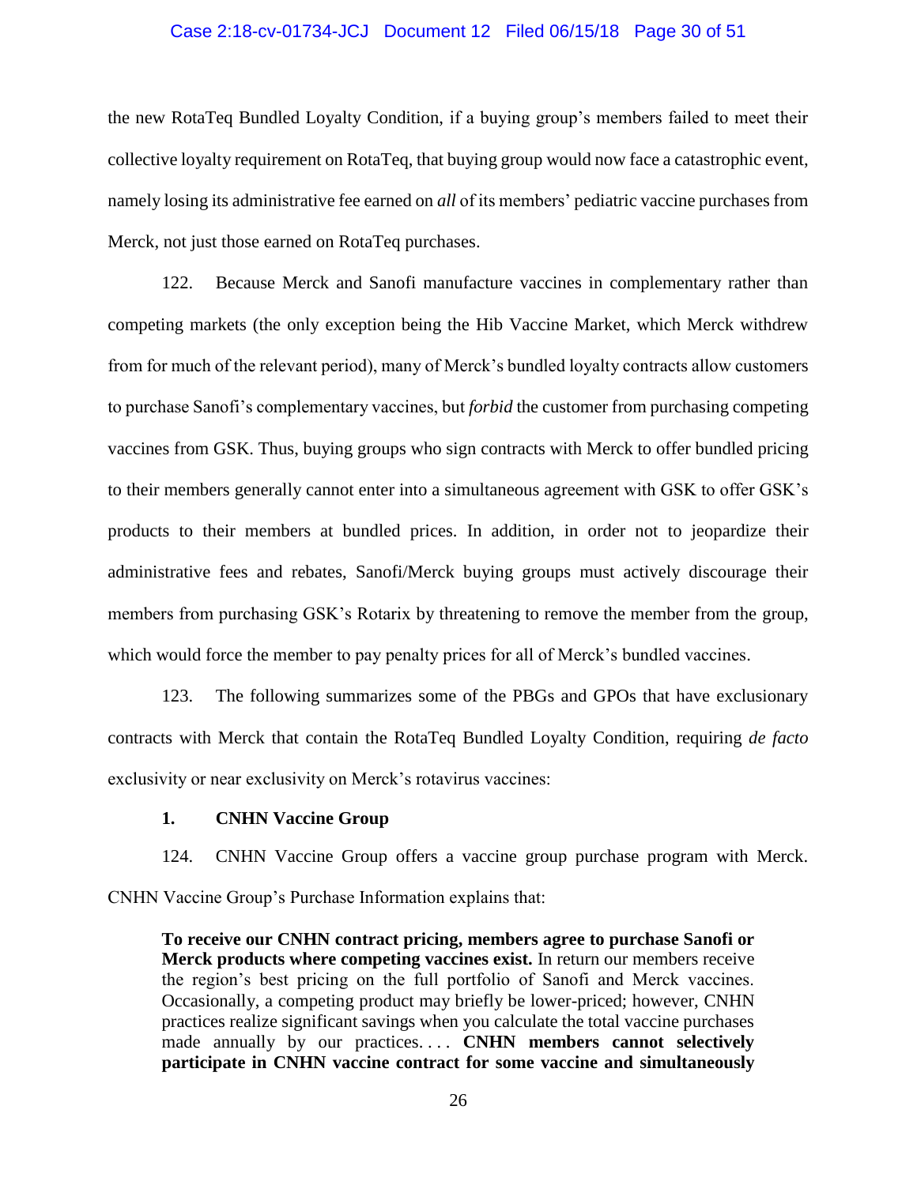#### Case 2:18-cv-01734-JCJ Document 12 Filed 06/15/18 Page 30 of 51

the new RotaTeq Bundled Loyalty Condition, if a buying group's members failed to meet their collective loyalty requirement on RotaTeq, that buying group would now face a catastrophic event, namely losing its administrative fee earned on *all* of its members' pediatric vaccine purchases from Merck, not just those earned on RotaTeq purchases.

122. Because Merck and Sanofi manufacture vaccines in complementary rather than competing markets (the only exception being the Hib Vaccine Market, which Merck withdrew from for much of the relevant period), many of Merck's bundled loyalty contracts allow customers to purchase Sanofi's complementary vaccines, but *forbid* the customer from purchasing competing vaccines from GSK. Thus, buying groups who sign contracts with Merck to offer bundled pricing to their members generally cannot enter into a simultaneous agreement with GSK to offer GSK's products to their members at bundled prices. In addition, in order not to jeopardize their administrative fees and rebates, Sanofi/Merck buying groups must actively discourage their members from purchasing GSK's Rotarix by threatening to remove the member from the group, which would force the member to pay penalty prices for all of Merck's bundled vaccines.

123. The following summarizes some of the PBGs and GPOs that have exclusionary contracts with Merck that contain the RotaTeq Bundled Loyalty Condition, requiring *de facto*  exclusivity or near exclusivity on Merck's rotavirus vaccines:

#### **1. CNHN Vaccine Group**

124. CNHN Vaccine Group offers a vaccine group purchase program with Merck. CNHN Vaccine Group's Purchase Information explains that:

**To receive our CNHN contract pricing, members agree to purchase Sanofi or Merck products where competing vaccines exist.** In return our members receive the region's best pricing on the full portfolio of Sanofi and Merck vaccines. Occasionally, a competing product may briefly be lower-priced; however, CNHN practices realize significant savings when you calculate the total vaccine purchases made annually by our practices.... **CNHN** members cannot selectively **participate in CNHN vaccine contract for some vaccine and simultaneously**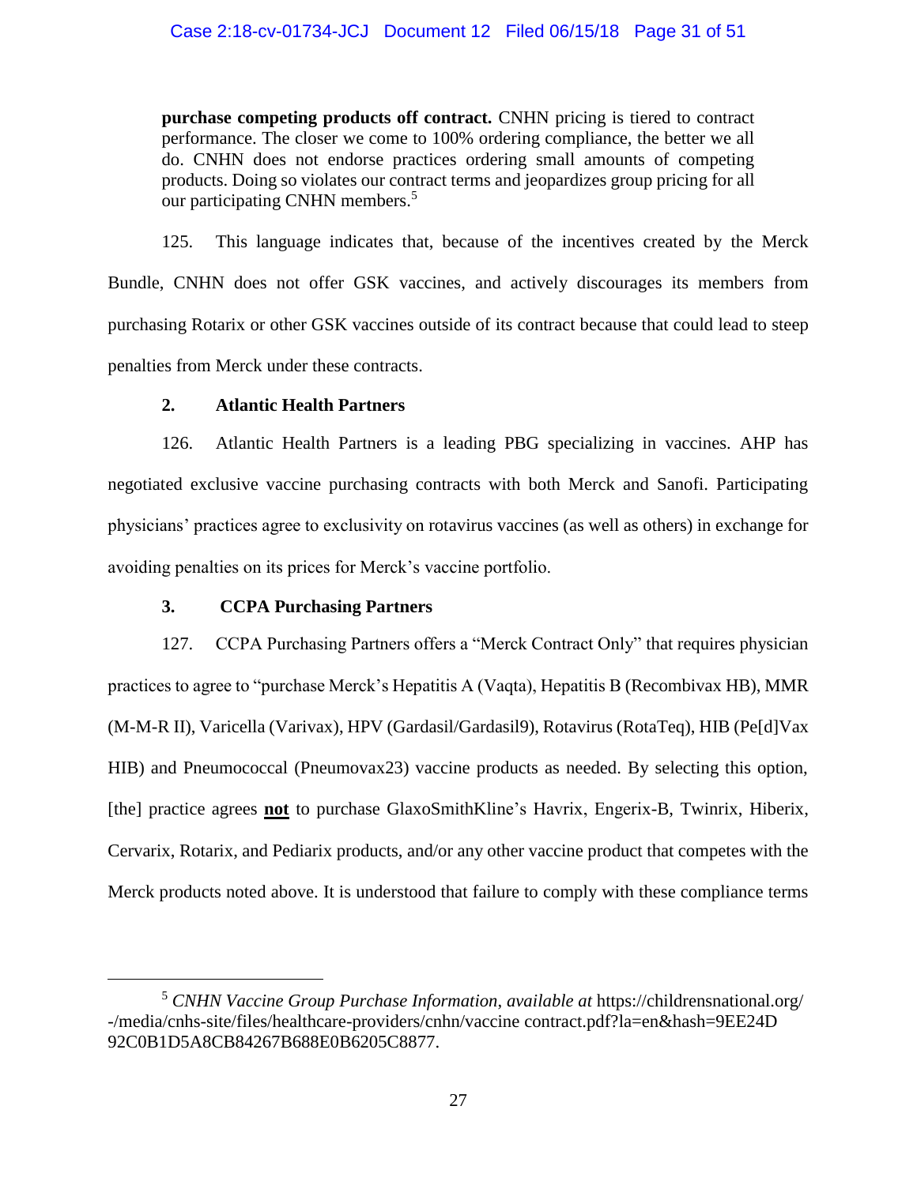**purchase competing products off contract.** CNHN pricing is tiered to contract performance. The closer we come to 100% ordering compliance, the better we all do. CNHN does not endorse practices ordering small amounts of competing products. Doing so violates our contract terms and jeopardizes group pricing for all our participating CNHN members.<sup>5</sup>

125. This language indicates that, because of the incentives created by the Merck Bundle, CNHN does not offer GSK vaccines, and actively discourages its members from purchasing Rotarix or other GSK vaccines outside of its contract because that could lead to steep penalties from Merck under these contracts.

## **2. Atlantic Health Partners**

126. Atlantic Health Partners is a leading PBG specializing in vaccines. AHP has negotiated exclusive vaccine purchasing contracts with both Merck and Sanofi. Participating physicians' practices agree to exclusivity on rotavirus vaccines (as well as others) in exchange for avoiding penalties on its prices for Merck's vaccine portfolio.

## **3. CCPA Purchasing Partners**

 $\overline{a}$ 

127. CCPA Purchasing Partners offers a "Merck Contract Only" that requires physician practices to agree to "purchase Merck's Hepatitis A (Vaqta), Hepatitis B (Recombivax HB), MMR (M-M-R II), Varicella (Varivax), HPV (Gardasil/Gardasil9), Rotavirus (RotaTeq), HIB (Pe[d]Vax HIB) and Pneumococcal (Pneumovax23) vaccine products as needed. By selecting this option, [the] practice agrees **not** to purchase GlaxoSmithKline's Havrix, Engerix-B, Twinrix, Hiberix, Cervarix, Rotarix, and Pediarix products, and/or any other vaccine product that competes with the Merck products noted above. It is understood that failure to comply with these compliance terms

<sup>5</sup> *CNHN Vaccine Group Purchase Information*, *available at* https://childrensnational.org/ -/media/cnhs-site/files/healthcare-providers/cnhn/vaccine contract.pdf?la=en&hash=9EE24D 92C0B1D5A8CB84267B688E0B6205C8877.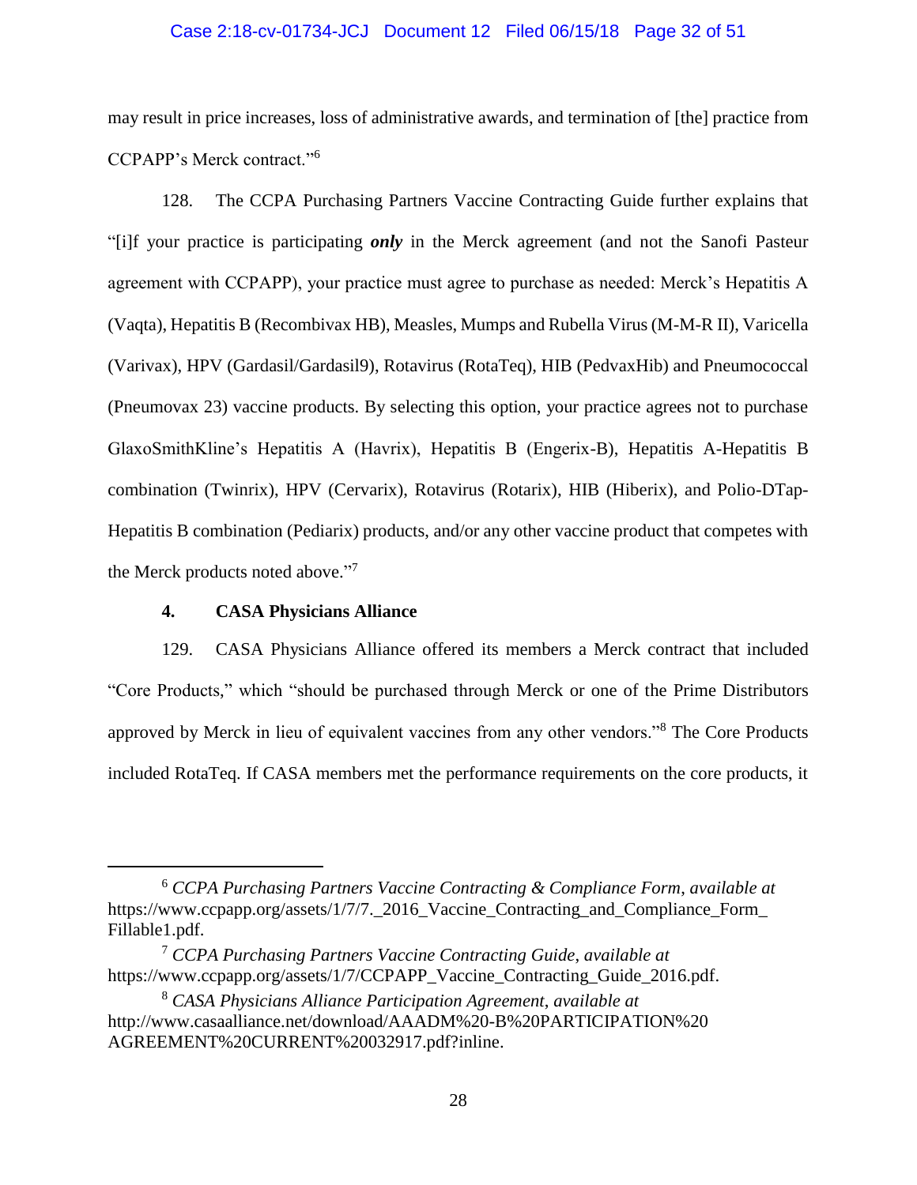## Case 2:18-cv-01734-JCJ Document 12 Filed 06/15/18 Page 32 of 51

may result in price increases, loss of administrative awards, and termination of [the] practice from CCPAPP's Merck contract." 6

128. The CCPA Purchasing Partners Vaccine Contracting Guide further explains that "[i]f your practice is participating *only* in the Merck agreement (and not the Sanofi Pasteur agreement with CCPAPP), your practice must agree to purchase as needed: Merck's Hepatitis A (Vaqta), Hepatitis B (Recombivax HB), Measles, Mumps and Rubella Virus (M-M-R II), Varicella (Varivax), HPV (Gardasil/Gardasil9), Rotavirus (RotaTeq), HIB (PedvaxHib) and Pneumococcal (Pneumovax 23) vaccine products. By selecting this option, your practice agrees not to purchase GlaxoSmithKline's Hepatitis A (Havrix), Hepatitis B (Engerix-B), Hepatitis A-Hepatitis B combination (Twinrix), HPV (Cervarix), Rotavirus (Rotarix), HIB (Hiberix), and Polio-DTap-Hepatitis B combination (Pediarix) products, and/or any other vaccine product that competes with the Merck products noted above."<sup>7</sup>

### **4. CASA Physicians Alliance**

 $\overline{a}$ 

129. CASA Physicians Alliance offered its members a Merck contract that included "Core Products," which "should be purchased through Merck or one of the Prime Distributors approved by Merck in lieu of equivalent vaccines from any other vendors."<sup>8</sup> The Core Products included RotaTeq. If CASA members met the performance requirements on the core products, it

<sup>6</sup> *CCPA Purchasing Partners Vaccine Contracting & Compliance Form*, *available at*  https://www.ccpapp.org/assets/1/7/7.\_2016\_Vaccine\_Contracting\_and\_Compliance\_Form\_ Fillable1.pdf.

<sup>7</sup> *CCPA Purchasing Partners Vaccine Contracting Guide*, *available at*  https://www.ccpapp.org/assets/1/7/CCPAPP\_Vaccine\_Contracting\_Guide\_2016.pdf.

<sup>8</sup> *CASA Physicians Alliance Participation Agreement*, *available at*  http://www.casaalliance.net/download/AAADM%20-B%20PARTICIPATION%20 AGREEMENT%20CURRENT%20032917.pdf?inline.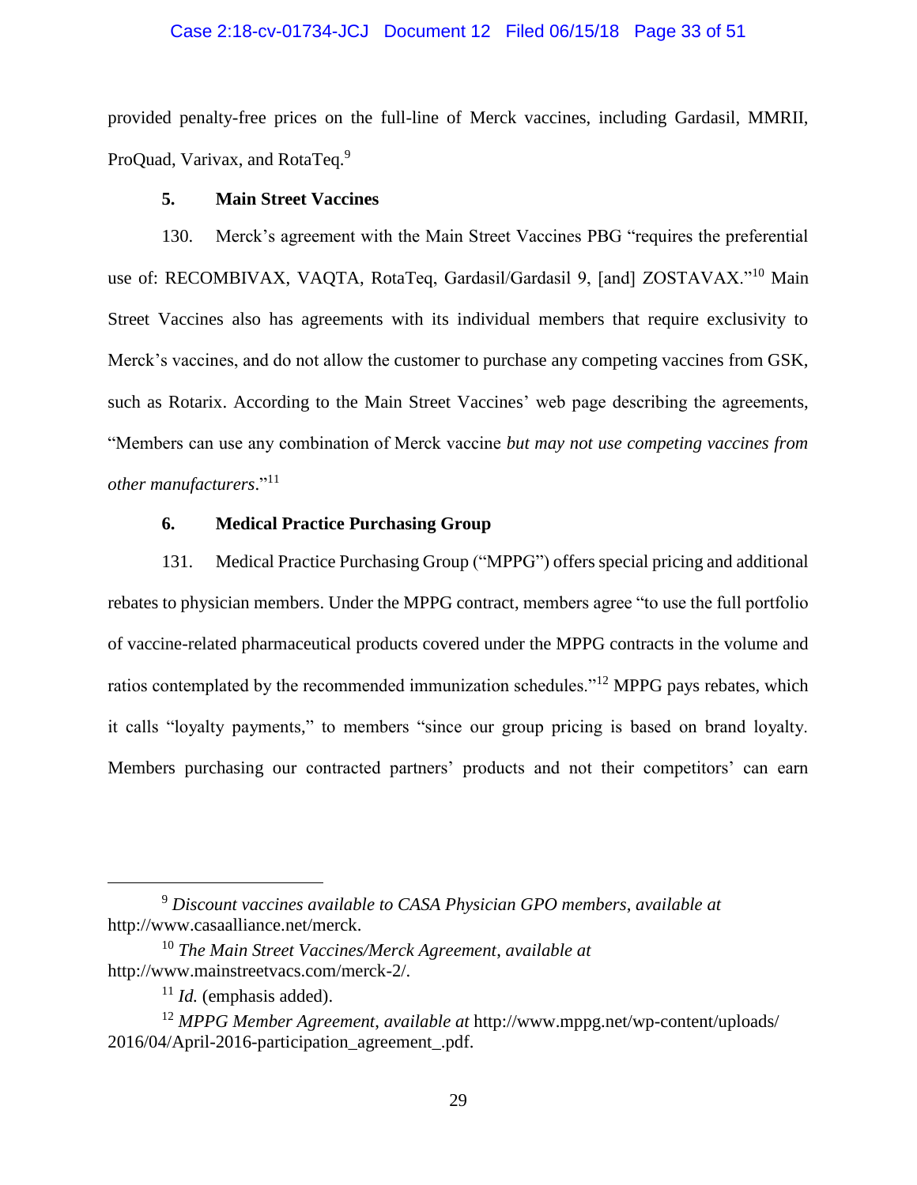#### Case 2:18-cv-01734-JCJ Document 12 Filed 06/15/18 Page 33 of 51

provided penalty-free prices on the full-line of Merck vaccines, including Gardasil, MMRII, ProQuad, Varivax, and RotaTeq.<sup>9</sup>

#### **5. Main Street Vaccines**

130. Merck's agreement with the Main Street Vaccines PBG "requires the preferential use of: RECOMBIVAX, VAQTA, RotaTeq, Gardasil/Gardasil 9, [and] ZOSTAVAX."<sup>10</sup> Main Street Vaccines also has agreements with its individual members that require exclusivity to Merck's vaccines, and do not allow the customer to purchase any competing vaccines from GSK, such as Rotarix. According to the Main Street Vaccines' web page describing the agreements, "Members can use any combination of Merck vaccine *but may not use competing vaccines from other manufacturers*." 11

### **6. Medical Practice Purchasing Group**

131. Medical Practice Purchasing Group ("MPPG") offers special pricing and additional rebates to physician members. Under the MPPG contract, members agree "to use the full portfolio of vaccine-related pharmaceutical products covered under the MPPG contracts in the volume and ratios contemplated by the recommended immunization schedules."<sup>12</sup> MPPG pays rebates, which it calls "loyalty payments," to members "since our group pricing is based on brand loyalty. Members purchasing our contracted partners' products and not their competitors' can earn

 $\overline{a}$ 

<sup>9</sup> *Discount vaccines available to CASA Physician GPO members*, *available at* http://www.casaalliance.net/merck.

<sup>10</sup> *The Main Street Vaccines/Merck Agreement*, *available at*  http://www.mainstreetvacs.com/merck-2/.

<sup>11</sup> *Id.* (emphasis added).

<sup>12</sup> *MPPG Member Agreement*, *available at* http://www.mppg.net/wp-content/uploads/ 2016/04/April-2016-participation\_agreement\_.pdf.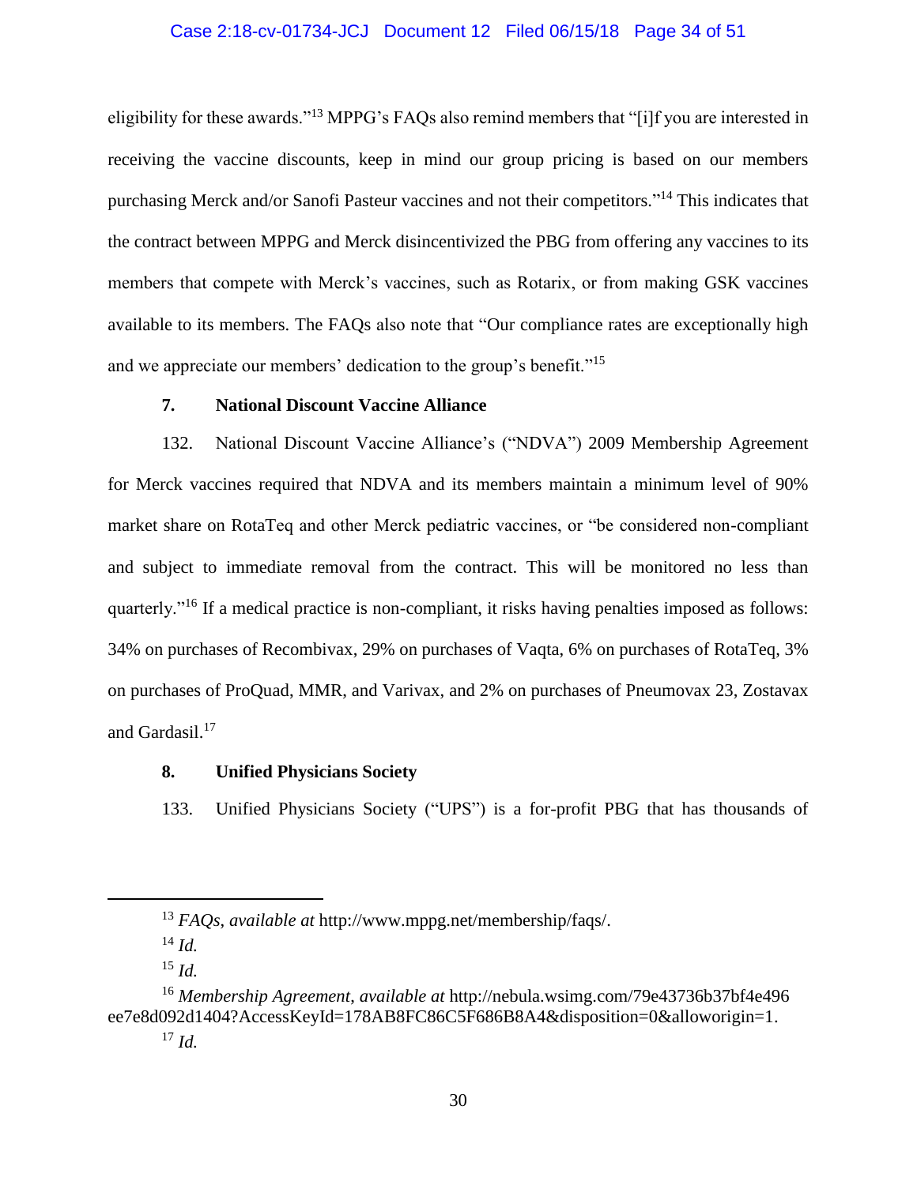### Case 2:18-cv-01734-JCJ Document 12 Filed 06/15/18 Page 34 of 51

eligibility for these awards."<sup>13</sup> MPPG's FAQs also remind members that "[i]f you are interested in receiving the vaccine discounts, keep in mind our group pricing is based on our members purchasing Merck and/or Sanofi Pasteur vaccines and not their competitors."<sup>14</sup> This indicates that the contract between MPPG and Merck disincentivized the PBG from offering any vaccines to its members that compete with Merck's vaccines, such as Rotarix, or from making GSK vaccines available to its members. The FAQs also note that "Our compliance rates are exceptionally high and we appreciate our members' dedication to the group's benefit."<sup>15</sup>

### **7. National Discount Vaccine Alliance**

132. National Discount Vaccine Alliance's ("NDVA") 2009 Membership Agreement for Merck vaccines required that NDVA and its members maintain a minimum level of 90% market share on RotaTeq and other Merck pediatric vaccines, or "be considered non-compliant and subject to immediate removal from the contract. This will be monitored no less than quarterly."<sup>16</sup> If a medical practice is non-compliant, it risks having penalties imposed as follows: 34% on purchases of Recombivax, 29% on purchases of Vaqta, 6% on purchases of RotaTeq, 3% on purchases of ProQuad, MMR, and Varivax, and 2% on purchases of Pneumovax 23, Zostavax and Gardasil.<sup>17</sup>

### **8. Unified Physicians Society**

133. Unified Physicians Society ("UPS") is a for-profit PBG that has thousands of

 $\overline{a}$ 

<sup>13</sup> *FAQs*, *available at* http://www.mppg.net/membership/faqs/.

<sup>14</sup> *Id.*

<sup>15</sup> *Id.*

<sup>16</sup> *Membership Agreement*, *available at* http://nebula.wsimg.com/79e43736b37bf4e496 ee7e8d092d1404?AccessKeyId=178AB8FC86C5F686B8A4&disposition=0&alloworigin=1. <sup>17</sup> *Id.*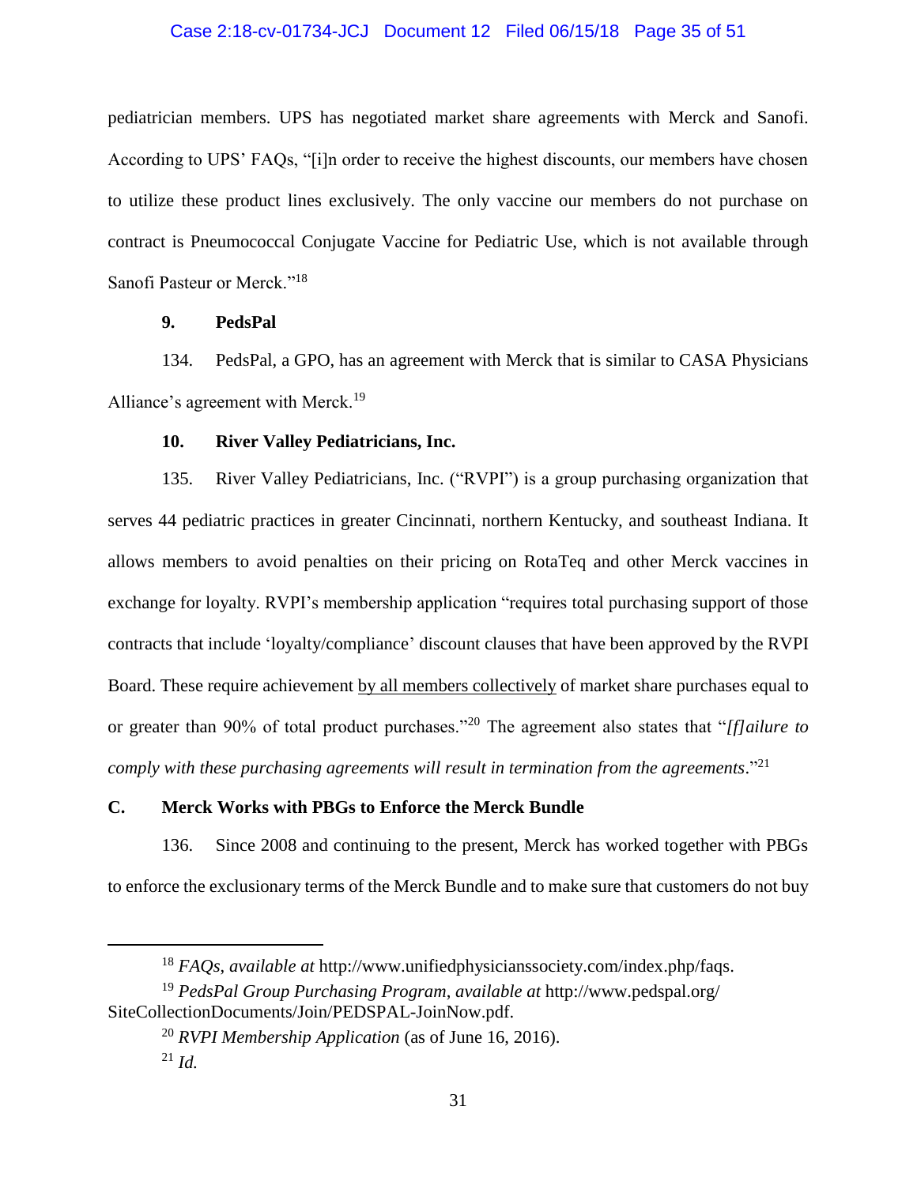## Case 2:18-cv-01734-JCJ Document 12 Filed 06/15/18 Page 35 of 51

pediatrician members. UPS has negotiated market share agreements with Merck and Sanofi. According to UPS' FAQs, "[i]n order to receive the highest discounts, our members have chosen to utilize these product lines exclusively. The only vaccine our members do not purchase on contract is Pneumococcal Conjugate Vaccine for Pediatric Use, which is not available through Sanofi Pasteur or Merck."<sup>18</sup>

### **9. PedsPal**

 $\overline{a}$ 

134. PedsPal, a GPO, has an agreement with Merck that is similar to CASA Physicians Alliance's agreement with Merck.<sup>19</sup>

#### **10. River Valley Pediatricians, Inc.**

135. River Valley Pediatricians, Inc. ("RVPI") is a group purchasing organization that serves 44 pediatric practices in greater Cincinnati, northern Kentucky, and southeast Indiana. It allows members to avoid penalties on their pricing on RotaTeq and other Merck vaccines in exchange for loyalty. RVPI's membership application "requires total purchasing support of those contracts that include 'loyalty/compliance' discount clauses that have been approved by the RVPI Board. These require achievement by all members collectively of market share purchases equal to or greater than 90% of total product purchases."<sup>20</sup> The agreement also states that "*[f]ailure to comply with these purchasing agreements will result in termination from the agreements*." 21

### **C. Merck Works with PBGs to Enforce the Merck Bundle**

136. Since 2008 and continuing to the present, Merck has worked together with PBGs to enforce the exclusionary terms of the Merck Bundle and to make sure that customers do not buy

<sup>18</sup> *FAQs*, *available at* http://www.unifiedphysicianssociety.com/index.php/faqs.

<sup>19</sup> *PedsPal Group Purchasing Program*, *available at* http://www.pedspal.org/ SiteCollectionDocuments/Join/PEDSPAL-JoinNow.pdf.

<sup>20</sup> *RVPI Membership Application* (as of June 16, 2016).  $^{21}$  *Id.*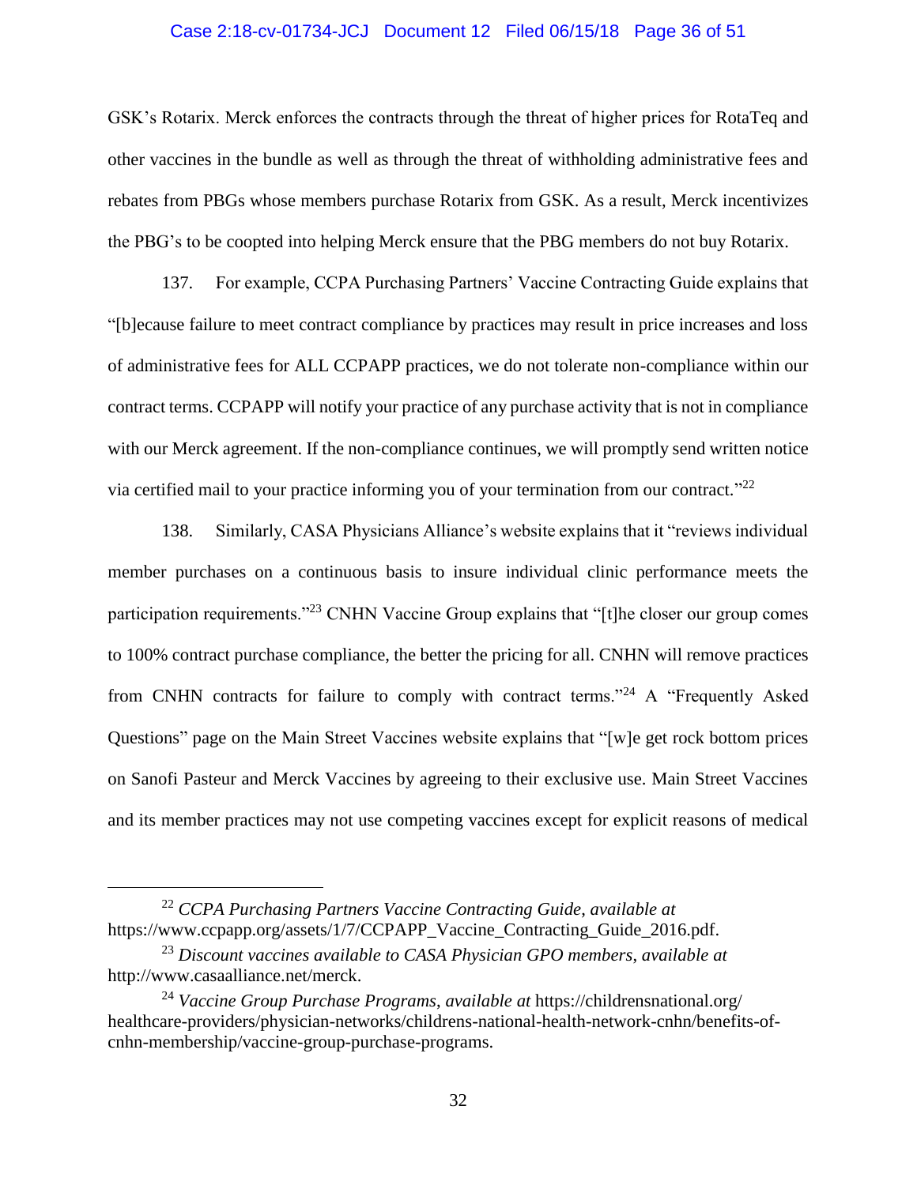#### Case 2:18-cv-01734-JCJ Document 12 Filed 06/15/18 Page 36 of 51

GSK's Rotarix. Merck enforces the contracts through the threat of higher prices for RotaTeq and other vaccines in the bundle as well as through the threat of withholding administrative fees and rebates from PBGs whose members purchase Rotarix from GSK. As a result, Merck incentivizes the PBG's to be coopted into helping Merck ensure that the PBG members do not buy Rotarix.

137. For example, CCPA Purchasing Partners' Vaccine Contracting Guide explains that "[b]ecause failure to meet contract compliance by practices may result in price increases and loss of administrative fees for ALL CCPAPP practices, we do not tolerate non-compliance within our contract terms. CCPAPP will notify your practice of any purchase activity that is not in compliance with our Merck agreement. If the non-compliance continues, we will promptly send written notice via certified mail to your practice informing you of your termination from our contract."<sup>22</sup>

138. Similarly, CASA Physicians Alliance's website explains that it "reviews individual member purchases on a continuous basis to insure individual clinic performance meets the participation requirements."<sup>23</sup> CNHN Vaccine Group explains that "[t]he closer our group comes to 100% contract purchase compliance, the better the pricing for all. CNHN will remove practices from CNHN contracts for failure to comply with contract terms."<sup>24</sup> A "Frequently Asked" Questions" page on the Main Street Vaccines website explains that "[w]e get rock bottom prices on Sanofi Pasteur and Merck Vaccines by agreeing to their exclusive use. Main Street Vaccines and its member practices may not use competing vaccines except for explicit reasons of medical

 $\overline{a}$ 

<sup>22</sup> *CCPA Purchasing Partners Vaccine Contracting Guide*, *available at* https://www.ccpapp.org/assets/1/7/CCPAPP\_Vaccine\_Contracting\_Guide\_2016.pdf.

<sup>23</sup> *Discount vaccines available to CASA Physician GPO members*, *available at*  http://www.casaalliance.net/merck.

<sup>24</sup> *Vaccine Group Purchase Programs*, *available at* https://childrensnational.org/ healthcare-providers/physician-networks/childrens-national-health-network-cnhn/benefits-ofcnhn-membership/vaccine-group-purchase-programs.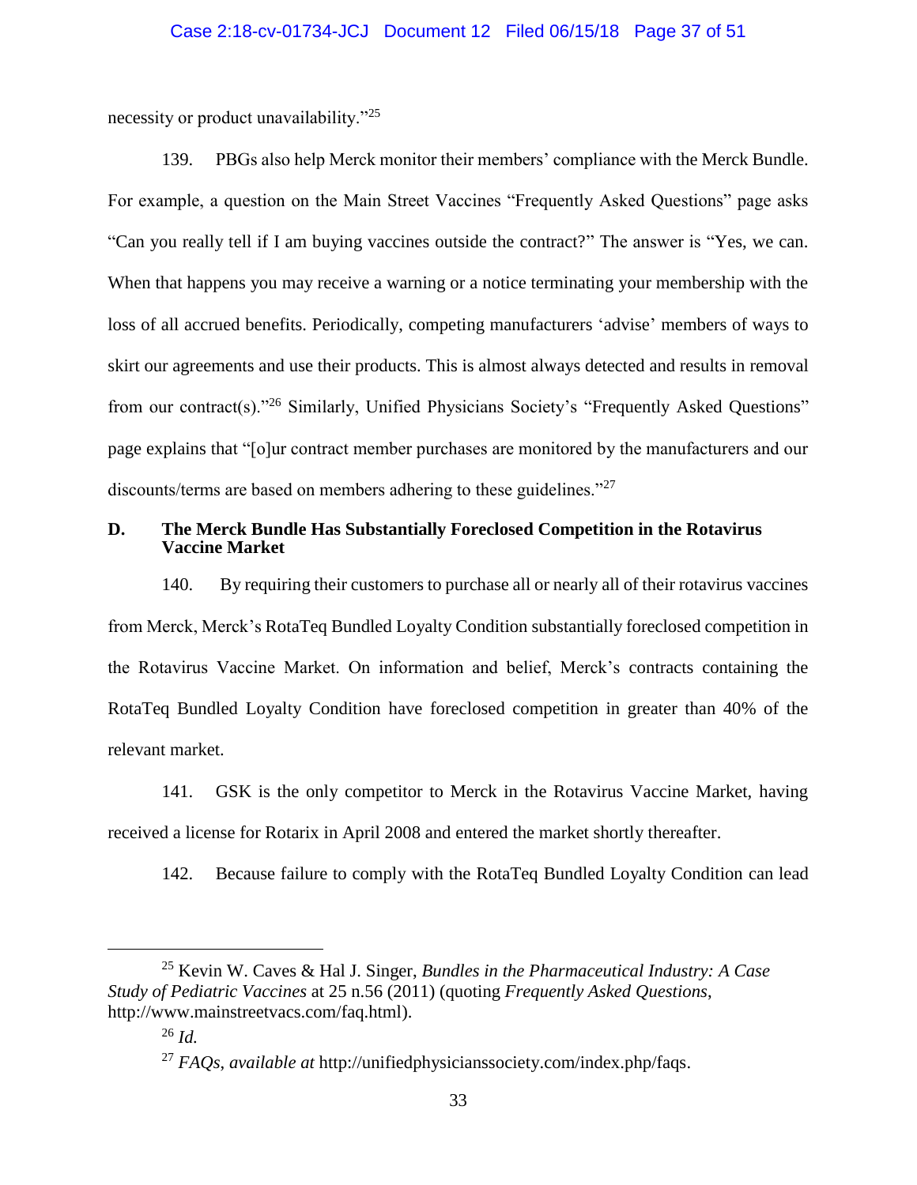necessity or product unavailability."<sup>25</sup>

139. PBGs also help Merck monitor their members' compliance with the Merck Bundle. For example, a question on the Main Street Vaccines "Frequently Asked Questions" page asks "Can you really tell if I am buying vaccines outside the contract?" The answer is "Yes, we can. When that happens you may receive a warning or a notice terminating your membership with the loss of all accrued benefits. Periodically, competing manufacturers 'advise' members of ways to skirt our agreements and use their products. This is almost always detected and results in removal from our contract(s)."<sup>26</sup> Similarly, Unified Physicians Society's "Frequently Asked Questions" page explains that "[o]ur contract member purchases are monitored by the manufacturers and our discounts/terms are based on members adhering to these guidelines."<sup>27</sup>

## **D. The Merck Bundle Has Substantially Foreclosed Competition in the Rotavirus Vaccine Market**

140. By requiring their customers to purchase all or nearly all of their rotavirus vaccines from Merck, Merck's RotaTeq Bundled Loyalty Condition substantially foreclosed competition in the Rotavirus Vaccine Market. On information and belief, Merck's contracts containing the RotaTeq Bundled Loyalty Condition have foreclosed competition in greater than 40% of the relevant market.

141. GSK is the only competitor to Merck in the Rotavirus Vaccine Market, having received a license for Rotarix in April 2008 and entered the market shortly thereafter.

142. Because failure to comply with the RotaTeq Bundled Loyalty Condition can lead

 $\overline{a}$ 

<sup>25</sup> Kevin W. Caves & Hal J. Singer, *Bundles in the Pharmaceutical Industry: A Case Study of Pediatric Vaccines* at 25 n.56 (2011) (quoting *Frequently Asked Questions*, http://www.mainstreetvacs.com/faq.html).

<sup>26</sup> *Id.*

<sup>27</sup> *FAQs*, *available at* http://unifiedphysicianssociety.com/index.php/faqs.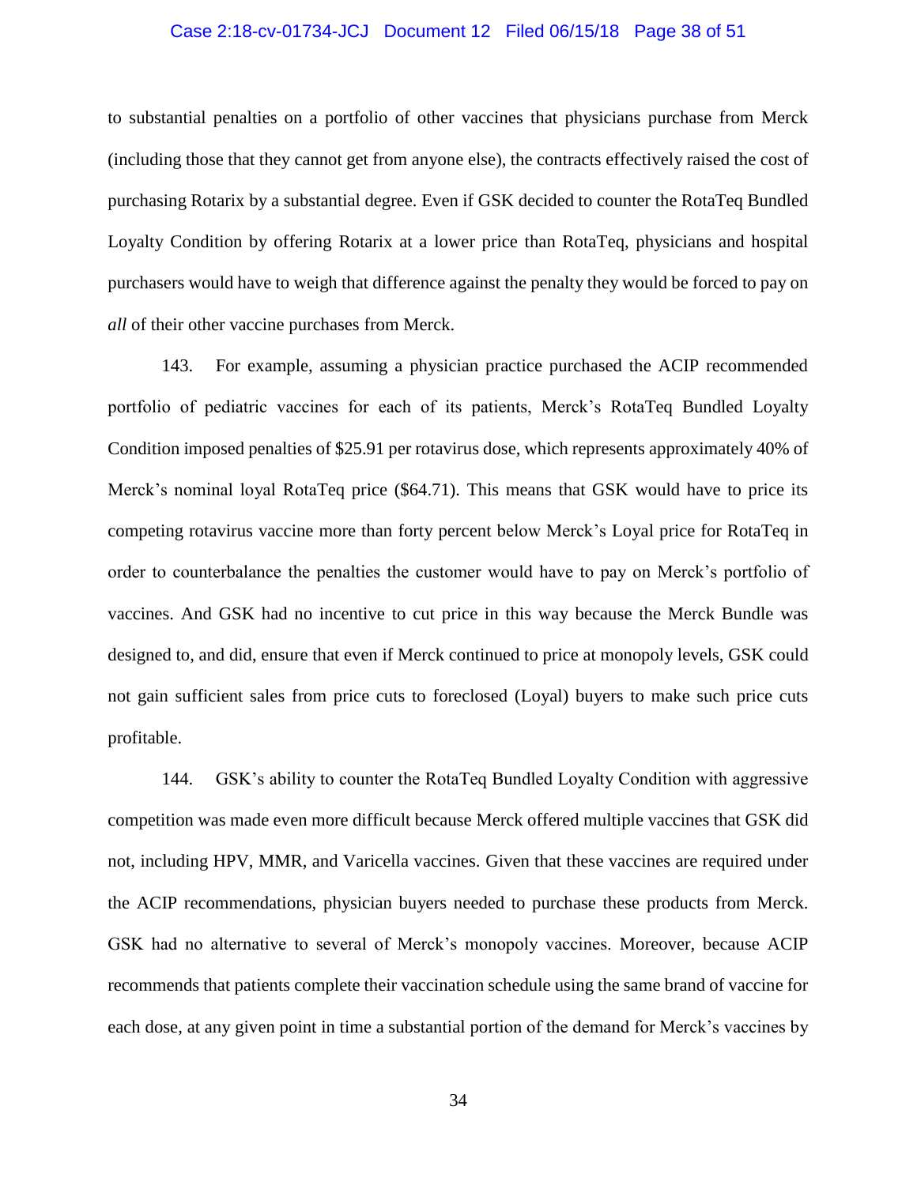## Case 2:18-cv-01734-JCJ Document 12 Filed 06/15/18 Page 38 of 51

to substantial penalties on a portfolio of other vaccines that physicians purchase from Merck (including those that they cannot get from anyone else), the contracts effectively raised the cost of purchasing Rotarix by a substantial degree. Even if GSK decided to counter the RotaTeq Bundled Loyalty Condition by offering Rotarix at a lower price than RotaTeq, physicians and hospital purchasers would have to weigh that difference against the penalty they would be forced to pay on *all* of their other vaccine purchases from Merck.

143. For example, assuming a physician practice purchased the ACIP recommended portfolio of pediatric vaccines for each of its patients, Merck's RotaTeq Bundled Loyalty Condition imposed penalties of \$25.91 per rotavirus dose, which represents approximately 40% of Merck's nominal loyal RotaTeq price (\$64.71). This means that GSK would have to price its competing rotavirus vaccine more than forty percent below Merck's Loyal price for RotaTeq in order to counterbalance the penalties the customer would have to pay on Merck's portfolio of vaccines. And GSK had no incentive to cut price in this way because the Merck Bundle was designed to, and did, ensure that even if Merck continued to price at monopoly levels, GSK could not gain sufficient sales from price cuts to foreclosed (Loyal) buyers to make such price cuts profitable.

144. GSK's ability to counter the RotaTeq Bundled Loyalty Condition with aggressive competition was made even more difficult because Merck offered multiple vaccines that GSK did not, including HPV, MMR, and Varicella vaccines. Given that these vaccines are required under the ACIP recommendations, physician buyers needed to purchase these products from Merck. GSK had no alternative to several of Merck's monopoly vaccines. Moreover, because ACIP recommends that patients complete their vaccination schedule using the same brand of vaccine for each dose, at any given point in time a substantial portion of the demand for Merck's vaccines by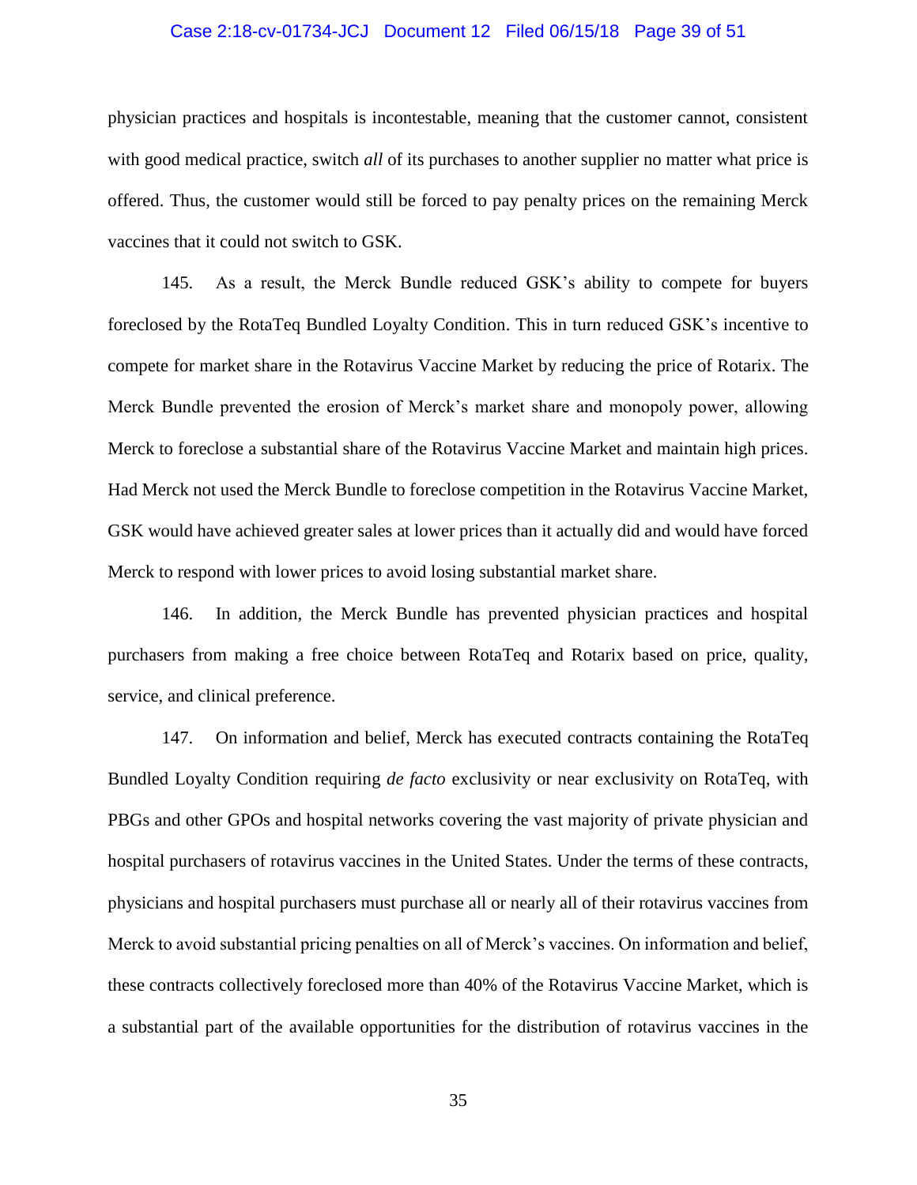## Case 2:18-cv-01734-JCJ Document 12 Filed 06/15/18 Page 39 of 51

physician practices and hospitals is incontestable, meaning that the customer cannot, consistent with good medical practice, switch *all* of its purchases to another supplier no matter what price is offered. Thus, the customer would still be forced to pay penalty prices on the remaining Merck vaccines that it could not switch to GSK.

145. As a result, the Merck Bundle reduced GSK's ability to compete for buyers foreclosed by the RotaTeq Bundled Loyalty Condition. This in turn reduced GSK's incentive to compete for market share in the Rotavirus Vaccine Market by reducing the price of Rotarix. The Merck Bundle prevented the erosion of Merck's market share and monopoly power, allowing Merck to foreclose a substantial share of the Rotavirus Vaccine Market and maintain high prices. Had Merck not used the Merck Bundle to foreclose competition in the Rotavirus Vaccine Market, GSK would have achieved greater sales at lower prices than it actually did and would have forced Merck to respond with lower prices to avoid losing substantial market share.

146. In addition, the Merck Bundle has prevented physician practices and hospital purchasers from making a free choice between RotaTeq and Rotarix based on price, quality, service, and clinical preference.

147. On information and belief, Merck has executed contracts containing the RotaTeq Bundled Loyalty Condition requiring *de facto* exclusivity or near exclusivity on RotaTeq, with PBGs and other GPOs and hospital networks covering the vast majority of private physician and hospital purchasers of rotavirus vaccines in the United States. Under the terms of these contracts, physicians and hospital purchasers must purchase all or nearly all of their rotavirus vaccines from Merck to avoid substantial pricing penalties on all of Merck's vaccines. On information and belief, these contracts collectively foreclosed more than 40% of the Rotavirus Vaccine Market, which is a substantial part of the available opportunities for the distribution of rotavirus vaccines in the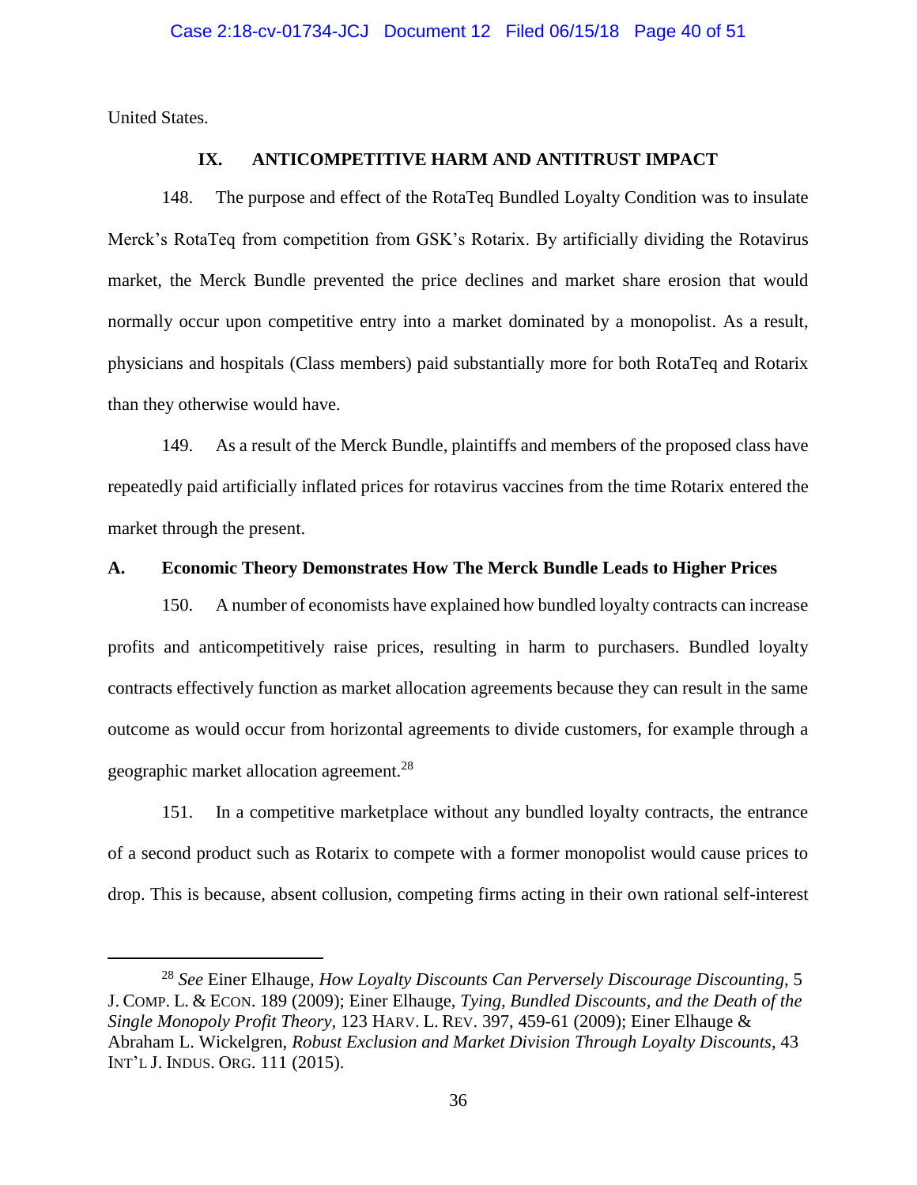United States.

 $\overline{a}$ 

### **IX. ANTICOMPETITIVE HARM AND ANTITRUST IMPACT**

148. The purpose and effect of the RotaTeq Bundled Loyalty Condition was to insulate Merck's RotaTeq from competition from GSK's Rotarix. By artificially dividing the Rotavirus market, the Merck Bundle prevented the price declines and market share erosion that would normally occur upon competitive entry into a market dominated by a monopolist. As a result, physicians and hospitals (Class members) paid substantially more for both RotaTeq and Rotarix than they otherwise would have.

149. As a result of the Merck Bundle, plaintiffs and members of the proposed class have repeatedly paid artificially inflated prices for rotavirus vaccines from the time Rotarix entered the market through the present.

### **A. Economic Theory Demonstrates How The Merck Bundle Leads to Higher Prices**

150. A number of economists have explained how bundled loyalty contracts can increase profits and anticompetitively raise prices, resulting in harm to purchasers. Bundled loyalty contracts effectively function as market allocation agreements because they can result in the same outcome as would occur from horizontal agreements to divide customers, for example through a geographic market allocation agreement.<sup>28</sup>

151. In a competitive marketplace without any bundled loyalty contracts, the entrance of a second product such as Rotarix to compete with a former monopolist would cause prices to drop. This is because, absent collusion, competing firms acting in their own rational self-interest

<sup>28</sup> *See* Einer Elhauge, *How Loyalty Discounts Can Perversely Discourage Discounting*, 5 J. COMP. L. & ECON. 189 (2009); Einer Elhauge, *Tying, Bundled Discounts, and the Death of the Single Monopoly Profit Theory*, 123 HARV. L. REV. 397, 459-61 (2009); Einer Elhauge & Abraham L. Wickelgren, *Robust Exclusion and Market Division Through Loyalty Discounts*, 43 INT'L J. INDUS. ORG. 111 (2015).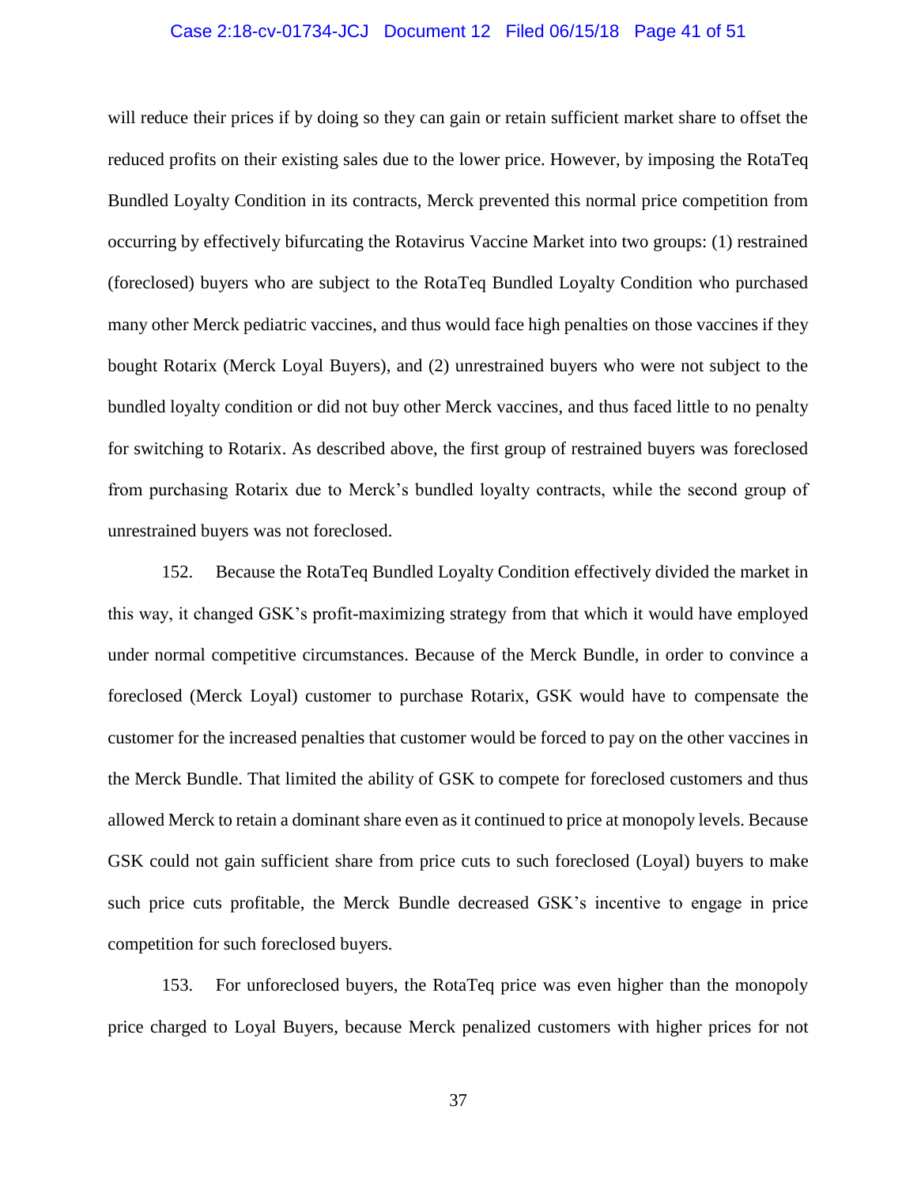## Case 2:18-cv-01734-JCJ Document 12 Filed 06/15/18 Page 41 of 51

will reduce their prices if by doing so they can gain or retain sufficient market share to offset the reduced profits on their existing sales due to the lower price. However, by imposing the RotaTeq Bundled Loyalty Condition in its contracts, Merck prevented this normal price competition from occurring by effectively bifurcating the Rotavirus Vaccine Market into two groups: (1) restrained (foreclosed) buyers who are subject to the RotaTeq Bundled Loyalty Condition who purchased many other Merck pediatric vaccines, and thus would face high penalties on those vaccines if they bought Rotarix (Merck Loyal Buyers), and (2) unrestrained buyers who were not subject to the bundled loyalty condition or did not buy other Merck vaccines, and thus faced little to no penalty for switching to Rotarix. As described above, the first group of restrained buyers was foreclosed from purchasing Rotarix due to Merck's bundled loyalty contracts, while the second group of unrestrained buyers was not foreclosed.

152. Because the RotaTeq Bundled Loyalty Condition effectively divided the market in this way, it changed GSK's profit-maximizing strategy from that which it would have employed under normal competitive circumstances. Because of the Merck Bundle, in order to convince a foreclosed (Merck Loyal) customer to purchase Rotarix, GSK would have to compensate the customer for the increased penalties that customer would be forced to pay on the other vaccines in the Merck Bundle. That limited the ability of GSK to compete for foreclosed customers and thus allowed Merck to retain a dominant share even as it continued to price at monopoly levels. Because GSK could not gain sufficient share from price cuts to such foreclosed (Loyal) buyers to make such price cuts profitable, the Merck Bundle decreased GSK's incentive to engage in price competition for such foreclosed buyers.

153. For unforeclosed buyers, the RotaTeq price was even higher than the monopoly price charged to Loyal Buyers, because Merck penalized customers with higher prices for not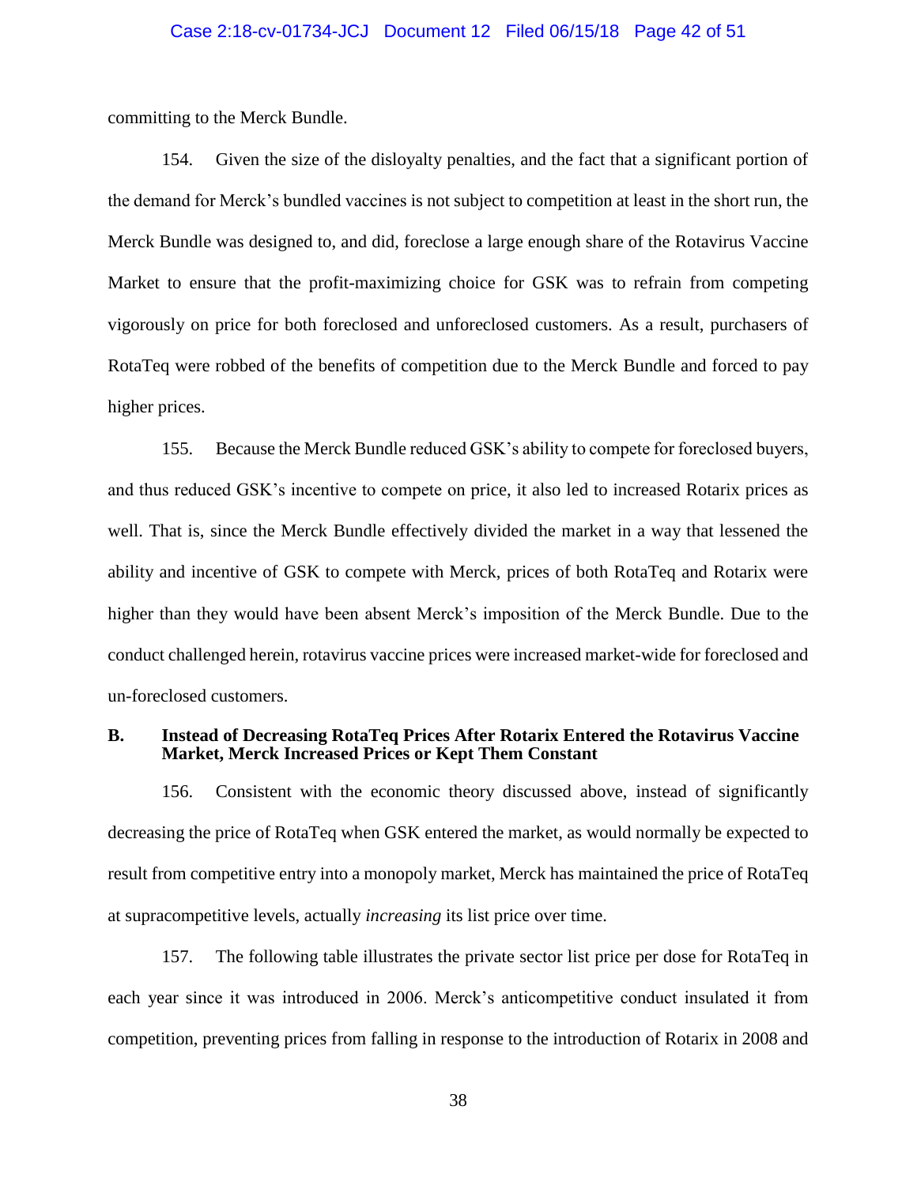## Case 2:18-cv-01734-JCJ Document 12 Filed 06/15/18 Page 42 of 51

committing to the Merck Bundle.

154. Given the size of the disloyalty penalties, and the fact that a significant portion of the demand for Merck's bundled vaccines is not subject to competition at least in the short run, the Merck Bundle was designed to, and did, foreclose a large enough share of the Rotavirus Vaccine Market to ensure that the profit-maximizing choice for GSK was to refrain from competing vigorously on price for both foreclosed and unforeclosed customers. As a result, purchasers of RotaTeq were robbed of the benefits of competition due to the Merck Bundle and forced to pay higher prices.

155. Because the Merck Bundle reduced GSK's ability to compete for foreclosed buyers, and thus reduced GSK's incentive to compete on price, it also led to increased Rotarix prices as well. That is, since the Merck Bundle effectively divided the market in a way that lessened the ability and incentive of GSK to compete with Merck, prices of both RotaTeq and Rotarix were higher than they would have been absent Merck's imposition of the Merck Bundle. Due to the conduct challenged herein, rotavirus vaccine prices were increased market-wide for foreclosed and un-foreclosed customers.

#### **B. Instead of Decreasing RotaTeq Prices After Rotarix Entered the Rotavirus Vaccine Market, Merck Increased Prices or Kept Them Constant**

156. Consistent with the economic theory discussed above, instead of significantly decreasing the price of RotaTeq when GSK entered the market, as would normally be expected to result from competitive entry into a monopoly market, Merck has maintained the price of RotaTeq at supracompetitive levels, actually *increasing* its list price over time.

157. The following table illustrates the private sector list price per dose for RotaTeq in each year since it was introduced in 2006. Merck's anticompetitive conduct insulated it from competition, preventing prices from falling in response to the introduction of Rotarix in 2008 and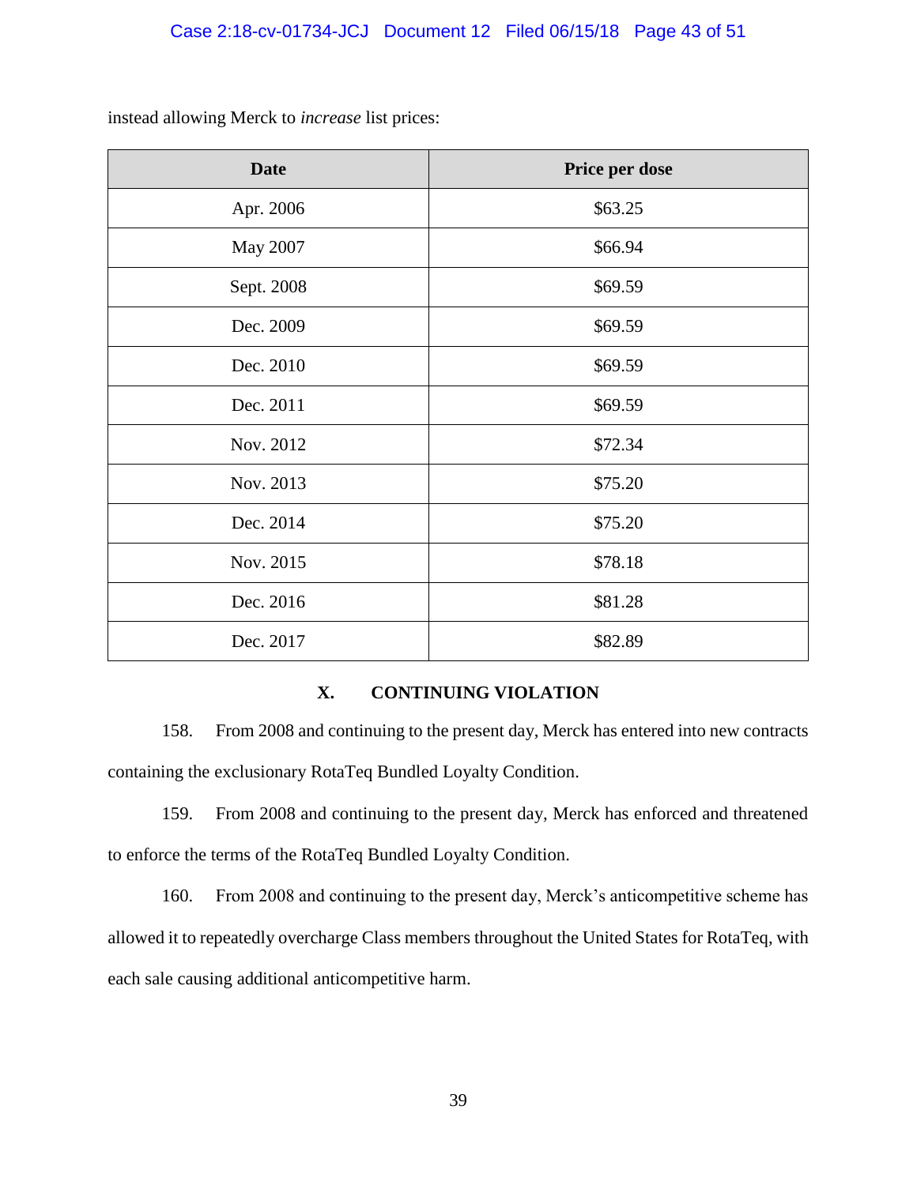**Date Price per dose** Apr. 2006 S63.25  $\text{May } 2007$   $\text{\$66.94}$ Sept. 2008 \$69.59 Dec. 2009 \$69.59 Dec. 2010 \$69.59 Dec.  $2011$  \$69.59 Nov. 2012 \$72.34 Nov. 2013 **\$75.20** Dec. 2014 \$75.20 Nov. 2015 **\$78.18** Dec. 2016 \$81.28 Dec. 2017 882.89

instead allowing Merck to *increase* list prices:

## **X. CONTINUING VIOLATION**

158. From 2008 and continuing to the present day, Merck has entered into new contracts containing the exclusionary RotaTeq Bundled Loyalty Condition.

159. From 2008 and continuing to the present day, Merck has enforced and threatened to enforce the terms of the RotaTeq Bundled Loyalty Condition.

160. From 2008 and continuing to the present day, Merck's anticompetitive scheme has allowed it to repeatedly overcharge Class members throughout the United States for RotaTeq, with each sale causing additional anticompetitive harm.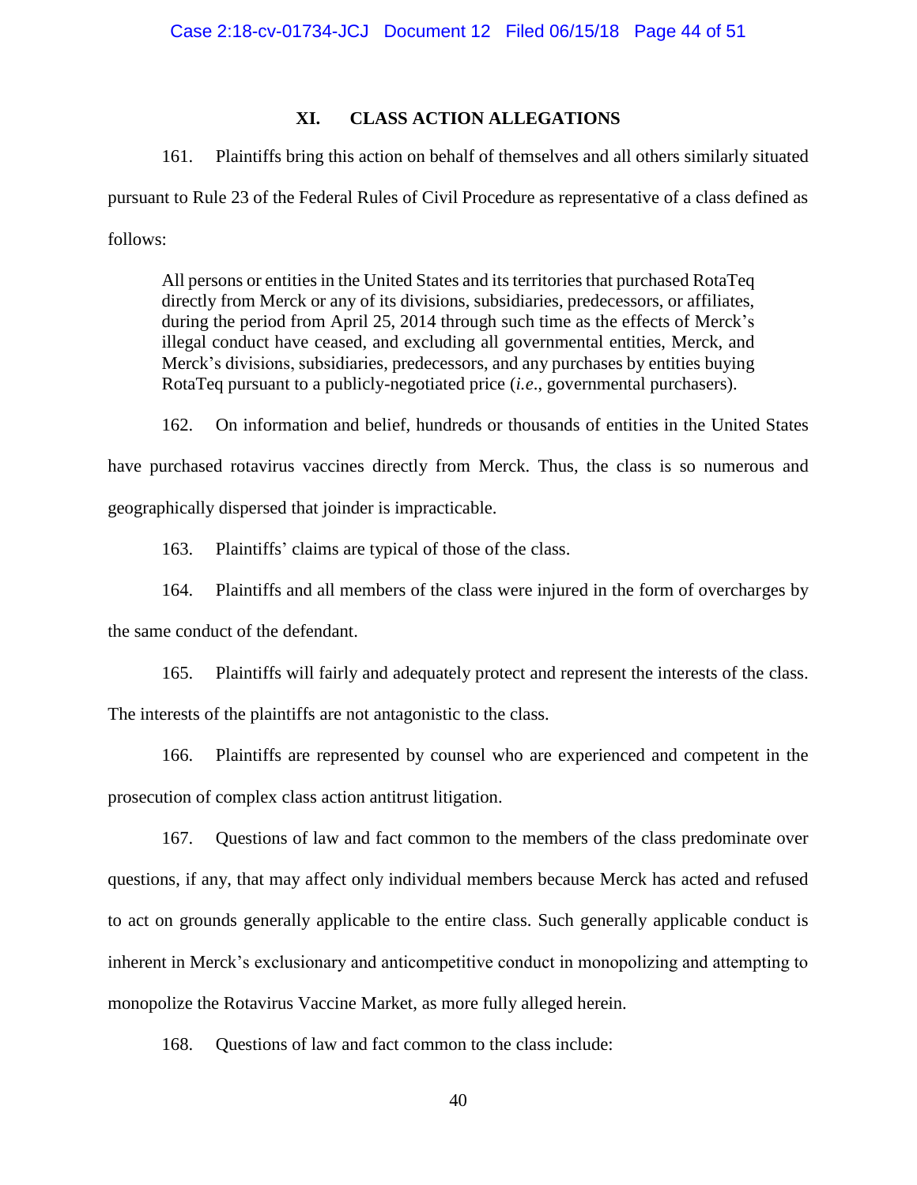## **XI. CLASS ACTION ALLEGATIONS**

161. Plaintiffs bring this action on behalf of themselves and all others similarly situated

pursuant to Rule 23 of the Federal Rules of Civil Procedure as representative of a class defined as follows:

All persons or entities in the United States and its territories that purchased RotaTeq directly from Merck or any of its divisions, subsidiaries, predecessors, or affiliates, during the period from April 25, 2014 through such time as the effects of Merck's illegal conduct have ceased, and excluding all governmental entities, Merck, and Merck's divisions, subsidiaries, predecessors, and any purchases by entities buying RotaTeq pursuant to a publicly-negotiated price (*i.e*., governmental purchasers).

162. On information and belief, hundreds or thousands of entities in the United States have purchased rotavirus vaccines directly from Merck. Thus, the class is so numerous and geographically dispersed that joinder is impracticable.

163. Plaintiffs' claims are typical of those of the class.

164. Plaintiffs and all members of the class were injured in the form of overcharges by the same conduct of the defendant.

165. Plaintiffs will fairly and adequately protect and represent the interests of the class. The interests of the plaintiffs are not antagonistic to the class.

166. Plaintiffs are represented by counsel who are experienced and competent in the prosecution of complex class action antitrust litigation.

167. Questions of law and fact common to the members of the class predominate over questions, if any, that may affect only individual members because Merck has acted and refused to act on grounds generally applicable to the entire class. Such generally applicable conduct is inherent in Merck's exclusionary and anticompetitive conduct in monopolizing and attempting to monopolize the Rotavirus Vaccine Market, as more fully alleged herein.

168. Questions of law and fact common to the class include: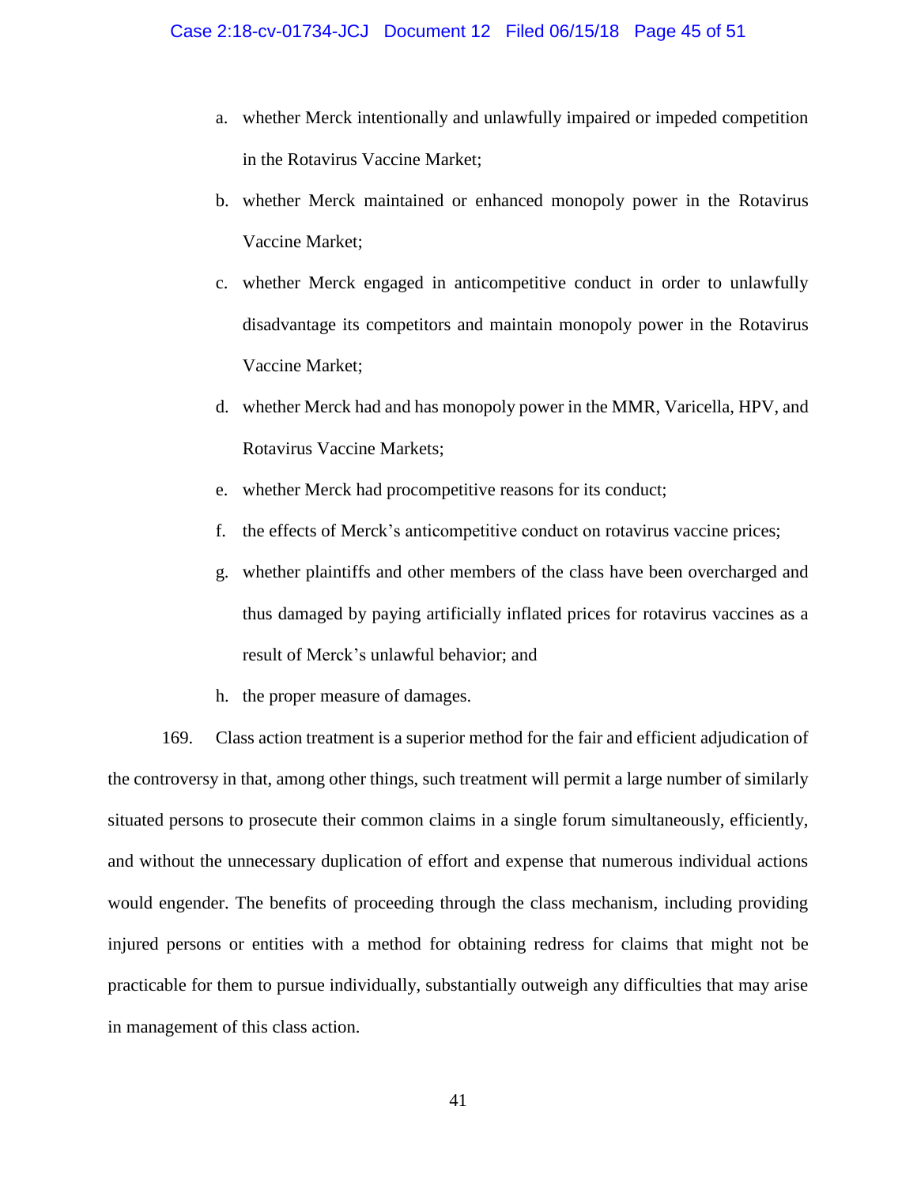- a. whether Merck intentionally and unlawfully impaired or impeded competition in the Rotavirus Vaccine Market;
- b. whether Merck maintained or enhanced monopoly power in the Rotavirus Vaccine Market;
- c. whether Merck engaged in anticompetitive conduct in order to unlawfully disadvantage its competitors and maintain monopoly power in the Rotavirus Vaccine Market;
- d. whether Merck had and has monopoly power in the MMR, Varicella, HPV, and Rotavirus Vaccine Markets;
- e. whether Merck had procompetitive reasons for its conduct;
- f. the effects of Merck's anticompetitive conduct on rotavirus vaccine prices;
- g. whether plaintiffs and other members of the class have been overcharged and thus damaged by paying artificially inflated prices for rotavirus vaccines as a result of Merck's unlawful behavior; and
- h. the proper measure of damages.

169. Class action treatment is a superior method for the fair and efficient adjudication of the controversy in that, among other things, such treatment will permit a large number of similarly situated persons to prosecute their common claims in a single forum simultaneously, efficiently, and without the unnecessary duplication of effort and expense that numerous individual actions would engender. The benefits of proceeding through the class mechanism, including providing injured persons or entities with a method for obtaining redress for claims that might not be practicable for them to pursue individually, substantially outweigh any difficulties that may arise in management of this class action.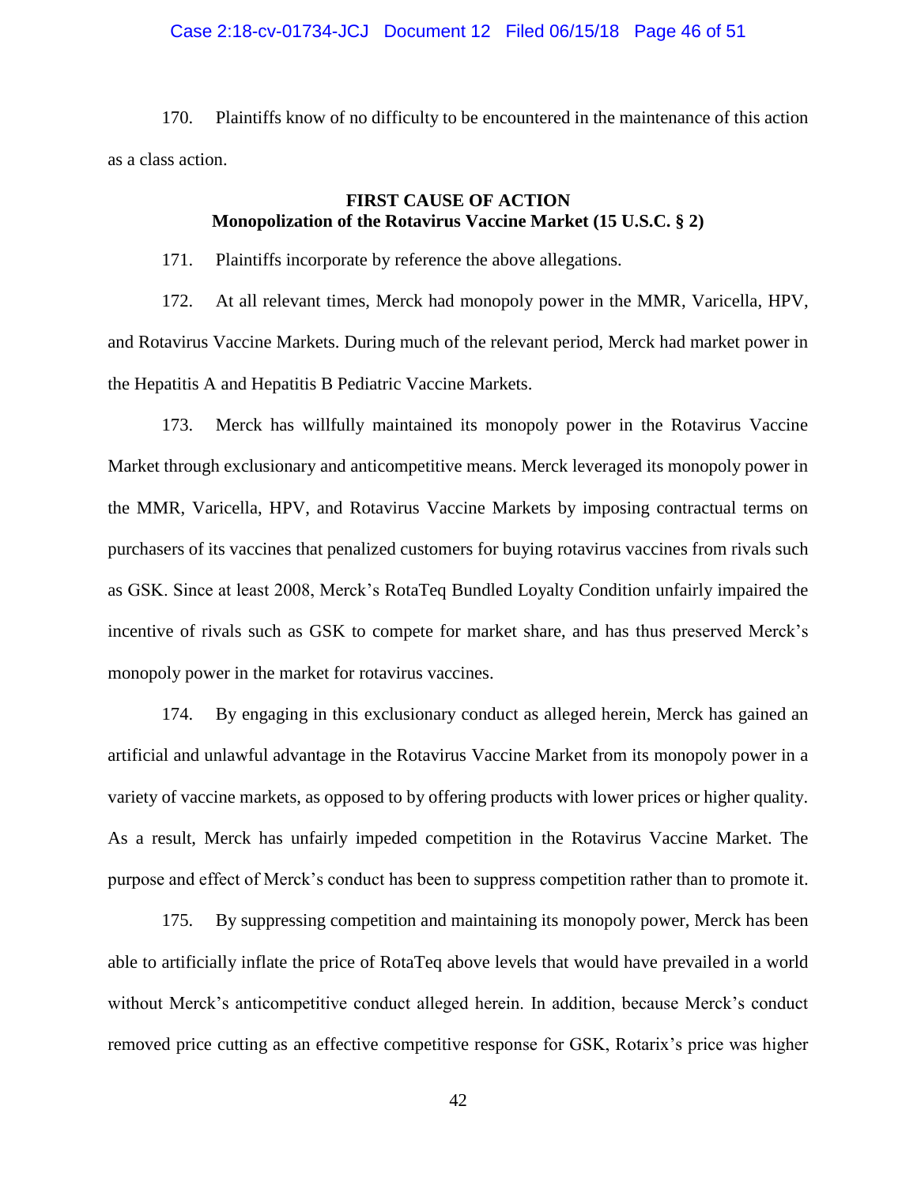## Case 2:18-cv-01734-JCJ Document 12 Filed 06/15/18 Page 46 of 51

170. Plaintiffs know of no difficulty to be encountered in the maintenance of this action as a class action.

## **FIRST CAUSE OF ACTION Monopolization of the Rotavirus Vaccine Market (15 U.S.C. § 2)**

171. Plaintiffs incorporate by reference the above allegations.

172. At all relevant times, Merck had monopoly power in the MMR, Varicella, HPV, and Rotavirus Vaccine Markets. During much of the relevant period, Merck had market power in the Hepatitis A and Hepatitis B Pediatric Vaccine Markets.

173. Merck has willfully maintained its monopoly power in the Rotavirus Vaccine Market through exclusionary and anticompetitive means. Merck leveraged its monopoly power in the MMR, Varicella, HPV, and Rotavirus Vaccine Markets by imposing contractual terms on purchasers of its vaccines that penalized customers for buying rotavirus vaccines from rivals such as GSK. Since at least 2008, Merck's RotaTeq Bundled Loyalty Condition unfairly impaired the incentive of rivals such as GSK to compete for market share, and has thus preserved Merck's monopoly power in the market for rotavirus vaccines.

174. By engaging in this exclusionary conduct as alleged herein, Merck has gained an artificial and unlawful advantage in the Rotavirus Vaccine Market from its monopoly power in a variety of vaccine markets, as opposed to by offering products with lower prices or higher quality. As a result, Merck has unfairly impeded competition in the Rotavirus Vaccine Market. The purpose and effect of Merck's conduct has been to suppress competition rather than to promote it.

175. By suppressing competition and maintaining its monopoly power, Merck has been able to artificially inflate the price of RotaTeq above levels that would have prevailed in a world without Merck's anticompetitive conduct alleged herein. In addition, because Merck's conduct removed price cutting as an effective competitive response for GSK, Rotarix's price was higher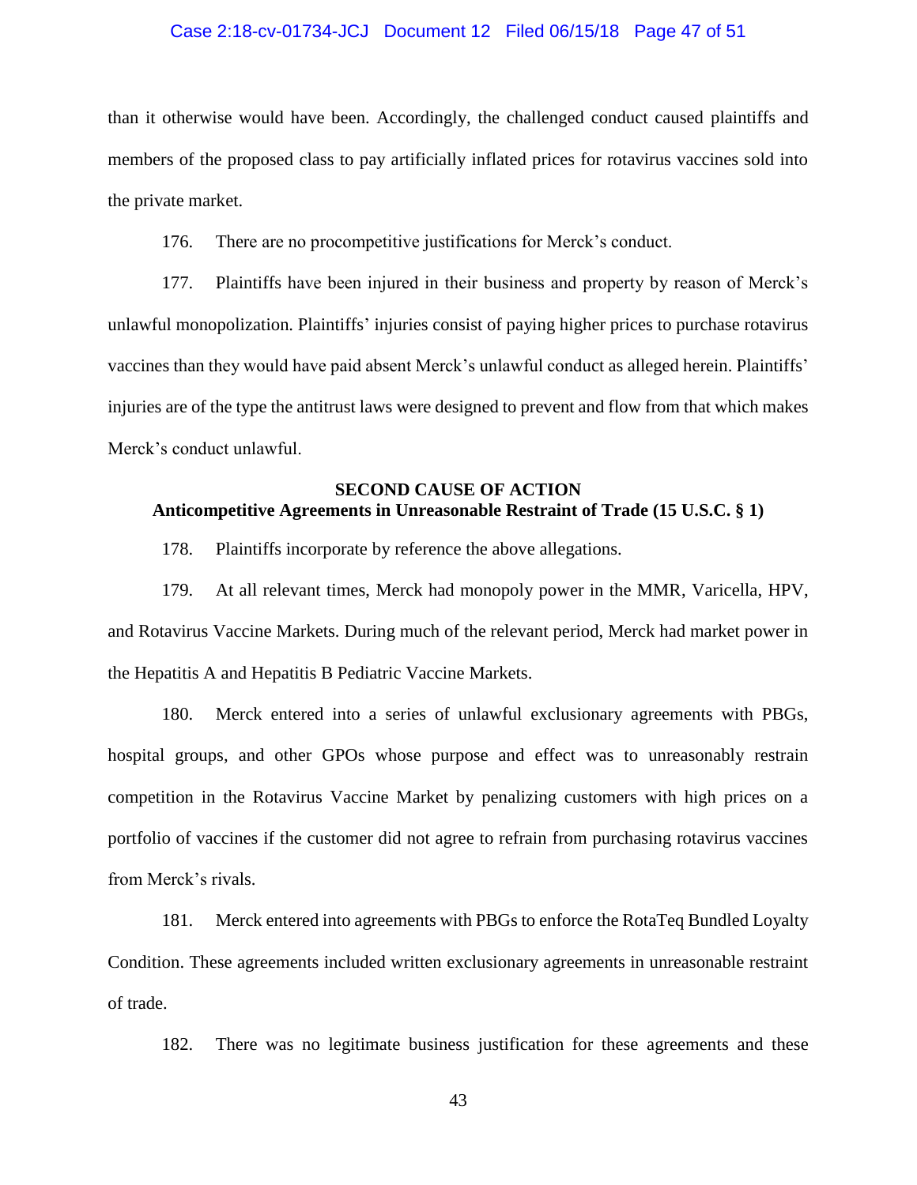#### Case 2:18-cv-01734-JCJ Document 12 Filed 06/15/18 Page 47 of 51

than it otherwise would have been. Accordingly, the challenged conduct caused plaintiffs and members of the proposed class to pay artificially inflated prices for rotavirus vaccines sold into the private market.

176. There are no procompetitive justifications for Merck's conduct.

177. Plaintiffs have been injured in their business and property by reason of Merck's unlawful monopolization. Plaintiffs' injuries consist of paying higher prices to purchase rotavirus vaccines than they would have paid absent Merck's unlawful conduct as alleged herein. Plaintiffs' injuries are of the type the antitrust laws were designed to prevent and flow from that which makes Merck's conduct unlawful.

## **SECOND CAUSE OF ACTION Anticompetitive Agreements in Unreasonable Restraint of Trade (15 U.S.C. § 1)**

178. Plaintiffs incorporate by reference the above allegations.

179. At all relevant times, Merck had monopoly power in the MMR, Varicella, HPV, and Rotavirus Vaccine Markets. During much of the relevant period, Merck had market power in the Hepatitis A and Hepatitis B Pediatric Vaccine Markets.

180. Merck entered into a series of unlawful exclusionary agreements with PBGs, hospital groups, and other GPOs whose purpose and effect was to unreasonably restrain competition in the Rotavirus Vaccine Market by penalizing customers with high prices on a portfolio of vaccines if the customer did not agree to refrain from purchasing rotavirus vaccines from Merck's rivals.

181. Merck entered into agreements with PBGs to enforce the RotaTeq Bundled Loyalty Condition. These agreements included written exclusionary agreements in unreasonable restraint of trade.

182. There was no legitimate business justification for these agreements and these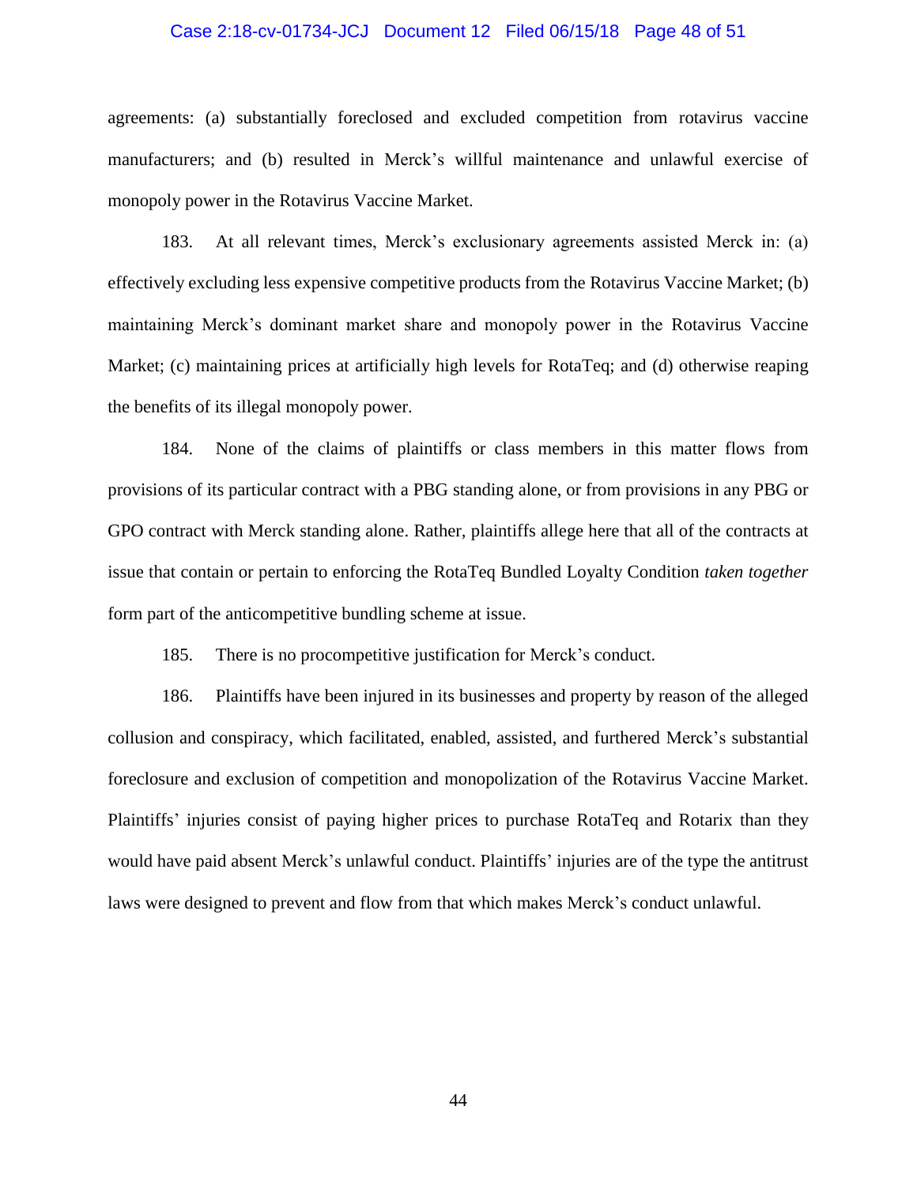## Case 2:18-cv-01734-JCJ Document 12 Filed 06/15/18 Page 48 of 51

agreements: (a) substantially foreclosed and excluded competition from rotavirus vaccine manufacturers; and (b) resulted in Merck's willful maintenance and unlawful exercise of monopoly power in the Rotavirus Vaccine Market.

183. At all relevant times, Merck's exclusionary agreements assisted Merck in: (a) effectively excluding less expensive competitive products from the Rotavirus Vaccine Market; (b) maintaining Merck's dominant market share and monopoly power in the Rotavirus Vaccine Market; (c) maintaining prices at artificially high levels for RotaTeq; and (d) otherwise reaping the benefits of its illegal monopoly power.

184. None of the claims of plaintiffs or class members in this matter flows from provisions of its particular contract with a PBG standing alone, or from provisions in any PBG or GPO contract with Merck standing alone. Rather, plaintiffs allege here that all of the contracts at issue that contain or pertain to enforcing the RotaTeq Bundled Loyalty Condition *taken together* form part of the anticompetitive bundling scheme at issue.

185. There is no procompetitive justification for Merck's conduct.

186. Plaintiffs have been injured in its businesses and property by reason of the alleged collusion and conspiracy, which facilitated, enabled, assisted, and furthered Merck's substantial foreclosure and exclusion of competition and monopolization of the Rotavirus Vaccine Market. Plaintiffs' injuries consist of paying higher prices to purchase RotaTeq and Rotarix than they would have paid absent Merck's unlawful conduct. Plaintiffs' injuries are of the type the antitrust laws were designed to prevent and flow from that which makes Merck's conduct unlawful.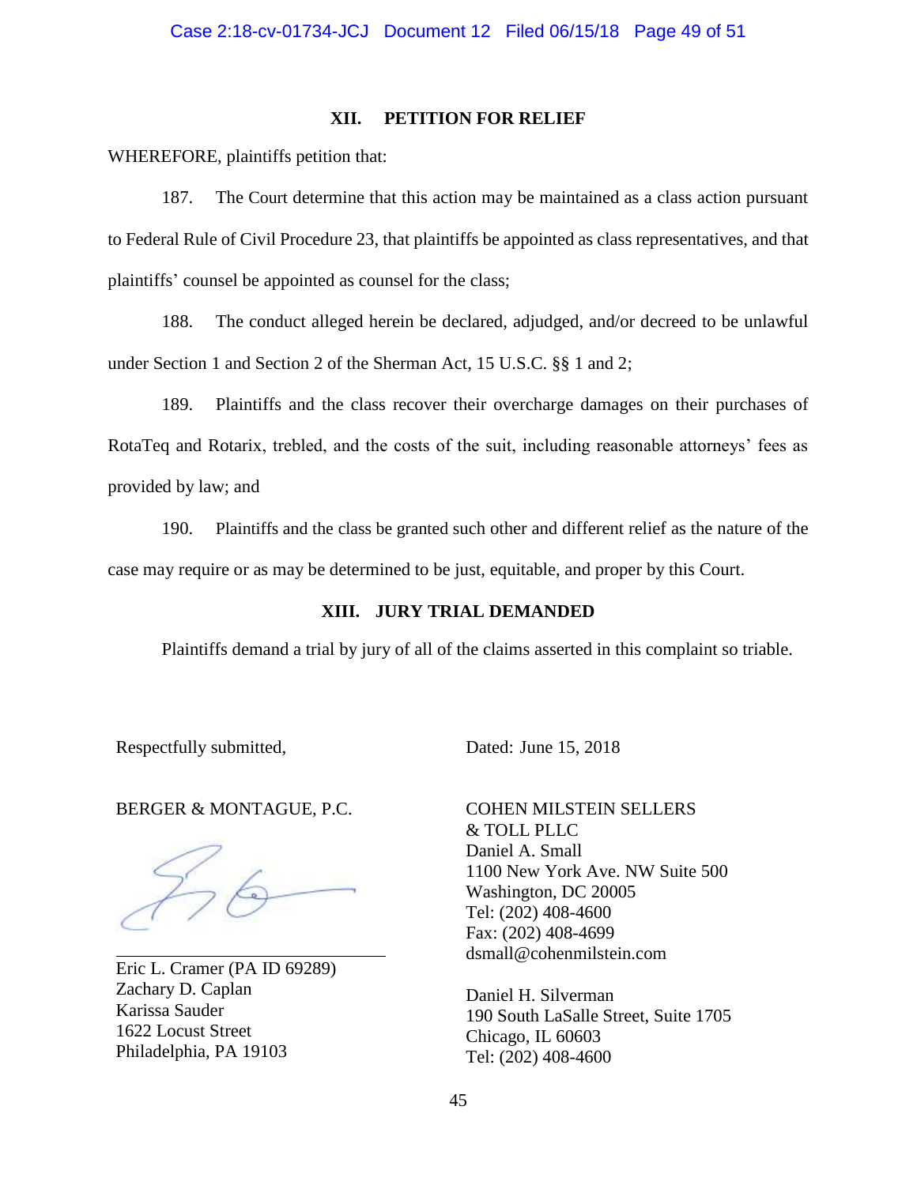#### **XII. PETITION FOR RELIEF**

WHEREFORE, plaintiffs petition that:

187. The Court determine that this action may be maintained as a class action pursuant to Federal Rule of Civil Procedure 23, that plaintiffs be appointed as class representatives, and that plaintiffs' counsel be appointed as counsel for the class;

188. The conduct alleged herein be declared, adjudged, and/or decreed to be unlawful under Section 1 and Section 2 of the Sherman Act, 15 U.S.C. §§ 1 and 2;

189. Plaintiffs and the class recover their overcharge damages on their purchases of RotaTeq and Rotarix, trebled, and the costs of the suit, including reasonable attorneys' fees as provided by law; and

190. Plaintiffs and the class be granted such other and different relief as the nature of the case may require or as may be determined to be just, equitable, and proper by this Court.

#### **XIII. JURY TRIAL DEMANDED**

Plaintiffs demand a trial by jury of all of the claims asserted in this complaint so triable.

Respectfully submitted, Dated: June 15, 2018

BERGER & MONTAGUE, P.C.

Eric L. Cramer (PA ID 69289) Zachary D. Caplan Karissa Sauder 1622 Locust Street Philadelphia, PA 19103

## COHEN MILSTEIN SELLERS & TOLL PLLC Daniel A. Small 1100 New York Ave. NW Suite 500 Washington, DC 20005 Tel: (202) 408-4600 Fax: (202) 408-4699 dsmall@cohenmilstein.com

Daniel H. Silverman 190 South LaSalle Street, Suite 1705 Chicago, IL 60603 Tel: (202) 408-4600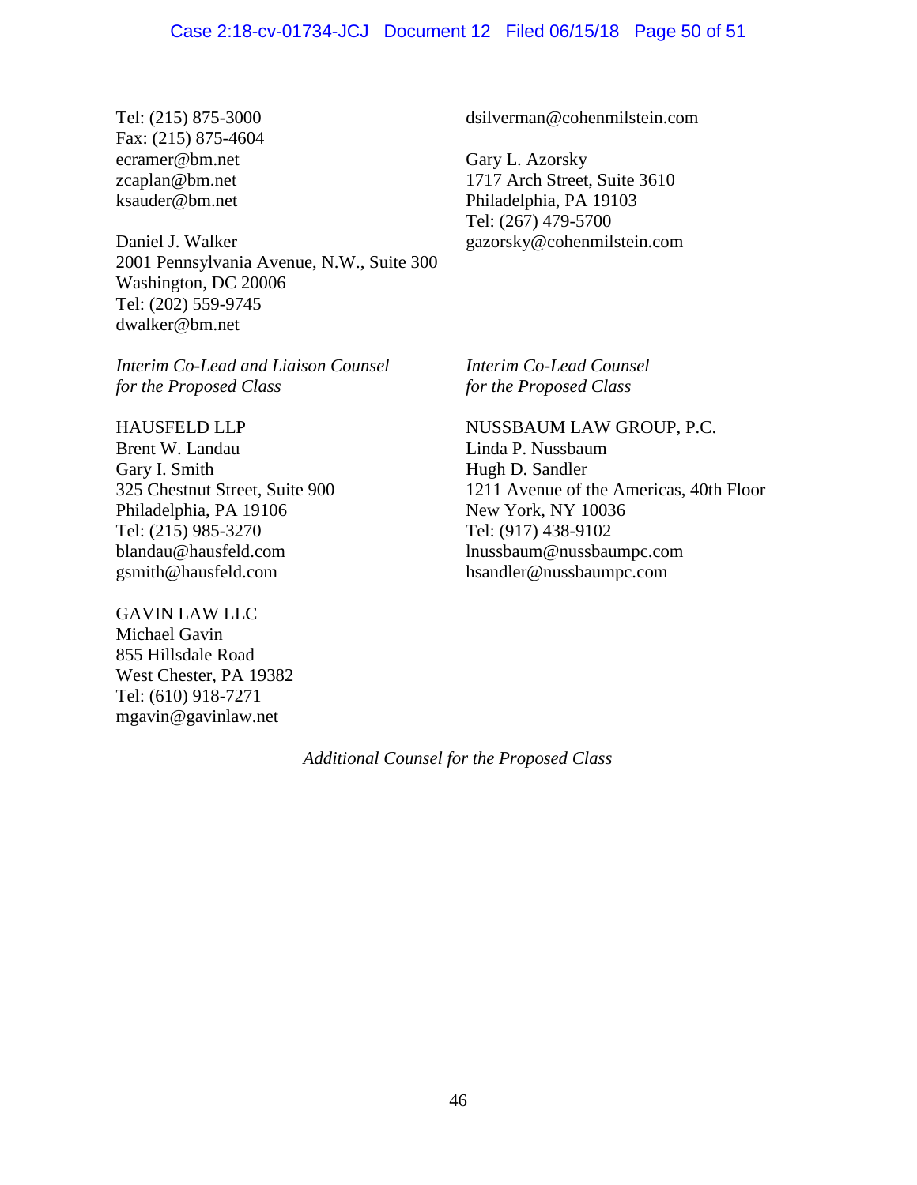#### Case 2:18-cv-01734-JCJ Document 12 Filed 06/15/18 Page 50 of 51

Tel: (215) 875-3000 Fax: (215) 875-4604 ecramer@bm.net zcaplan@bm.net ksauder@bm.net

Daniel J. Walker 2001 Pennsylvania Avenue, N.W., Suite 300 Washington, DC 20006 Tel: (202) 559-9745 dwalker@bm.net

*Interim Co-Lead and Liaison Counsel for the Proposed Class*

HAUSFELD LLP Brent W. Landau Gary I. Smith 325 Chestnut Street, Suite 900 Philadelphia, PA 19106 Tel: (215) 985-3270 blandau@hausfeld.com gsmith@hausfeld.com

GAVIN LAW LLC Michael Gavin 855 Hillsdale Road West Chester, PA 19382 Tel: (610) 918-7271 mgavin@gavinlaw.net

dsilverman@cohenmilstein.com

Gary L. Azorsky 1717 Arch Street, Suite 3610 Philadelphia, PA 19103 Tel: (267) 479-5700 gazorsky@cohenmilstein.com

*Interim Co-Lead Counsel for the Proposed Class*

NUSSBAUM LAW GROUP, P.C. Linda P. Nussbaum Hugh D. Sandler 1211 Avenue of the Americas, 40th Floor New York, NY 10036 Tel: (917) 438-9102 lnussbaum@nussbaumpc.com hsandler@nussbaumpc.com

*Additional Counsel for the Proposed Class*